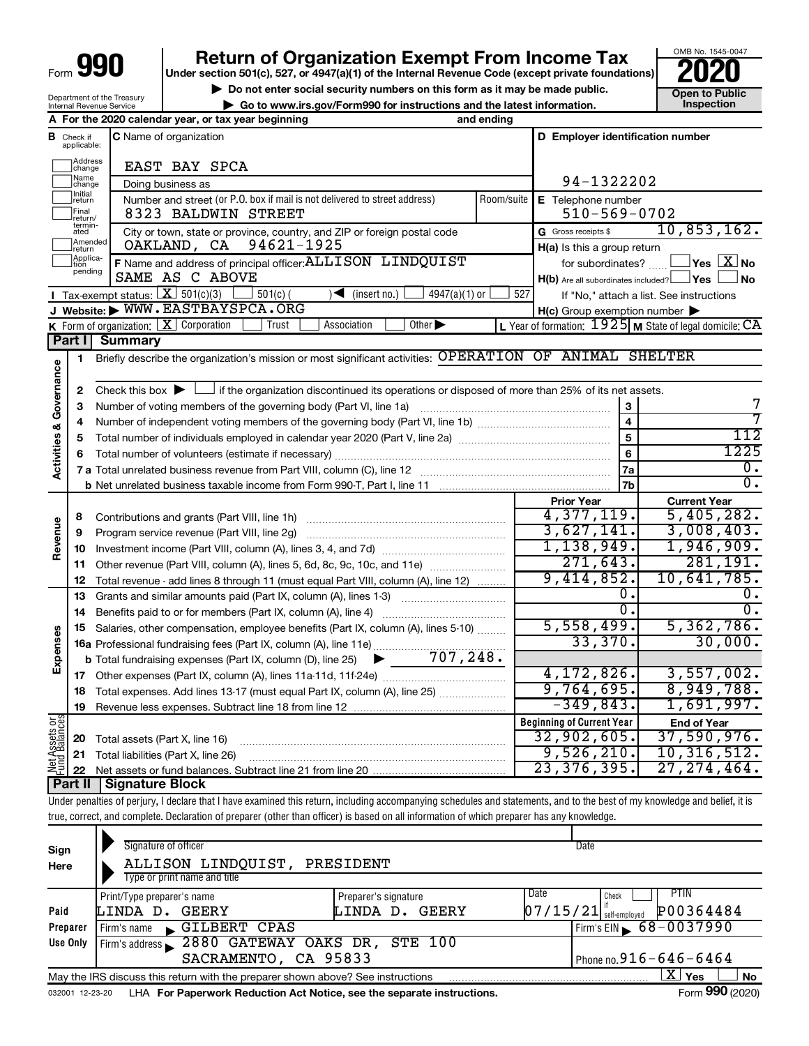Department of the Treasury Internal Revenue Service

# **990** Return of Organization Exempt From Income Tax <br>
Under section 501(c), 527, or 4947(a)(1) of the Internal Revenue Code (except private foundations)<br> **PO20**

**▶ Do not enter social security numbers on this form as it may be made public. Open to Public**<br>
inspection instructions and the latest information. Inspection

**| Go to www.irs.gov/Form990 for instructions and the latest information. Inspection**

OMB No. 1545-0047

|                                |                               | A For the 2020 calendar year, or tax year beginning                                                                                       | and ending              |                                                     |                                                         |
|--------------------------------|-------------------------------|-------------------------------------------------------------------------------------------------------------------------------------------|-------------------------|-----------------------------------------------------|---------------------------------------------------------|
|                                | <b>B</b> Check if applicable: | <b>C</b> Name of organization                                                                                                             |                         | D Employer identification number                    |                                                         |
|                                | Address<br>change             | EAST BAY SPCA                                                                                                                             |                         |                                                     |                                                         |
|                                | Name<br>change                | Doing business as                                                                                                                         |                         | 94-1322202                                          |                                                         |
|                                | <b>Initial</b><br>return      | Number and street (or P.O. box if mail is not delivered to street address)                                                                | Room/suite              | E Telephone number                                  |                                                         |
|                                | Final<br>return/              | 8323 BALDWIN STREET                                                                                                                       |                         | $510 - 569 - 0702$                                  |                                                         |
|                                | termin-<br>ated               | City or town, state or province, country, and ZIP or foreign postal code                                                                  |                         | G Gross receipts \$                                 | 10,853,162.                                             |
|                                | Amended<br>return             | OAKLAND, CA 94621-1925                                                                                                                    |                         | H(a) Is this a group return                         |                                                         |
|                                | Applica-<br>Ition<br>pending  | F Name and address of principal officer: ALLISON LINDQUIST                                                                                |                         | for subordinates?                                   | $\mathsf{Yes}\ \boxed{\mathbf{X}}\ \mathsf{No}$         |
|                                |                               | SAME AS C ABOVE                                                                                                                           |                         | $H(b)$ Are all subordinates included? $\Box$ Yes    | <b>No</b>                                               |
|                                |                               | <b>I</b> Tax-exempt status: $X$ 501(c)(3)<br>$501(c)$ (<br>$\sqrt{\frac{1}{1}}$ (insert no.)<br>$4947(a)(1)$ or                           | 527                     |                                                     | If "No," attach a list. See instructions                |
|                                |                               | J Website: WWW.EASTBAYSPCA.ORG<br>Other $\blacktriangleright$<br>Trust<br>Association                                                     |                         | $H(c)$ Group exemption number $\blacktriangleright$ |                                                         |
|                                | Part I                        | <b>K</b> Form of organization: $X$ Corporation<br><b>Summary</b>                                                                          |                         |                                                     | L Year of formation: 1925 M State of legal domicile: CA |
|                                |                               | Briefly describe the organization's mission or most significant activities: OPERATION OF ANIMAL SHELTER                                   |                         |                                                     |                                                         |
|                                | 1                             |                                                                                                                                           |                         |                                                     |                                                         |
|                                | $\mathbf{2}$                  | Check this box $\blacktriangleright \Box$ if the organization discontinued its operations or disposed of more than 25% of its net assets. |                         |                                                     |                                                         |
|                                | 3                             | Number of voting members of the governing body (Part VI, line 1a)                                                                         |                         | 3                                                   | 7                                                       |
|                                | 4                             |                                                                                                                                           | $\overline{\mathbf{4}}$ | 7                                                   |                                                         |
|                                | 5                             |                                                                                                                                           | 5                       | 112                                                 |                                                         |
| Activities & Governance        | 6                             |                                                                                                                                           |                         | 6                                                   | 1225                                                    |
|                                |                               |                                                                                                                                           |                         | 7a                                                  | $\overline{0}$ .                                        |
|                                |                               |                                                                                                                                           |                         | 7 <sub>b</sub>                                      | $\overline{0}$ .                                        |
|                                |                               |                                                                                                                                           |                         | <b>Prior Year</b>                                   | <b>Current Year</b>                                     |
|                                | 8                             | Contributions and grants (Part VIII, line 1h)                                                                                             |                         | 4,377,119.                                          | 5,405,282.                                              |
| Revenue                        | 9                             | Program service revenue (Part VIII, line 2g)                                                                                              |                         | 3,627,141.                                          | 3,008,403.                                              |
|                                | 10                            |                                                                                                                                           |                         | 1,138,949.                                          | 1,946,909.                                              |
|                                | 11                            | Other revenue (Part VIII, column (A), lines 5, 6d, 8c, 9c, 10c, and 11e)                                                                  |                         | 271,643.<br>9,414,852.                              | 281, 191.<br>10,641,785.                                |
|                                | 12                            | Total revenue - add lines 8 through 11 (must equal Part VIII, column (A), line 12)                                                        |                         | О.                                                  | ο.                                                      |
|                                | 13                            | Grants and similar amounts paid (Part IX, column (A), lines 1-3)                                                                          |                         | $\overline{0}$ .                                    | $\overline{0}$ .                                        |
|                                | 14<br>15                      | Salaries, other compensation, employee benefits (Part IX, column (A), lines 5-10)                                                         |                         | 5,558,499.                                          | 5,362,786.                                              |
| Expenses                       |                               | 16a Professional fundraising fees (Part IX, column (A), line 11e)                                                                         |                         | 33,370.                                             | 30,000.                                                 |
|                                |                               | 707,248.<br><b>b</b> Total fundraising expenses (Part IX, column (D), line 25) $\blacktriangleright$                                      |                         |                                                     |                                                         |
|                                | 17                            |                                                                                                                                           |                         | 4, 172, 826.                                        | 3,557,002.                                              |
|                                | 18                            | Total expenses. Add lines 13-17 (must equal Part IX, column (A), line 25)                                                                 |                         | 9,764,695.                                          | 8,949,788.                                              |
|                                | 19                            |                                                                                                                                           |                         | $-349,843.$                                         | 1,691,997.                                              |
|                                |                               |                                                                                                                                           |                         | <b>Beginning of Current Year</b>                    | <b>End of Year</b>                                      |
| Net Assets or<br>Fund Balances | 20                            | Total assets (Part X, line 16)                                                                                                            |                         | 32,902,605.                                         | 37,590,976.                                             |
|                                | 21                            | Total liabilities (Part X, line 26)                                                                                                       |                         | 9,526,210.                                          | 10, 316, 512.                                           |
|                                | 22                            |                                                                                                                                           |                         | 23, 376, 395.                                       | 27, 274, 464.                                           |
|                                | Part II                       | Signature Block                                                                                                                           |                         |                                                     |                                                         |

Under penalties of perjury, I declare that I have examined this return, including accompanying schedules and statements, and to the best of my knowledge and belief, it is true, correct, and complete. Declaration of preparer (other than officer) is based on all information of which preparer has any knowledge.

| Sign<br>Here                                         | Signature of officer<br>ALLISON LINDQUIST,<br>Type or print name and title      | PRESIDENT            | Date                                  |  |  |  |  |  |
|------------------------------------------------------|---------------------------------------------------------------------------------|----------------------|---------------------------------------|--|--|--|--|--|
|                                                      | Print/Type preparer's name                                                      | Preparer's signature | I Date<br><b>PTIN</b><br>Check        |  |  |  |  |  |
| Paid                                                 | GEERY<br>LINDA D.                                                               | GEERY<br>LINDA D.    | P00364484<br>$07/15/21$ self-employed |  |  |  |  |  |
| Preparer                                             | GILBERT CPAS<br>Firm's name<br>$\mathbf{r}$                                     |                      | Firm's EIN $\, 68 - 0037990$          |  |  |  |  |  |
| Use Only                                             | Firm's address 2880 GATEWAY OAKS DR, STE 100                                    |                      |                                       |  |  |  |  |  |
| Phone no. $916 - 646 - 6464$<br>SACRAMENTO, CA 95833 |                                                                                 |                      |                                       |  |  |  |  |  |
|                                                      | May the IRS discuss this return with the preparer shown above? See instructions |                      | $\mathbf{X}$ Yes<br>No                |  |  |  |  |  |
| 032001 12-23-20                                      | LHA For Paperwork Reduction Act Notice, see the separate instructions.          |                      | Form 990 (2020)                       |  |  |  |  |  |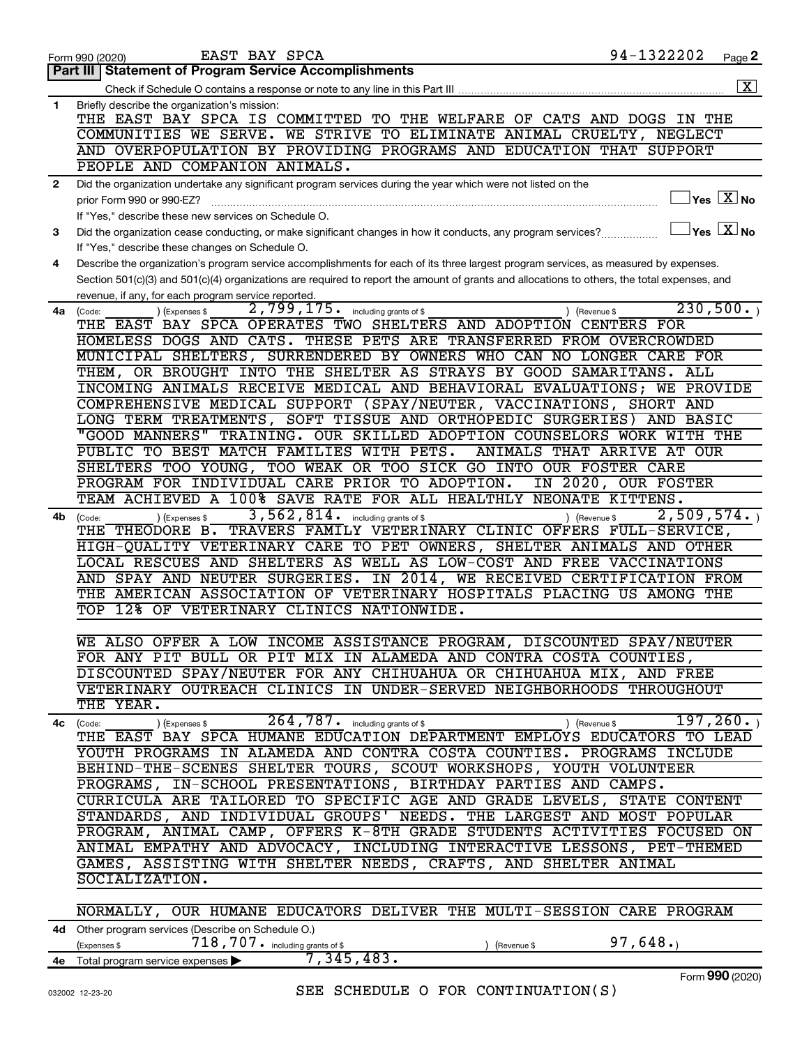|              | 94-1322202<br>EAST BAY SPCA<br>Page 2<br>Form 990 (2020)                                                                                         |
|--------------|--------------------------------------------------------------------------------------------------------------------------------------------------|
|              | Part III   Statement of Program Service Accomplishments                                                                                          |
|              | $\overline{\mathbf{X}}$                                                                                                                          |
| 1            | Briefly describe the organization's mission:                                                                                                     |
|              | THE EAST BAY SPCA IS COMMITTED TO THE WELFARE OF CATS AND DOGS IN THE                                                                            |
|              | COMMUNITIES WE SERVE. WE STRIVE TO ELIMINATE ANIMAL CRUELTY, NEGLECT                                                                             |
|              | AND OVERPOPULATION BY PROVIDING PROGRAMS AND EDUCATION THAT SUPPORT                                                                              |
|              | PEOPLE AND COMPANION ANIMALS.                                                                                                                    |
| $\mathbf{2}$ | Did the organization undertake any significant program services during the year which were not listed on the                                     |
|              | $\exists$ Yes $\boxed{\text{X}}$ No<br>prior Form 990 or 990-EZ?                                                                                 |
|              | If "Yes," describe these new services on Schedule O.                                                                                             |
| 3            | $\Box$ Yes $\boxed{\text{X}}$ No<br>Did the organization cease conducting, or make significant changes in how it conducts, any program services? |
|              | If "Yes," describe these changes on Schedule O.                                                                                                  |
| 4            |                                                                                                                                                  |
|              | Describe the organization's program service accomplishments for each of its three largest program services, as measured by expenses.             |
|              | Section 501(c)(3) and 501(c)(4) organizations are required to report the amount of grants and allocations to others, the total expenses, and     |
|              | revenue, if any, for each program service reported.<br>230,500.                                                                                  |
| 4a           | 2,799,175. including grants of \$<br>(Expenses \$<br>) (Revenue \$<br>(Code:<br>THE EAST BAY SPCA OPERATES TWO SHELTERS AND ADOPTION CENTERS FOR |
|              |                                                                                                                                                  |
|              | HOMELESS DOGS AND CATS. THESE PETS ARE TRANSFERRED FROM OVERCROWDED                                                                              |
|              | MUNICIPAL SHELTERS, SURRENDERED BY OWNERS WHO CAN NO LONGER CARE FOR                                                                             |
|              | THEM, OR BROUGHT INTO THE SHELTER AS STRAYS BY GOOD SAMARITANS. ALL                                                                              |
|              | INCOMING ANIMALS RECEIVE MEDICAL AND BEHAVIORAL EVALUATIONS; WE PROVIDE                                                                          |
|              | COMPREHENSIVE MEDICAL SUPPORT (SPAY/NEUTER, VACCINATIONS, SHORT AND                                                                              |
|              | LONG TERM TREATMENTS, SOFT TISSUE AND ORTHOPEDIC SURGERIES) AND BASIC                                                                            |
|              | "GOOD MANNERS" TRAINING. OUR SKILLED ADOPTION COUNSELORS WORK WITH THE                                                                           |
|              | PUBLIC TO BEST MATCH FAMILIES WITH PETS.<br>ANIMALS THAT ARRIVE AT OUR                                                                           |
|              | SHELTERS TOO YOUNG, TOO WEAK OR TOO SICK GO INTO OUR FOSTER CARE                                                                                 |
|              | PROGRAM FOR INDIVIDUAL CARE PRIOR TO ADOPTION.<br>IN 2020, OUR FOSTER                                                                            |
|              | TEAM ACHIEVED A 100% SAVE RATE FOR ALL HEALTHLY NEONATE KITTENS.                                                                                 |
| 4b           | 3,562,814.<br>$\overline{2,509,574.}$<br>including grants of \$<br>) (Revenue \$<br>(Expenses \$<br>(Code:                                       |
|              | THE THEODORE B. TRAVERS FAMILY VETERINARY CLINIC OFFERS FULL-SERVICE,                                                                            |
|              | HIGH-QUALITY VETERINARY CARE TO PET OWNERS, SHELTER ANIMALS AND OTHER                                                                            |
|              | LOCAL RESCUES AND SHELTERS AS WELL AS LOW-COST AND FREE VACCINATIONS                                                                             |
|              | AND SPAY AND NEUTER SURGERIES. IN 2014, WE RECEIVED CERTIFICATION FROM                                                                           |
|              | THE AMERICAN ASSOCIATION OF VETERINARY HOSPITALS PLACING US AMONG THE                                                                            |
|              | TOP 12% OF VETERINARY CLINICS NATIONWIDE.                                                                                                        |
|              |                                                                                                                                                  |
|              | WE ALSO OFFER A LOW INCOME ASSISTANCE PROGRAM, DISCOUNTED SPAY/NEUTER                                                                            |
|              | FOR ANY PIT BULL OR PIT MIX IN ALAMEDA AND CONTRA COSTA COUNTIES,                                                                                |
|              | DISCOUNTED SPAY/NEUTER FOR ANY CHIHUAHUA OR CHIHUAHUA MIX, AND FREE                                                                              |
|              | VETERINARY OUTREACH CLINICS IN UNDER-SERVED NEIGHBORHOODS THROUGHOUT                                                                             |
|              | THE YEAR.                                                                                                                                        |
|              | $\overline{264,787}$ including grants of \$<br>197, 260.<br>) (Expenses \$<br>) (Revenue \$<br>4c (Code:                                         |
|              | THE EAST BAY SPCA HUMANE EDUCATION DEPARTMENT EMPLOYS EDUCATORS TO LEAD                                                                          |
|              | YOUTH PROGRAMS IN ALAMEDA AND CONTRA COSTA COUNTIES. PROGRAMS INCLUDE                                                                            |
|              | BEHIND-THE-SCENES SHELTER TOURS, SCOUT WORKSHOPS, YOUTH VOLUNTEER                                                                                |
|              | PROGRAMS, IN-SCHOOL PRESENTATIONS, BIRTHDAY PARTIES AND CAMPS.                                                                                   |
|              | CURRICULA ARE TAILORED TO SPECIFIC AGE AND GRADE LEVELS, STATE CONTENT                                                                           |
|              | STANDARDS, AND INDIVIDUAL GROUPS' NEEDS. THE LARGEST AND MOST POPULAR                                                                            |
|              | PROGRAM, ANIMAL CAMP, OFFERS K-8TH GRADE STUDENTS ACTIVITIES FOCUSED ON                                                                          |
|              | ANIMAL EMPATHY AND ADVOCACY, INCLUDING INTERACTIVE LESSONS, PET-THEMED                                                                           |
|              | GAMES, ASSISTING WITH SHELTER NEEDS, CRAFTS, AND SHELTER ANIMAL                                                                                  |
|              | SOCIALIZATION.                                                                                                                                   |
|              |                                                                                                                                                  |
|              | NORMALLY, OUR HUMANE EDUCATORS DELIVER THE MULTI-SESSION CARE PROGRAM                                                                            |
|              | 4d Other program services (Describe on Schedule O.)                                                                                              |
|              | $718,707$ . including grants of \$<br>97,648.<br>(Expenses \$<br>(Revenue \$                                                                     |
|              | 7,345,483.<br>4e Total program service expenses<br>$\mathbf{on}$                                                                                 |

Form (2020) **990**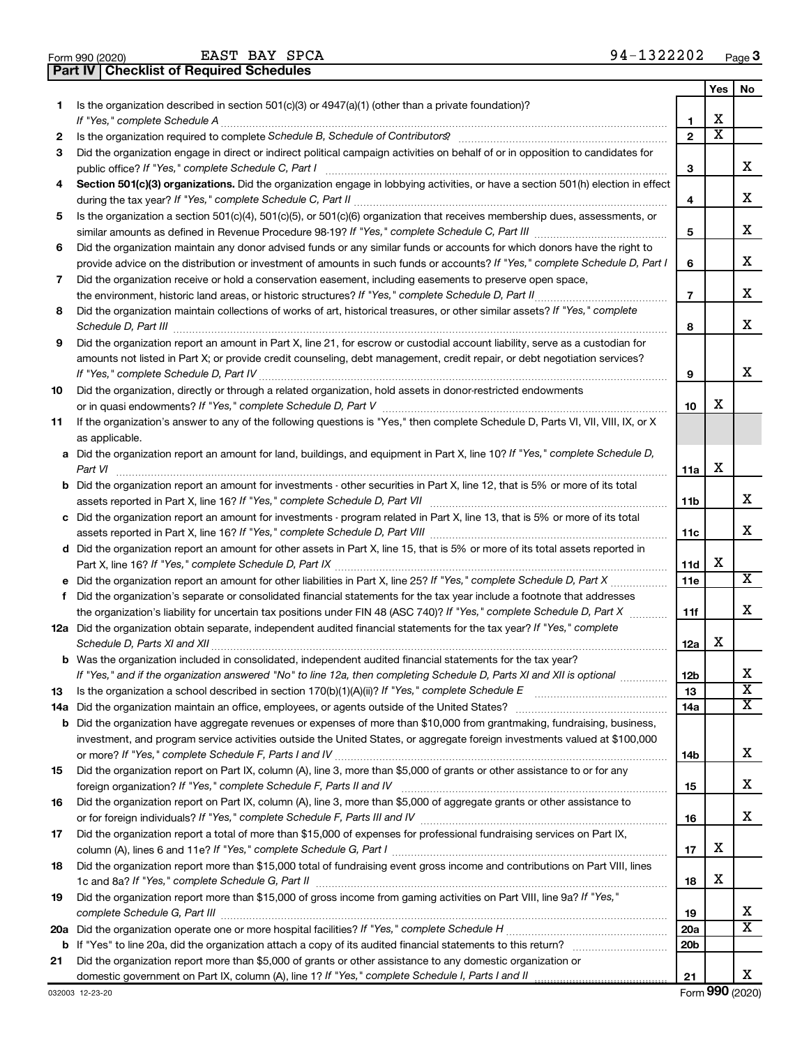|  | Form 990 (2020) |
|--|-----------------|
|  |                 |

EAST BAY SPCA 94-1322202

**Part IV Checklist of Required Schedules**

|    | oncoknot or neganca ochcaa                                                                                                            |                        |                         |                         |
|----|---------------------------------------------------------------------------------------------------------------------------------------|------------------------|-------------------------|-------------------------|
|    |                                                                                                                                       |                        | Yes                     | No.                     |
| 1  | Is the organization described in section $501(c)(3)$ or $4947(a)(1)$ (other than a private foundation)?                               |                        |                         |                         |
|    |                                                                                                                                       | 1                      | х                       |                         |
| 2  |                                                                                                                                       | $\mathbf{2}$           | $\overline{\textbf{x}}$ |                         |
| 3  | Did the organization engage in direct or indirect political campaign activities on behalf of or in opposition to candidates for       |                        |                         |                         |
|    |                                                                                                                                       | з                      |                         | x                       |
| 4  | Section 501(c)(3) organizations. Did the organization engage in lobbying activities, or have a section 501(h) election in effect      |                        |                         |                         |
|    |                                                                                                                                       | 4                      |                         | x                       |
| 5  | Is the organization a section 501(c)(4), 501(c)(5), or 501(c)(6) organization that receives membership dues, assessments, or          |                        |                         |                         |
|    |                                                                                                                                       | 5                      |                         | x                       |
| 6  | Did the organization maintain any donor advised funds or any similar funds or accounts for which donors have the right to             |                        |                         |                         |
|    | provide advice on the distribution or investment of amounts in such funds or accounts? If "Yes," complete Schedule D, Part I          | 6                      |                         | х                       |
| 7  | Did the organization receive or hold a conservation easement, including easements to preserve open space,                             |                        |                         |                         |
|    |                                                                                                                                       | $\overline{7}$         |                         | х                       |
| 8  | Did the organization maintain collections of works of art, historical treasures, or other similar assets? If "Yes," complete          |                        |                         |                         |
|    |                                                                                                                                       | 8                      |                         | х                       |
| 9  | Did the organization report an amount in Part X, line 21, for escrow or custodial account liability, serve as a custodian for         |                        |                         |                         |
|    | amounts not listed in Part X; or provide credit counseling, debt management, credit repair, or debt negotiation services?             |                        |                         |                         |
|    |                                                                                                                                       | 9                      |                         | x                       |
| 10 | Did the organization, directly or through a related organization, hold assets in donor-restricted endowments                          |                        |                         |                         |
|    |                                                                                                                                       | 10                     | х                       |                         |
| 11 | If the organization's answer to any of the following questions is "Yes," then complete Schedule D, Parts VI, VII, VIII, IX, or X      |                        |                         |                         |
|    | as applicable.                                                                                                                        |                        |                         |                         |
|    | a Did the organization report an amount for land, buildings, and equipment in Part X, line 10? If "Yes," complete Schedule D,         |                        |                         |                         |
|    | Part VI                                                                                                                               | 11a                    | х                       |                         |
|    | <b>b</b> Did the organization report an amount for investments - other securities in Part X, line 12, that is 5% or more of its total |                        |                         |                         |
|    |                                                                                                                                       | 11b                    |                         | х                       |
|    | c Did the organization report an amount for investments - program related in Part X, line 13, that is 5% or more of its total         |                        |                         |                         |
|    |                                                                                                                                       | 11c                    |                         | х                       |
|    | d Did the organization report an amount for other assets in Part X, line 15, that is 5% or more of its total assets reported in       |                        |                         |                         |
|    |                                                                                                                                       | 11d                    | X                       | x                       |
|    |                                                                                                                                       | 11e                    |                         |                         |
| f. | Did the organization's separate or consolidated financial statements for the tax year include a footnote that addresses               |                        |                         | х                       |
|    | the organization's liability for uncertain tax positions under FIN 48 (ASC 740)? If "Yes," complete Schedule D, Part X                | 11f                    |                         |                         |
|    | 12a Did the organization obtain separate, independent audited financial statements for the tax year? If "Yes," complete               | 12a                    | х                       |                         |
|    | <b>b</b> Was the organization included in consolidated, independent audited financial statements for the tax year?                    |                        |                         |                         |
|    | If "Yes," and if the organization answered "No" to line 12a, then completing Schedule D, Parts XI and XII is optional                 | 12b                    |                         | х                       |
| 13 | Is the organization a school described in section $170(b)(1)(A)(ii)$ ? If "Yes," complete Schedule E                                  | 13                     |                         | $\overline{\textbf{x}}$ |
|    | 14a Did the organization maintain an office, employees, or agents outside of the United States?                                       | 14a                    |                         | х                       |
|    | <b>b</b> Did the organization have aggregate revenues or expenses of more than \$10,000 from grantmaking, fundraising, business,      |                        |                         |                         |
|    | investment, and program service activities outside the United States, or aggregate foreign investments valued at \$100,000            |                        |                         |                         |
|    |                                                                                                                                       | 14b                    |                         | x                       |
| 15 | Did the organization report on Part IX, column (A), line 3, more than \$5,000 of grants or other assistance to or for any             |                        |                         |                         |
|    |                                                                                                                                       | 15                     |                         | х                       |
| 16 | Did the organization report on Part IX, column (A), line 3, more than \$5,000 of aggregate grants or other assistance to              |                        |                         |                         |
|    |                                                                                                                                       | 16                     |                         | х                       |
| 17 | Did the organization report a total of more than \$15,000 of expenses for professional fundraising services on Part IX,               |                        |                         |                         |
|    |                                                                                                                                       | 17                     | х                       |                         |
| 18 | Did the organization report more than \$15,000 total of fundraising event gross income and contributions on Part VIII, lines          |                        |                         |                         |
|    |                                                                                                                                       | 18                     | х                       |                         |
| 19 | Did the organization report more than \$15,000 of gross income from gaming activities on Part VIII, line 9a? If "Yes,"                |                        |                         | x                       |
|    |                                                                                                                                       | 19                     |                         | x                       |
|    |                                                                                                                                       | 20a<br>20 <sub>b</sub> |                         |                         |
|    | Did the organization report more than \$5,000 of grants or other assistance to any domestic organization or                           |                        |                         |                         |
| 21 |                                                                                                                                       | 21                     |                         | x                       |
|    |                                                                                                                                       |                        |                         |                         |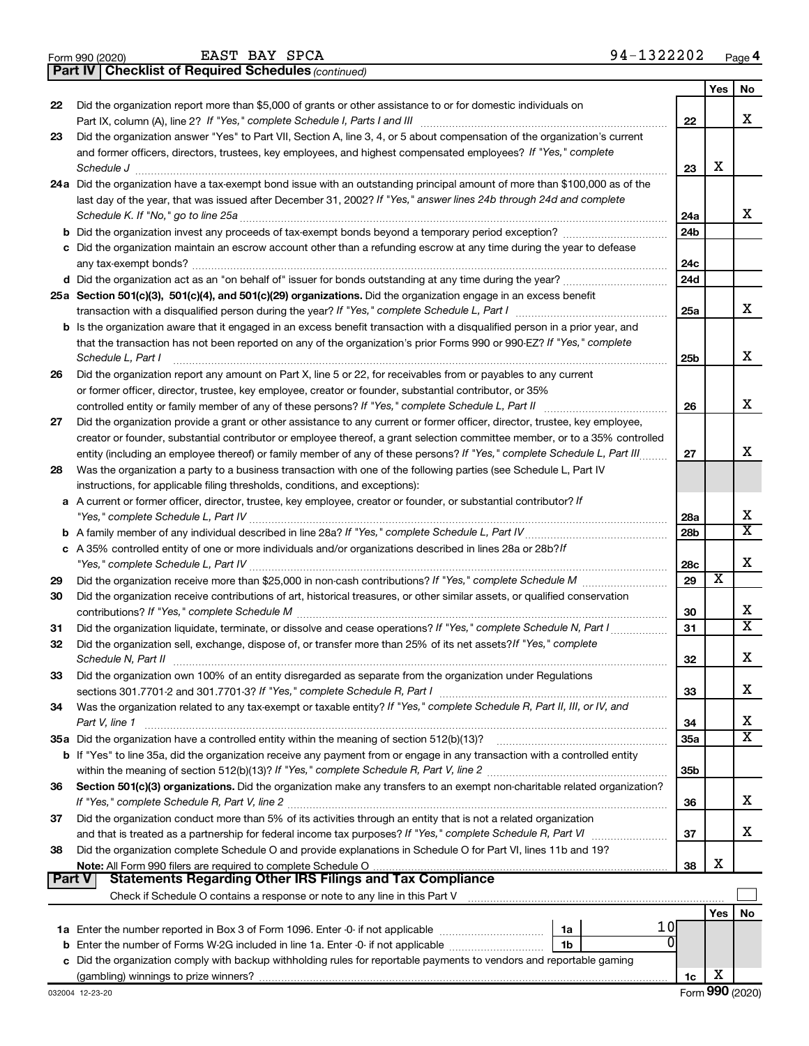|  | Form 990 (2020) |  |
|--|-----------------|--|
|  |                 |  |

EAST BAY SPCA

*(continued)* **Part IV Checklist of Required Schedules**

|    |                                                                                                                                                                                                                                         |                 | Yes | No                      |
|----|-----------------------------------------------------------------------------------------------------------------------------------------------------------------------------------------------------------------------------------------|-----------------|-----|-------------------------|
| 22 | Did the organization report more than \$5,000 of grants or other assistance to or for domestic individuals on                                                                                                                           |                 |     |                         |
|    | Part IX, column (A), line 2? If "Yes," complete Schedule I, Parts I and III                                                                                                                                                             | 22              |     | x                       |
| 23 | Did the organization answer "Yes" to Part VII, Section A, line 3, 4, or 5 about compensation of the organization's current                                                                                                              |                 |     |                         |
|    | and former officers, directors, trustees, key employees, and highest compensated employees? If "Yes," complete                                                                                                                          |                 |     |                         |
|    | Schedule J                                                                                                                                                                                                                              | 23              | х   |                         |
|    | 24a Did the organization have a tax-exempt bond issue with an outstanding principal amount of more than \$100,000 as of the                                                                                                             |                 |     |                         |
|    | last day of the year, that was issued after December 31, 2002? If "Yes," answer lines 24b through 24d and complete                                                                                                                      |                 |     |                         |
|    | Schedule K. If "No," go to line 25a                                                                                                                                                                                                     | 24a             |     | x                       |
|    |                                                                                                                                                                                                                                         | 24 <sub>b</sub> |     |                         |
|    | c Did the organization maintain an escrow account other than a refunding escrow at any time during the year to defease                                                                                                                  |                 |     |                         |
|    |                                                                                                                                                                                                                                         | 24c             |     |                         |
|    |                                                                                                                                                                                                                                         | 24d             |     |                         |
|    | 25a Section 501(c)(3), 501(c)(4), and 501(c)(29) organizations. Did the organization engage in an excess benefit                                                                                                                        |                 |     | x                       |
|    |                                                                                                                                                                                                                                         | 25a             |     |                         |
|    | <b>b</b> Is the organization aware that it engaged in an excess benefit transaction with a disqualified person in a prior year, and                                                                                                     |                 |     |                         |
|    | that the transaction has not been reported on any of the organization's prior Forms 990 or 990-EZ? If "Yes," complete                                                                                                                   |                 |     | x                       |
|    | Schedule L, Part I                                                                                                                                                                                                                      | 25b             |     |                         |
| 26 | Did the organization report any amount on Part X, line 5 or 22, for receivables from or payables to any current<br>or former officer, director, trustee, key employee, creator or founder, substantial contributor, or 35%              |                 |     |                         |
|    | controlled entity or family member of any of these persons? If "Yes," complete Schedule L, Part II                                                                                                                                      | 26              |     | x                       |
| 27 | Did the organization provide a grant or other assistance to any current or former officer, director, trustee, key employee,                                                                                                             |                 |     |                         |
|    | creator or founder, substantial contributor or employee thereof, a grant selection committee member, or to a 35% controlled                                                                                                             |                 |     |                         |
|    | entity (including an employee thereof) or family member of any of these persons? If "Yes," complete Schedule L, Part III                                                                                                                | 27              |     | x                       |
| 28 | Was the organization a party to a business transaction with one of the following parties (see Schedule L, Part IV                                                                                                                       |                 |     |                         |
|    | instructions, for applicable filing thresholds, conditions, and exceptions):                                                                                                                                                            |                 |     |                         |
|    | a A current or former officer, director, trustee, key employee, creator or founder, or substantial contributor? If                                                                                                                      |                 |     |                         |
|    |                                                                                                                                                                                                                                         | 28a             |     | х                       |
|    |                                                                                                                                                                                                                                         | 28 <sub>b</sub> |     | $\overline{\mathtt{x}}$ |
|    | c A 35% controlled entity of one or more individuals and/or organizations described in lines 28a or 28b?If                                                                                                                              |                 |     |                         |
|    |                                                                                                                                                                                                                                         | 28c             |     | X                       |
| 29 |                                                                                                                                                                                                                                         | 29              | х   |                         |
| 30 | Did the organization receive contributions of art, historical treasures, or other similar assets, or qualified conservation                                                                                                             |                 |     |                         |
|    |                                                                                                                                                                                                                                         | 30              |     | х                       |
| 31 | Did the organization liquidate, terminate, or dissolve and cease operations? If "Yes," complete Schedule N, Part I                                                                                                                      | 31              |     | $\overline{\mathtt{x}}$ |
| 32 | Did the organization sell, exchange, dispose of, or transfer more than 25% of its net assets? If "Yes," complete                                                                                                                        |                 |     |                         |
|    | Schedule N, Part II                                                                                                                                                                                                                     | 32              |     | X                       |
| 33 | Did the organization own 100% of an entity disregarded as separate from the organization under Regulations                                                                                                                              |                 |     |                         |
|    |                                                                                                                                                                                                                                         | 33              |     | х                       |
| 34 | Was the organization related to any tax-exempt or taxable entity? If "Yes," complete Schedule R, Part II, III, or IV, and                                                                                                               |                 |     |                         |
|    | Part V, line 1                                                                                                                                                                                                                          | 34              |     | х                       |
|    |                                                                                                                                                                                                                                         | 35a             |     | $\overline{\texttt{X}}$ |
|    | b If "Yes" to line 35a, did the organization receive any payment from or engage in any transaction with a controlled entity                                                                                                             |                 |     |                         |
|    |                                                                                                                                                                                                                                         | 35b             |     |                         |
| 36 | Section 501(c)(3) organizations. Did the organization make any transfers to an exempt non-charitable related organization?                                                                                                              |                 |     |                         |
|    |                                                                                                                                                                                                                                         | 36              |     | x                       |
| 37 | Did the organization conduct more than 5% of its activities through an entity that is not a related organization                                                                                                                        |                 |     |                         |
|    | and that is treated as a partnership for federal income tax purposes? If "Yes," complete Schedule R, Part VI                                                                                                                            | 37              |     | x                       |
| 38 | Did the organization complete Schedule O and provide explanations in Schedule O for Part VI, lines 11b and 19?                                                                                                                          |                 |     |                         |
|    |                                                                                                                                                                                                                                         | 38              | х   |                         |
|    | <b>Part V</b><br><b>Statements Regarding Other IRS Filings and Tax Compliance</b>                                                                                                                                                       |                 |     |                         |
|    |                                                                                                                                                                                                                                         |                 |     |                         |
|    | 10                                                                                                                                                                                                                                      |                 | Yes | No                      |
|    | 1a<br>0                                                                                                                                                                                                                                 |                 |     |                         |
| c  | <b>b</b> Enter the number of Forms W-2G included in line 1a. Enter -0- if not applicable <i>manumumumum</i><br>1b<br>Did the organization comply with backup withholding rules for reportable payments to vendors and reportable gaming |                 |     |                         |
|    |                                                                                                                                                                                                                                         | 1c              | х   |                         |
|    |                                                                                                                                                                                                                                         |                 |     |                         |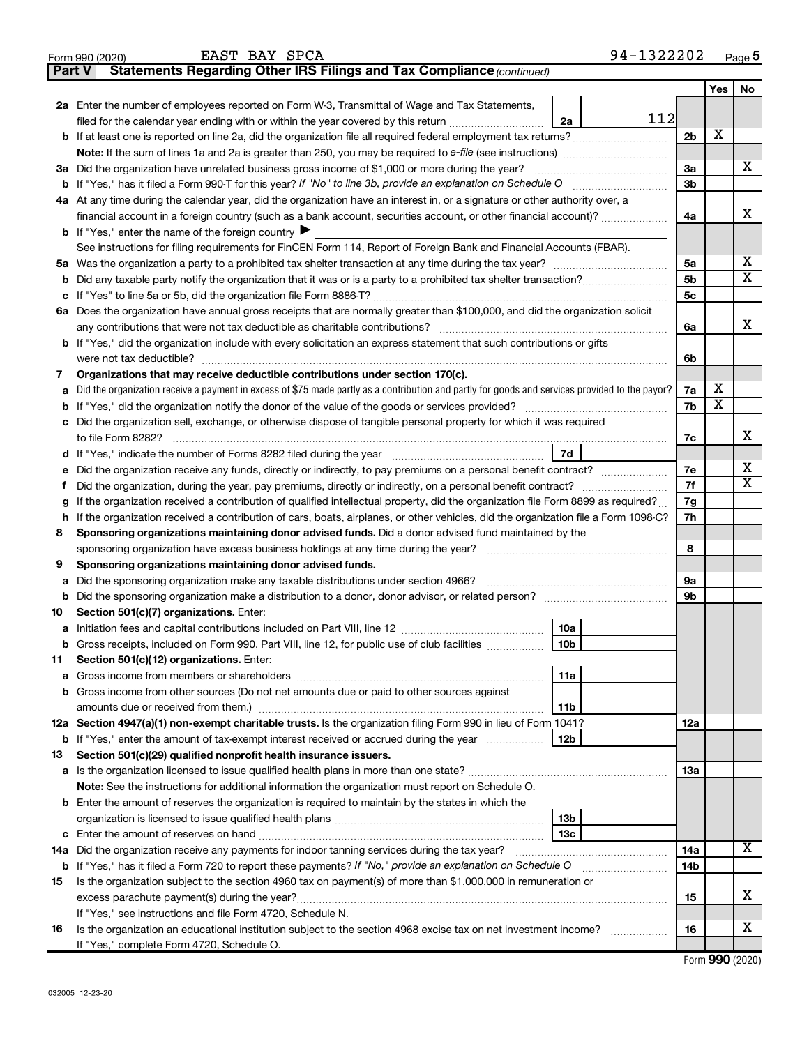| Part V | <b>Statements Regarding Other IRS Filings and Tax Compliance (continued)</b>                                                                    |                |                         |                       |  |  |  |  |
|--------|-------------------------------------------------------------------------------------------------------------------------------------------------|----------------|-------------------------|-----------------------|--|--|--|--|
|        |                                                                                                                                                 |                | Yes                     | No                    |  |  |  |  |
|        | 2a Enter the number of employees reported on Form W-3, Transmittal of Wage and Tax Statements,                                                  |                |                         |                       |  |  |  |  |
|        | 112<br>filed for the calendar year ending with or within the year covered by this return<br>2a                                                  |                |                         |                       |  |  |  |  |
| b      |                                                                                                                                                 | 2 <sub>b</sub> | X                       |                       |  |  |  |  |
|        |                                                                                                                                                 |                |                         |                       |  |  |  |  |
|        | 3a Did the organization have unrelated business gross income of \$1,000 or more during the year?                                                | За             |                         | x                     |  |  |  |  |
| b      |                                                                                                                                                 | 3b             |                         |                       |  |  |  |  |
|        | 4a At any time during the calendar year, did the organization have an interest in, or a signature or other authority over, a                    |                |                         |                       |  |  |  |  |
|        | financial account in a foreign country (such as a bank account, securities account, or other financial account)?                                |                |                         |                       |  |  |  |  |
|        | <b>b</b> If "Yes," enter the name of the foreign country $\blacktriangleright$                                                                  |                |                         |                       |  |  |  |  |
|        | See instructions for filing requirements for FinCEN Form 114, Report of Foreign Bank and Financial Accounts (FBAR).                             |                |                         |                       |  |  |  |  |
| 5a     |                                                                                                                                                 | 5a             |                         | х                     |  |  |  |  |
| b      |                                                                                                                                                 | 5 <sub>b</sub> |                         | $\overline{\text{X}}$ |  |  |  |  |
| с      |                                                                                                                                                 | 5c             |                         |                       |  |  |  |  |
|        | 6a Does the organization have annual gross receipts that are normally greater than \$100,000, and did the organization solicit                  |                |                         |                       |  |  |  |  |
|        |                                                                                                                                                 | 6a             |                         | х                     |  |  |  |  |
| b      | If "Yes," did the organization include with every solicitation an express statement that such contributions or gifts                            |                |                         |                       |  |  |  |  |
|        | were not tax deductible?                                                                                                                        | 6b             |                         |                       |  |  |  |  |
| 7      | Organizations that may receive deductible contributions under section 170(c).                                                                   |                |                         |                       |  |  |  |  |
| a      | Did the organization receive a payment in excess of \$75 made partly as a contribution and partly for goods and services provided to the payor? | 7a             | х                       |                       |  |  |  |  |
| b      |                                                                                                                                                 | 7b             | $\overline{\mathbf{X}}$ |                       |  |  |  |  |
| с      | Did the organization sell, exchange, or otherwise dispose of tangible personal property for which it was required                               |                |                         |                       |  |  |  |  |
|        |                                                                                                                                                 | 7c             |                         | х                     |  |  |  |  |
| d      | 7d                                                                                                                                              |                |                         | х                     |  |  |  |  |
| е      | Did the organization receive any funds, directly or indirectly, to pay premiums on a personal benefit contract?                                 |                |                         |                       |  |  |  |  |
| f      |                                                                                                                                                 | 7f             |                         | X                     |  |  |  |  |
|        | If the organization received a contribution of qualified intellectual property, did the organization file Form 8899 as required?                | 7g             |                         |                       |  |  |  |  |
| h      | If the organization received a contribution of cars, boats, airplanes, or other vehicles, did the organization file a Form 1098-C?              | 7h             |                         |                       |  |  |  |  |
| 8      | Sponsoring organizations maintaining donor advised funds. Did a donor advised fund maintained by the                                            |                |                         |                       |  |  |  |  |
|        |                                                                                                                                                 | 8              |                         |                       |  |  |  |  |
| 9      | Sponsoring organizations maintaining donor advised funds.                                                                                       |                |                         |                       |  |  |  |  |
| а      | Did the sponsoring organization make any taxable distributions under section 4966?                                                              | <b>9a</b>      |                         |                       |  |  |  |  |
| b      |                                                                                                                                                 | 9 <sub>b</sub> |                         |                       |  |  |  |  |
| 10     | Section 501(c)(7) organizations. Enter:                                                                                                         |                |                         |                       |  |  |  |  |
| а      | 10a                                                                                                                                             |                |                         |                       |  |  |  |  |
|        | 10 <sub>b</sub><br>Gross receipts, included on Form 990, Part VIII, line 12, for public use of club facilities                                  |                |                         |                       |  |  |  |  |
| 11     | Section 501(c)(12) organizations. Enter:                                                                                                        |                |                         |                       |  |  |  |  |
| а      | 11a<br>Gross income from other sources (Do not net amounts due or paid to other sources against                                                 |                |                         |                       |  |  |  |  |
| b      | amounts due or received from them.)<br>11b                                                                                                      |                |                         |                       |  |  |  |  |
|        | 12a Section 4947(a)(1) non-exempt charitable trusts. Is the organization filing Form 990 in lieu of Form 1041?                                  | 12a            |                         |                       |  |  |  |  |
|        | 12 <sub>b</sub><br><b>b</b> If "Yes," enter the amount of tax-exempt interest received or accrued during the year                               |                |                         |                       |  |  |  |  |
| 13     | Section 501(c)(29) qualified nonprofit health insurance issuers.                                                                                |                |                         |                       |  |  |  |  |
| a      | Is the organization licensed to issue qualified health plans in more than one state?                                                            | 13a            |                         |                       |  |  |  |  |
|        | Note: See the instructions for additional information the organization must report on Schedule O.                                               |                |                         |                       |  |  |  |  |
| b      | Enter the amount of reserves the organization is required to maintain by the states in which the                                                |                |                         |                       |  |  |  |  |
|        | 13 <sub>b</sub>                                                                                                                                 |                |                         |                       |  |  |  |  |
| с      | 13c                                                                                                                                             |                |                         |                       |  |  |  |  |
| 14a    | Did the organization receive any payments for indoor tanning services during the tax year?                                                      | 14a            |                         | x                     |  |  |  |  |
|        | <b>b</b> If "Yes," has it filed a Form 720 to report these payments? If "No," provide an explanation on Schedule O                              | 14b            |                         |                       |  |  |  |  |
| 15     | Is the organization subject to the section 4960 tax on payment(s) of more than \$1,000,000 in remuneration or                                   |                |                         |                       |  |  |  |  |
|        | excess parachute payment(s) during the year?                                                                                                    | 15             |                         | х                     |  |  |  |  |
|        | If "Yes," see instructions and file Form 4720, Schedule N.                                                                                      |                |                         |                       |  |  |  |  |
| 16     | Is the organization an educational institution subject to the section 4968 excise tax on net investment income?                                 | 16             |                         | х                     |  |  |  |  |
|        | If "Yes," complete Form 4720, Schedule O.                                                                                                       |                |                         |                       |  |  |  |  |
|        |                                                                                                                                                 |                | $\mathbf{A}$            |                       |  |  |  |  |

Form (2020) **990**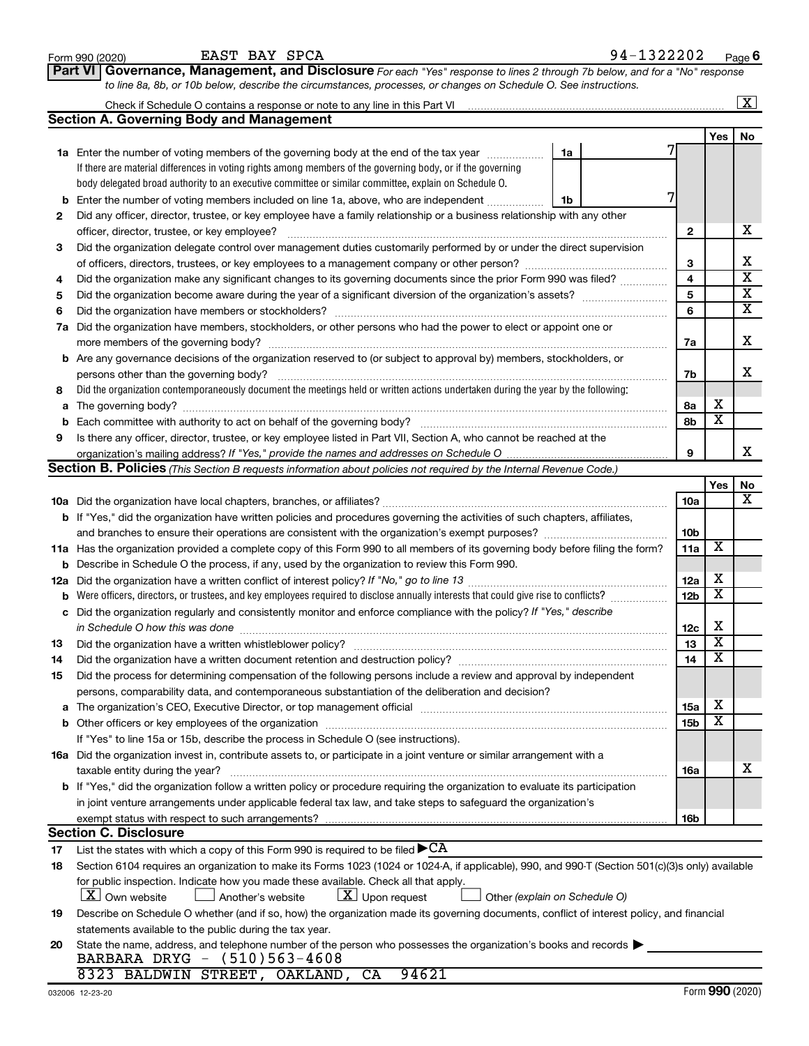|     | Part VI Governance, Management, and Disclosure For each "Yes" response to lines 2 through 7b below, and for a "No" response                                                                                                    |     |                         |                         |  |  |  |  |  |
|-----|--------------------------------------------------------------------------------------------------------------------------------------------------------------------------------------------------------------------------------|-----|-------------------------|-------------------------|--|--|--|--|--|
|     | to line 8a, 8b, or 10b below, describe the circumstances, processes, or changes on Schedule O. See instructions.                                                                                                               |     |                         |                         |  |  |  |  |  |
|     |                                                                                                                                                                                                                                |     |                         | $\overline{\mathbf{x}}$ |  |  |  |  |  |
|     | <b>Section A. Governing Body and Management</b>                                                                                                                                                                                |     |                         |                         |  |  |  |  |  |
|     |                                                                                                                                                                                                                                |     | Yes                     | No                      |  |  |  |  |  |
|     | 1a Enter the number of voting members of the governing body at the end of the tax year<br>1a                                                                                                                                   |     |                         |                         |  |  |  |  |  |
|     | If there are material differences in voting rights among members of the governing body, or if the governing                                                                                                                    |     |                         |                         |  |  |  |  |  |
|     | body delegated broad authority to an executive committee or similar committee, explain on Schedule O.                                                                                                                          |     |                         |                         |  |  |  |  |  |
| b   | Enter the number of voting members included on line 1a, above, who are independent<br>1b                                                                                                                                       |     |                         |                         |  |  |  |  |  |
| 2   | Did any officer, director, trustee, or key employee have a family relationship or a business relationship with any other                                                                                                       |     |                         |                         |  |  |  |  |  |
|     | officer, director, trustee, or key employee?                                                                                                                                                                                   | 2   |                         | х                       |  |  |  |  |  |
| 3   | Did the organization delegate control over management duties customarily performed by or under the direct supervision                                                                                                          |     |                         |                         |  |  |  |  |  |
|     |                                                                                                                                                                                                                                | З   |                         | х                       |  |  |  |  |  |
| 4   | Did the organization make any significant changes to its governing documents since the prior Form 990 was filed?                                                                                                               | 4   |                         | $\overline{\textbf{x}}$ |  |  |  |  |  |
| 5   |                                                                                                                                                                                                                                | 5   |                         | $\overline{\mathbf{X}}$ |  |  |  |  |  |
| 6   |                                                                                                                                                                                                                                | 6   |                         | $\overline{\textbf{X}}$ |  |  |  |  |  |
| 7a  | Did the organization have members, stockholders, or other persons who had the power to elect or appoint one or                                                                                                                 |     |                         |                         |  |  |  |  |  |
|     |                                                                                                                                                                                                                                | 7a  |                         | х                       |  |  |  |  |  |
| b   | Are any governance decisions of the organization reserved to (or subject to approval by) members, stockholders, or                                                                                                             |     |                         |                         |  |  |  |  |  |
|     | persons other than the governing body?                                                                                                                                                                                         | 7b  |                         | x                       |  |  |  |  |  |
| 8   | Did the organization contemporaneously document the meetings held or written actions undertaken during the year by the following:                                                                                              |     |                         |                         |  |  |  |  |  |
| а   |                                                                                                                                                                                                                                | 8а  | х                       |                         |  |  |  |  |  |
| b   | Each committee with authority to act on behalf of the governing body?                                                                                                                                                          | 8b  | $\overline{\mathbf{x}}$ |                         |  |  |  |  |  |
| 9   | Is there any officer, director, trustee, or key employee listed in Part VII, Section A, who cannot be reached at the                                                                                                           |     |                         |                         |  |  |  |  |  |
|     |                                                                                                                                                                                                                                | 9   |                         | х                       |  |  |  |  |  |
|     | <b>Section B. Policies</b> (This Section B requests information about policies not required by the Internal Revenue Code.)                                                                                                     |     |                         |                         |  |  |  |  |  |
|     |                                                                                                                                                                                                                                |     | Yes                     | No                      |  |  |  |  |  |
|     |                                                                                                                                                                                                                                | 10a |                         | x                       |  |  |  |  |  |
|     | <b>b</b> If "Yes," did the organization have written policies and procedures governing the activities of such chapters, affiliates,                                                                                            |     |                         |                         |  |  |  |  |  |
|     |                                                                                                                                                                                                                                | 10b |                         |                         |  |  |  |  |  |
|     | 11a Has the organization provided a complete copy of this Form 990 to all members of its governing body before filing the form?                                                                                                | 11a | X                       |                         |  |  |  |  |  |
| b   | Describe in Schedule O the process, if any, used by the organization to review this Form 990.                                                                                                                                  |     |                         |                         |  |  |  |  |  |
| 12a |                                                                                                                                                                                                                                | 12a | х                       |                         |  |  |  |  |  |
| b   | Were officers, directors, or trustees, and key employees required to disclose annually interests that could give rise to conflicts?                                                                                            | 12b | $\overline{\mathbf{X}}$ |                         |  |  |  |  |  |
| с   | Did the organization regularly and consistently monitor and enforce compliance with the policy? If "Yes," describe                                                                                                             |     |                         |                         |  |  |  |  |  |
|     | in Schedule O how this was done <i>manually</i> contained and the Schedule O how this was done                                                                                                                                 | 12c | X                       |                         |  |  |  |  |  |
| 13  |                                                                                                                                                                                                                                | 13  | $\overline{\mathbf{X}}$ |                         |  |  |  |  |  |
| 14  | Did the organization have a written document retention and destruction policy? [111] [12] manument content and the organization have a written document retention and destruction policy?                                      | 14  | $\overline{\text{x}}$   |                         |  |  |  |  |  |
| 15  | Did the process for determining compensation of the following persons include a review and approval by independent                                                                                                             |     |                         |                         |  |  |  |  |  |
|     | persons, comparability data, and contemporaneous substantiation of the deliberation and decision?                                                                                                                              |     |                         |                         |  |  |  |  |  |
|     | The organization's CEO, Executive Director, or top management official manufactured content of the organization's CEO, Executive Director, or top management official manufactured content of the state of the state of the st | 15a | х                       |                         |  |  |  |  |  |
|     |                                                                                                                                                                                                                                | 15b | $\overline{\textbf{x}}$ |                         |  |  |  |  |  |
|     | If "Yes" to line 15a or 15b, describe the process in Schedule O (see instructions).                                                                                                                                            |     |                         |                         |  |  |  |  |  |
|     | 16a Did the organization invest in, contribute assets to, or participate in a joint venture or similar arrangement with a                                                                                                      |     |                         |                         |  |  |  |  |  |
|     | taxable entity during the year?                                                                                                                                                                                                | 16a |                         | x                       |  |  |  |  |  |
|     | <b>b</b> If "Yes," did the organization follow a written policy or procedure requiring the organization to evaluate its participation                                                                                          |     |                         |                         |  |  |  |  |  |
|     | in joint venture arrangements under applicable federal tax law, and take steps to safeguard the organization's                                                                                                                 |     |                         |                         |  |  |  |  |  |
|     | exempt status with respect to such arrangements?                                                                                                                                                                               | 16b |                         |                         |  |  |  |  |  |
|     | <b>Section C. Disclosure</b>                                                                                                                                                                                                   |     |                         |                         |  |  |  |  |  |
| 17  | List the states with which a copy of this Form 990 is required to be filed $\blacktriangleright$ CA                                                                                                                            |     |                         |                         |  |  |  |  |  |
| 18  | Section 6104 requires an organization to make its Forms 1023 (1024 or 1024-A, if applicable), 990, and 990-T (Section 501(c)(3)s only) available                                                                               |     |                         |                         |  |  |  |  |  |
|     | for public inspection. Indicate how you made these available. Check all that apply.                                                                                                                                            |     |                         |                         |  |  |  |  |  |
|     | $\lfloor X \rfloor$ Own website<br>$\lfloor \underline{X} \rfloor$ Upon request<br>∫ Another's website<br>Other (explain on Schedule O)                                                                                        |     |                         |                         |  |  |  |  |  |
| 19  | Describe on Schedule O whether (and if so, how) the organization made its governing documents, conflict of interest policy, and financial                                                                                      |     |                         |                         |  |  |  |  |  |
|     | statements available to the public during the tax year.                                                                                                                                                                        |     |                         |                         |  |  |  |  |  |
| 20  | State the name, address, and telephone number of the person who possesses the organization's books and records                                                                                                                 |     |                         |                         |  |  |  |  |  |
|     | BARBARA DRYG - (510)563-4608                                                                                                                                                                                                   |     |                         |                         |  |  |  |  |  |
|     | 8323 BALDWIN STREET, OAKLAND, CA<br>94621                                                                                                                                                                                      |     |                         |                         |  |  |  |  |  |

Form 990 (2020) Page EAST BAY SPCA 94-1322202

**6**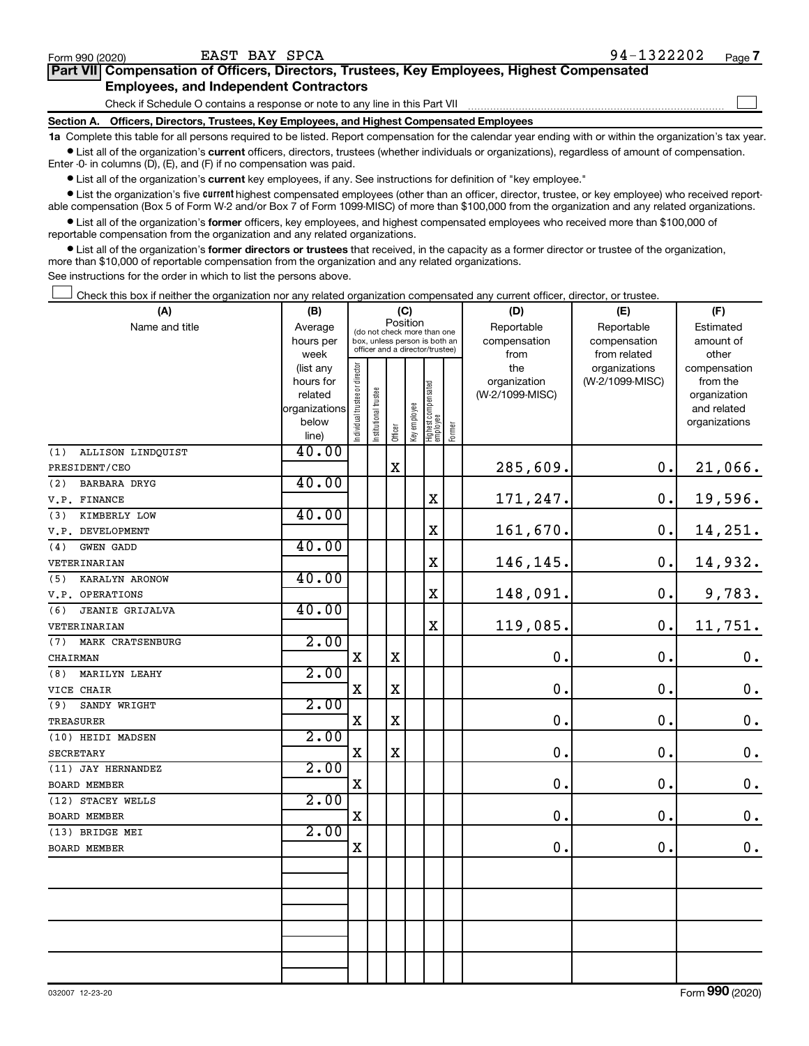$\Box$ 

| Part VII Compensation of Officers, Directors, Trustees, Key Employees, Highest Compensated |  |  |
|--------------------------------------------------------------------------------------------|--|--|
| <b>Employees, and Independent Contractors</b>                                              |  |  |

Check if Schedule O contains a response or note to any line in this Part VII

**Section A. Officers, Directors, Trustees, Key Employees, and Highest Compensated Employees**

**1a**  Complete this table for all persons required to be listed. Report compensation for the calendar year ending with or within the organization's tax year.  $\bullet$  List all of the organization's current officers, directors, trustees (whether individuals or organizations), regardless of amount of compensation.

Enter -0- in columns (D), (E), and (F) if no compensation was paid.

**•** List all of the organization's current key employees, if any. See instructions for definition of "key employee."

• List the organization's five *current* highest compensated employees (other than an officer, director, trustee, or key employee) who received reportable compensation (Box 5 of Form W-2 and/or Box 7 of Form 1099-MISC) of more than \$100,000 from the organization and any related organizations.

 $\bullet$  List all of the organization's former officers, key employees, and highest compensated employees who received more than \$100,000 of reportable compensation from the organization and any related organizations.

**•** List all of the organization's former directors or trustees that received, in the capacity as a former director or trustee of the organization, more than \$10,000 of reportable compensation from the organization and any related organizations.

See instructions for the order in which to list the persons above.

Check this box if neither the organization nor any related organization compensated any current officer, director, or trustee.  $\Box$ 

| (A)                           | (B)               | (C)                                     |                       |                                                                  |              |                                   |            | (D)             | (E)                           | (F)                   |
|-------------------------------|-------------------|-----------------------------------------|-----------------------|------------------------------------------------------------------|--------------|-----------------------------------|------------|-----------------|-------------------------------|-----------------------|
| Name and title                | Average           | Position<br>(do not check more than one |                       |                                                                  |              |                                   | Reportable | Reportable      | Estimated                     |                       |
|                               | hours per         |                                         |                       | box, unless person is both an<br>officer and a director/trustee) |              |                                   |            | compensation    | compensation                  | amount of             |
|                               | week<br>(list any |                                         |                       |                                                                  |              |                                   |            | from<br>the     | from related<br>organizations | other<br>compensation |
|                               | hours for         |                                         |                       |                                                                  |              |                                   |            | organization    | (W-2/1099-MISC)               | from the              |
|                               | related           |                                         |                       |                                                                  |              |                                   |            | (W-2/1099-MISC) |                               | organization          |
|                               | organizations     |                                         |                       |                                                                  |              |                                   |            |                 |                               | and related           |
|                               | below             | Individual trustee or director          | Institutional trustee |                                                                  | Key employee | Highest compensated<br>  employee |            |                 |                               | organizations         |
|                               | line)             |                                         |                       | Officer                                                          |              |                                   | Former     |                 |                               |                       |
| ALLISON LINDQUIST<br>(1)      | 40.00             |                                         |                       |                                                                  |              |                                   |            |                 |                               |                       |
| PRESIDENT/CEO                 |                   |                                         |                       | $\mathbf X$                                                      |              |                                   |            | 285,609.        | 0.                            | 21,066.               |
| (2)<br>BARBARA DRYG           | 40.00             |                                         |                       |                                                                  |              |                                   |            |                 |                               |                       |
| V.P. FINANCE                  |                   |                                         |                       |                                                                  |              | X                                 |            | 171,247.        | 0.                            | 19,596.               |
| KIMBERLY LOW<br>(3)           | 40.00             |                                         |                       |                                                                  |              |                                   |            |                 |                               |                       |
| V.P. DEVELOPMENT              |                   |                                         |                       |                                                                  |              | $\mathbf x$                       |            | 161,670.        | 0.                            | 14,251.               |
| (4)<br><b>GWEN GADD</b>       | 40.00             |                                         |                       |                                                                  |              |                                   |            |                 |                               |                       |
| VETERINARIAN                  |                   |                                         |                       |                                                                  |              | X                                 |            | 146,145.        | 0.                            | 14,932.               |
| (5)<br>KARALYN ARONOW         | 40.00             |                                         |                       |                                                                  |              |                                   |            |                 |                               |                       |
| V.P. OPERATIONS               |                   |                                         |                       |                                                                  |              | $\mathbf X$                       |            | 148,091.        | 0.                            | 9,783.                |
| <b>JEANIE GRIJALVA</b><br>(6) | 40.00             |                                         |                       |                                                                  |              |                                   |            |                 |                               |                       |
| VETERINARIAN                  |                   |                                         |                       |                                                                  |              | X                                 |            | 119,085.        | 0.                            | 11,751.               |
| (7)<br>MARK CRATSENBURG       | 2.00              |                                         |                       |                                                                  |              |                                   |            |                 |                               |                       |
| CHAIRMAN                      |                   | $\mathbf X$                             |                       | $\mathbf X$                                                      |              |                                   |            | $\mathbf{0}$ .  | 0.                            | $\mathbf 0$ .         |
| MARILYN LEAHY<br>(8)          | 2.00              |                                         |                       |                                                                  |              |                                   |            |                 |                               |                       |
| VICE CHAIR                    |                   | X                                       |                       | $\mathbf X$                                                      |              |                                   |            | 0.              | 0.                            | $\mathbf 0$ .         |
| (9)<br>SANDY WRIGHT           | 2.00              |                                         |                       |                                                                  |              |                                   |            |                 |                               |                       |
| <b>TREASURER</b>              |                   | $\mathbf X$                             |                       | $\mathbf X$                                                      |              |                                   |            | 0.              | $\mathbf 0$ .                 | $\mathbf 0$ .         |
| (10) HEIDI MADSEN             | 2.00              |                                         |                       |                                                                  |              |                                   |            |                 |                               |                       |
| <b>SECRETARY</b>              |                   | X                                       |                       | $\mathbf X$                                                      |              |                                   |            | $\mathbf 0$ .   | 0.                            | $\mathbf 0$ .         |
| (11) JAY HERNANDEZ            | 2.00              |                                         |                       |                                                                  |              |                                   |            |                 |                               |                       |
| BOARD MEMBER                  |                   | $\mathbf X$                             |                       |                                                                  |              |                                   |            | $\mathbf 0$ .   | $\mathbf 0$ .                 | $\mathbf 0$ .         |
| (12) STACEY WELLS             | 2.00              |                                         |                       |                                                                  |              |                                   |            |                 |                               |                       |
| <b>BOARD MEMBER</b>           |                   | X                                       |                       |                                                                  |              |                                   |            | $\mathbf 0$     | $\mathbf 0$ .                 | $\mathbf 0$ .         |
| (13) BRIDGE MEI               | 2.00              |                                         |                       |                                                                  |              |                                   |            |                 |                               |                       |
| BOARD MEMBER                  |                   | X                                       |                       |                                                                  |              |                                   |            | $\mathbf 0$     | $\mathbf 0$ .                 | $0$ .                 |
|                               |                   |                                         |                       |                                                                  |              |                                   |            |                 |                               |                       |
|                               |                   |                                         |                       |                                                                  |              |                                   |            |                 |                               |                       |
|                               |                   |                                         |                       |                                                                  |              |                                   |            |                 |                               |                       |
|                               |                   |                                         |                       |                                                                  |              |                                   |            |                 |                               |                       |
|                               |                   |                                         |                       |                                                                  |              |                                   |            |                 |                               |                       |
|                               |                   |                                         |                       |                                                                  |              |                                   |            |                 |                               |                       |
|                               |                   |                                         |                       |                                                                  |              |                                   |            |                 |                               |                       |
|                               |                   |                                         |                       |                                                                  |              |                                   |            |                 |                               |                       |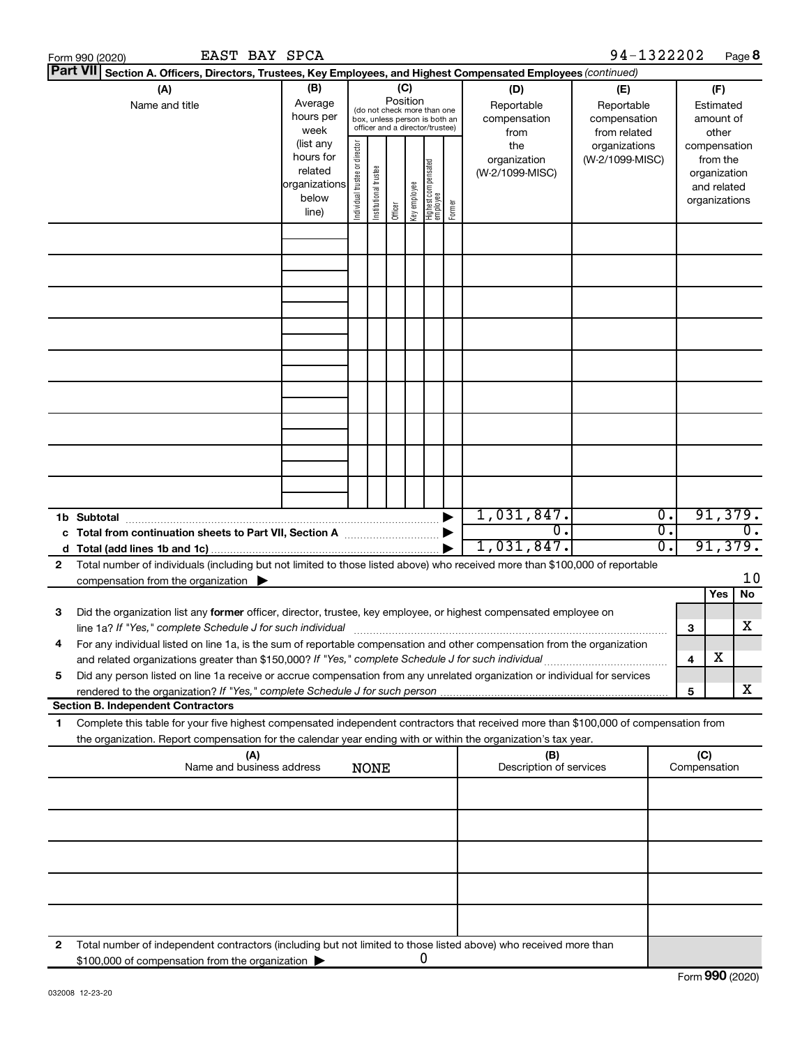|                 | EAST BAY SPCA<br>Form 990 (2020)                                                                                                                                                                                                                               |                                                  |                       |                                                                                                                    |              |                                   |        |                                        |                                                                                                | 94-1322202 |                                      |                                                          | Page 8                      |  |
|-----------------|----------------------------------------------------------------------------------------------------------------------------------------------------------------------------------------------------------------------------------------------------------------|--------------------------------------------------|-----------------------|--------------------------------------------------------------------------------------------------------------------|--------------|-----------------------------------|--------|----------------------------------------|------------------------------------------------------------------------------------------------|------------|--------------------------------------|----------------------------------------------------------|-----------------------------|--|
| <b>Part VII</b> | Section A. Officers, Directors, Trustees, Key Employees, and Highest Compensated Employees (continued)                                                                                                                                                         |                                                  |                       |                                                                                                                    |              |                                   |        |                                        |                                                                                                |            |                                      |                                                          |                             |  |
|                 | (A)<br>Name and title                                                                                                                                                                                                                                          | (B)<br>Average<br>hours per<br>week<br>(list any |                       | (C)<br>Position<br>(do not check more than one<br>box, unless person is both an<br>officer and a director/trustee) |              |                                   |        |                                        | (D)<br>(E)<br>Reportable<br>Reportable<br>compensation<br>compensation<br>from related<br>from |            |                                      | (F)<br>Estimated<br>amount of<br>other<br>compensation   |                             |  |
|                 |                                                                                                                                                                                                                                                                | Individual trustee or director                   | Institutional trustee | Officer                                                                                                            | Key employee | Highest compensated<br>  employee | Former | the<br>organization<br>(W-2/1099-MISC) | organizations<br>(W-2/1099-MISC)                                                               |            |                                      | from the<br>organization<br>and related<br>organizations |                             |  |
|                 |                                                                                                                                                                                                                                                                |                                                  |                       |                                                                                                                    |              |                                   |        |                                        |                                                                                                |            |                                      |                                                          |                             |  |
|                 |                                                                                                                                                                                                                                                                |                                                  |                       |                                                                                                                    |              |                                   |        |                                        |                                                                                                |            |                                      |                                                          |                             |  |
|                 |                                                                                                                                                                                                                                                                |                                                  |                       |                                                                                                                    |              |                                   |        |                                        |                                                                                                |            |                                      |                                                          |                             |  |
|                 |                                                                                                                                                                                                                                                                |                                                  |                       |                                                                                                                    |              |                                   |        |                                        |                                                                                                |            |                                      |                                                          |                             |  |
|                 |                                                                                                                                                                                                                                                                |                                                  |                       |                                                                                                                    |              |                                   |        |                                        |                                                                                                |            |                                      |                                                          |                             |  |
|                 |                                                                                                                                                                                                                                                                |                                                  |                       |                                                                                                                    |              |                                   |        |                                        |                                                                                                |            |                                      |                                                          |                             |  |
|                 |                                                                                                                                                                                                                                                                |                                                  |                       |                                                                                                                    |              |                                   |        |                                        |                                                                                                |            |                                      |                                                          |                             |  |
|                 |                                                                                                                                                                                                                                                                |                                                  |                       |                                                                                                                    |              |                                   |        |                                        |                                                                                                |            |                                      |                                                          |                             |  |
|                 |                                                                                                                                                                                                                                                                |                                                  |                       |                                                                                                                    |              |                                   |        |                                        |                                                                                                |            |                                      |                                                          |                             |  |
|                 |                                                                                                                                                                                                                                                                |                                                  |                       |                                                                                                                    |              |                                   |        |                                        | 1,031,847.<br>σ.                                                                               |            | $\overline{0}$ .<br>$\overline{0}$ . |                                                          | 91,379.<br>$\overline{0}$ . |  |
|                 |                                                                                                                                                                                                                                                                |                                                  |                       |                                                                                                                    |              |                                   |        |                                        | 1,031,847.                                                                                     |            | $\overline{0}$ .                     |                                                          | 91,379.                     |  |
| 2               | Total number of individuals (including but not limited to those listed above) who received more than \$100,000 of reportable                                                                                                                                   |                                                  |                       |                                                                                                                    |              |                                   |        |                                        |                                                                                                |            |                                      |                                                          |                             |  |
|                 | compensation from the organization $\blacktriangleright$                                                                                                                                                                                                       |                                                  |                       |                                                                                                                    |              |                                   |        |                                        |                                                                                                |            |                                      |                                                          | 10                          |  |
|                 |                                                                                                                                                                                                                                                                |                                                  |                       |                                                                                                                    |              |                                   |        |                                        |                                                                                                |            |                                      |                                                          | Yes<br>No                   |  |
| 3               | Did the organization list any former officer, director, trustee, key employee, or highest compensated employee on<br>line 1a? If "Yes," complete Schedule J for such individual manufactured content to the successive complete schedule J for such individual |                                                  |                       |                                                                                                                    |              |                                   |        |                                        |                                                                                                |            |                                      | З                                                        | X                           |  |
|                 | For any individual listed on line 1a, is the sum of reportable compensation and other compensation from the organization<br>and related organizations greater than \$150,000? If "Yes," complete Schedule J for such individual                                |                                                  |                       |                                                                                                                    |              |                                   |        |                                        |                                                                                                |            |                                      | 4                                                        | х                           |  |
| 5               | Did any person listed on line 1a receive or accrue compensation from any unrelated organization or individual for services                                                                                                                                     |                                                  |                       |                                                                                                                    |              |                                   |        |                                        |                                                                                                |            |                                      | 5                                                        | x                           |  |
|                 | <b>Section B. Independent Contractors</b>                                                                                                                                                                                                                      |                                                  |                       |                                                                                                                    |              |                                   |        |                                        |                                                                                                |            |                                      |                                                          |                             |  |
| 1               | Complete this table for your five highest compensated independent contractors that received more than \$100,000 of compensation from<br>the organization. Report compensation for the calendar year ending with or within the organization's tax year.         |                                                  |                       |                                                                                                                    |              |                                   |        |                                        |                                                                                                |            |                                      |                                                          |                             |  |
|                 | (A)<br>Name and business address                                                                                                                                                                                                                               |                                                  |                       | <b>NONE</b>                                                                                                        |              |                                   |        |                                        | (B)<br>Description of services                                                                 |            |                                      | (C)<br>Compensation                                      |                             |  |
|                 |                                                                                                                                                                                                                                                                |                                                  |                       |                                                                                                                    |              |                                   |        |                                        |                                                                                                |            |                                      |                                                          |                             |  |
|                 |                                                                                                                                                                                                                                                                |                                                  |                       |                                                                                                                    |              |                                   |        |                                        |                                                                                                |            |                                      |                                                          |                             |  |
|                 |                                                                                                                                                                                                                                                                |                                                  |                       |                                                                                                                    |              |                                   |        |                                        |                                                                                                |            |                                      |                                                          |                             |  |
|                 |                                                                                                                                                                                                                                                                |                                                  |                       |                                                                                                                    |              |                                   |        |                                        |                                                                                                |            |                                      |                                                          |                             |  |
| 2               | Total number of independent contractors (including but not limited to those listed above) who received more than                                                                                                                                               |                                                  |                       |                                                                                                                    |              |                                   |        |                                        |                                                                                                |            |                                      |                                                          |                             |  |
|                 | \$100,000 of compensation from the organization                                                                                                                                                                                                                |                                                  |                       |                                                                                                                    |              |                                   | 0      |                                        |                                                                                                |            |                                      |                                                          |                             |  |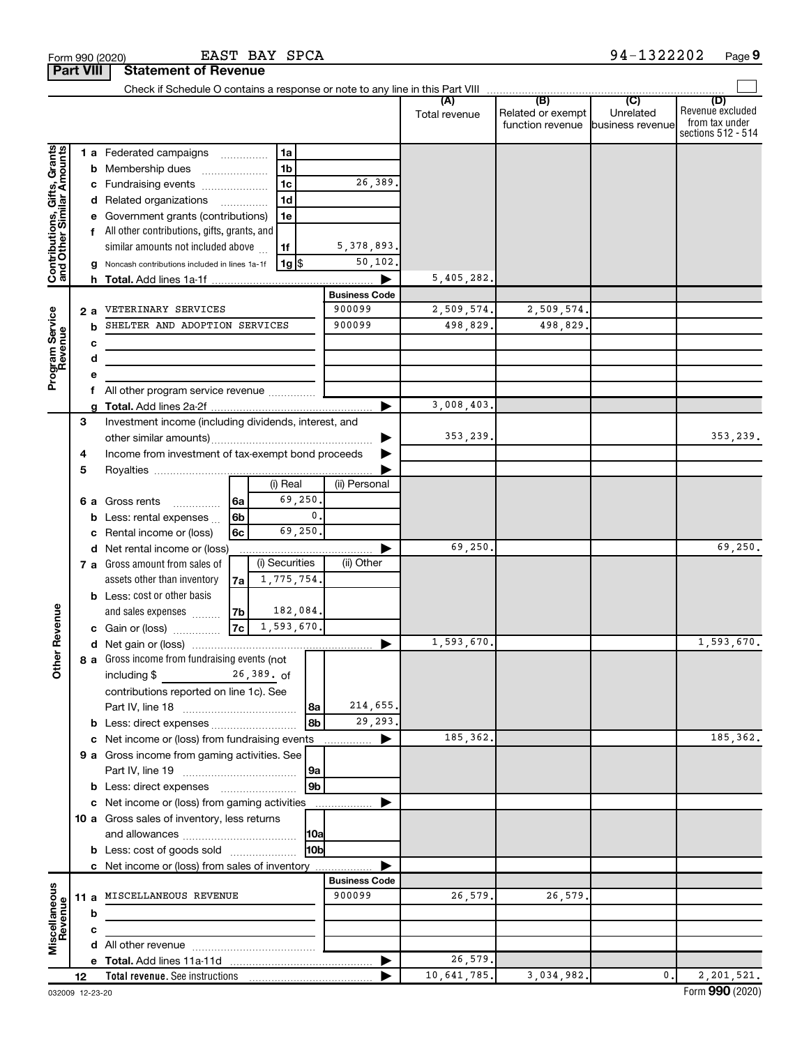| <b>Part VIII</b>                                          |    |    | Statement of Revenue                                               |                      |                |                                |               |                   |                  |                                    |
|-----------------------------------------------------------|----|----|--------------------------------------------------------------------|----------------------|----------------|--------------------------------|---------------|-------------------|------------------|------------------------------------|
|                                                           |    |    |                                                                    |                      |                |                                | (A)           | (B)               | (C)              | (D)                                |
|                                                           |    |    |                                                                    |                      |                |                                | Total revenue | Related or exempt | Unrelated        | Revenue excluded<br>from tax under |
|                                                           |    |    |                                                                    |                      |                |                                |               | function revenue  | business revenue | sections 512 - 514                 |
|                                                           |    |    | 1 a Federated campaigns                                            |                      | 1a             |                                |               |                   |                  |                                    |
| Contributions, Gifts, Grants<br>and Other Similar Amounts |    |    | <b>b</b> Membership dues                                           |                      | 1 <sub>b</sub> |                                |               |                   |                  |                                    |
|                                                           |    |    | c Fundraising events                                               |                      | 1 <sub>c</sub> | 26,389.                        |               |                   |                  |                                    |
|                                                           |    |    | d Related organizations                                            |                      | 1 <sub>d</sub> |                                |               |                   |                  |                                    |
|                                                           |    |    | e Government grants (contributions)                                |                      | 1е             |                                |               |                   |                  |                                    |
|                                                           |    |    | f All other contributions, gifts, grants, and                      |                      |                |                                |               |                   |                  |                                    |
|                                                           |    |    | similar amounts not included above                                 |                      | 1f             | 5, 378, 893.                   |               |                   |                  |                                    |
|                                                           |    | g  | Noncash contributions included in lines 1a-1f                      |                      | 1g   \$        | 50, 102.                       |               |                   |                  |                                    |
|                                                           |    |    |                                                                    |                      |                |                                | 5,405,282.    |                   |                  |                                    |
|                                                           |    |    |                                                                    |                      |                | <b>Business Code</b>           |               |                   |                  |                                    |
|                                                           |    | 2а | VETERINARY SERVICES                                                |                      |                | 900099                         | 2,509,574.    | 2,509,574.        |                  |                                    |
|                                                           |    | b  | SHELTER AND ADOPTION SERVICES                                      |                      |                | 900099                         | 498,829.      | 498,829.          |                  |                                    |
|                                                           |    | c  |                                                                    |                      |                |                                |               |                   |                  |                                    |
|                                                           |    | d  |                                                                    |                      |                |                                |               |                   |                  |                                    |
| Program Service<br>Revenue                                |    |    |                                                                    |                      |                |                                |               |                   |                  |                                    |
|                                                           |    |    | All other program service revenue                                  |                      |                |                                |               |                   |                  |                                    |
|                                                           |    | a  |                                                                    |                      |                |                                | 3,008,403.    |                   |                  |                                    |
|                                                           | 3  |    | Investment income (including dividends, interest, and              |                      |                |                                |               |                   |                  |                                    |
|                                                           |    |    |                                                                    |                      |                |                                | 353,239.      |                   |                  | 353,239.                           |
|                                                           | 4  |    | Income from investment of tax-exempt bond proceeds                 |                      |                |                                |               |                   |                  |                                    |
|                                                           | 5  |    |                                                                    |                      | (i) Real       | (ii) Personal                  |               |                   |                  |                                    |
|                                                           |    |    |                                                                    |                      |                |                                |               |                   |                  |                                    |
|                                                           |    |    | 6 a Gross rents                                                    | 6a<br>6 <sub>b</sub> | 69,250.<br>0.  |                                |               |                   |                  |                                    |
|                                                           |    |    | <b>b</b> Less: rental expenses $\ldots$<br>Rental income or (loss) | 6c                   | 69,250.        |                                |               |                   |                  |                                    |
|                                                           |    | c  | d Net rental income or (loss)                                      |                      |                |                                | 69,250.       |                   |                  | 69,250.                            |
|                                                           |    |    | 7 a Gross amount from sales of                                     |                      | (i) Securities | (ii) Other                     |               |                   |                  |                                    |
|                                                           |    |    | assets other than inventory                                        | 7a                   | 1,775,754.     |                                |               |                   |                  |                                    |
|                                                           |    |    | <b>b</b> Less: cost or other basis                                 |                      |                |                                |               |                   |                  |                                    |
|                                                           |    |    | and sales expenses                                                 | 7b                   | 182,084.       |                                |               |                   |                  |                                    |
| Revenue                                                   |    |    | c Gain or (loss)                                                   | 7c                   | 1,593,670.     |                                |               |                   |                  |                                    |
|                                                           |    |    |                                                                    |                      |                | ▶                              | 1,593,670.    |                   |                  | 1,593,670.                         |
| ৯                                                         |    |    | <b>8 a</b> Gross income from fundraising events (not               |                      |                |                                |               |                   |                  |                                    |
| 흉                                                         |    |    | including \$                                                       | 26,389. of           |                |                                |               |                   |                  |                                    |
|                                                           |    |    | contributions reported on line 1c). See                            |                      |                |                                |               |                   |                  |                                    |
|                                                           |    |    |                                                                    |                      | 8a             | 214,655.                       |               |                   |                  |                                    |
|                                                           |    |    | b Less: direct expenses                                            |                      | 8b             | 29,293.                        |               |                   |                  |                                    |
|                                                           |    |    | c Net income or (loss) from fundraising events                     |                      |                | ▶<br>.                         | 185,362.      |                   |                  | 185,362.                           |
|                                                           |    |    | 9 a Gross income from gaming activities. See                       |                      |                |                                |               |                   |                  |                                    |
|                                                           |    |    |                                                                    |                      | 9a             |                                |               |                   |                  |                                    |
|                                                           |    |    |                                                                    |                      | 9b             |                                |               |                   |                  |                                    |
|                                                           |    |    | c Net income or (loss) from gaming activities                      |                      |                | .                              |               |                   |                  |                                    |
|                                                           |    |    | 10 a Gross sales of inventory, less returns                        |                      |                |                                |               |                   |                  |                                    |
|                                                           |    |    |                                                                    |                      | 10a            |                                |               |                   |                  |                                    |
|                                                           |    |    | <b>b</b> Less: cost of goods sold                                  |                      | 10bl           |                                |               |                   |                  |                                    |
|                                                           |    |    | c Net income or (loss) from sales of inventory                     |                      |                |                                |               |                   |                  |                                    |
|                                                           |    |    | 11 a MISCELLANEOUS REVENUE                                         |                      |                | <b>Business Code</b><br>900099 | 26,579.       | 26,579.           |                  |                                    |
| Miscellaneous<br>Revenue                                  |    |    |                                                                    |                      |                |                                |               |                   |                  |                                    |
|                                                           |    | b  |                                                                    |                      |                |                                |               |                   |                  |                                    |
|                                                           |    | с  |                                                                    |                      |                |                                |               |                   |                  |                                    |
|                                                           |    |    |                                                                    |                      |                |                                | 26,579.       |                   |                  |                                    |
|                                                           | 12 |    |                                                                    |                      |                |                                | 10,641,785.   | 3,034,982.        | 0.               | 2,201,521.                         |

**Part VIII Statement Statement**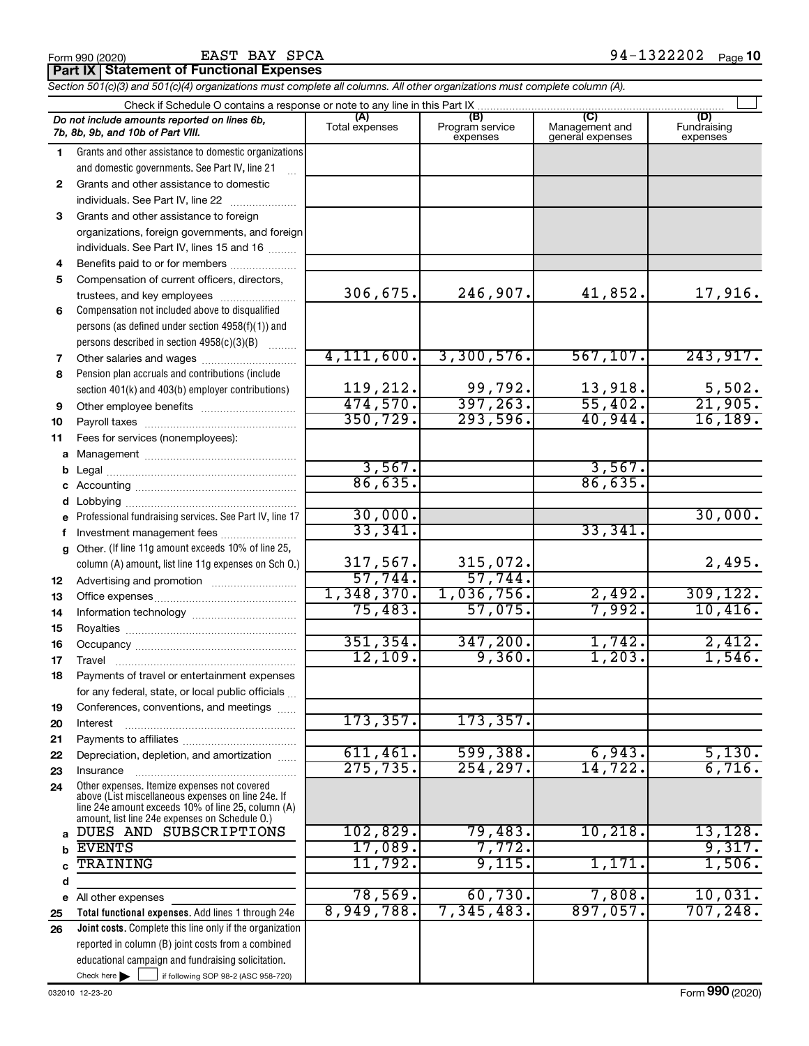#### EAST BAY SPCA

**Part IX Statement of Functional Expenses**

*Section 501(c)(3) and 501(c)(4) organizations must complete all columns. All other organizations must complete column (A).*

|              | Do not include amounts reported on lines 6b,<br>7b, 8b, 9b, and 10b of Part VIII.                  | (A)<br>Total expenses | (B)<br>Program service<br>expenses | (C)<br>Management and<br>general expenses | (D)<br>Fundraising<br>expenses |  |  |  |  |
|--------------|----------------------------------------------------------------------------------------------------|-----------------------|------------------------------------|-------------------------------------------|--------------------------------|--|--|--|--|
| 1.           | Grants and other assistance to domestic organizations                                              |                       |                                    |                                           |                                |  |  |  |  |
|              | and domestic governments. See Part IV, line 21                                                     |                       |                                    |                                           |                                |  |  |  |  |
| $\mathbf{2}$ | Grants and other assistance to domestic                                                            |                       |                                    |                                           |                                |  |  |  |  |
|              | individuals. See Part IV, line 22                                                                  |                       |                                    |                                           |                                |  |  |  |  |
| 3            | Grants and other assistance to foreign                                                             |                       |                                    |                                           |                                |  |  |  |  |
|              | organizations, foreign governments, and foreign                                                    |                       |                                    |                                           |                                |  |  |  |  |
|              | individuals. See Part IV, lines 15 and 16                                                          |                       |                                    |                                           |                                |  |  |  |  |
| 4            | Benefits paid to or for members                                                                    |                       |                                    |                                           |                                |  |  |  |  |
| 5            | Compensation of current officers, directors,                                                       |                       |                                    |                                           |                                |  |  |  |  |
|              | trustees, and key employees                                                                        | 306,675.              | 246,907.                           | 41,852.                                   | 17,916.                        |  |  |  |  |
| 6            | Compensation not included above to disqualified                                                    |                       |                                    |                                           |                                |  |  |  |  |
|              | persons (as defined under section 4958(f)(1)) and                                                  |                       |                                    |                                           |                                |  |  |  |  |
|              | persons described in section 4958(c)(3)(B)                                                         |                       |                                    |                                           |                                |  |  |  |  |
| 7            | Other salaries and wages                                                                           | 4, 111, 600.          | 3,300,576.                         | 567, 107.                                 | 243,917.                       |  |  |  |  |
| 8            | Pension plan accruals and contributions (include                                                   |                       |                                    |                                           |                                |  |  |  |  |
|              | section 401(k) and 403(b) employer contributions)                                                  | 119,212.              | 99,792.                            | 13,918.                                   | 5,502.                         |  |  |  |  |
| 9            | Other employee benefits                                                                            | 474,570.              | 397, 263.                          | 55,402.                                   | $\overline{21,905}$ .          |  |  |  |  |
| 10           |                                                                                                    | 350, 729.             | 293,596.                           | 40,944.                                   | 16, 189.                       |  |  |  |  |
| 11           | Fees for services (nonemployees):                                                                  |                       |                                    |                                           |                                |  |  |  |  |
| a            |                                                                                                    |                       |                                    |                                           |                                |  |  |  |  |
| b            |                                                                                                    | 3,567.                |                                    | 3,567.                                    |                                |  |  |  |  |
| с            |                                                                                                    | 86,635.               |                                    | 86,635.                                   |                                |  |  |  |  |
| d            |                                                                                                    |                       |                                    |                                           |                                |  |  |  |  |
| е            | Professional fundraising services. See Part IV, line 17                                            | 30,000.               |                                    |                                           | 30,000.                        |  |  |  |  |
| f            | Investment management fees                                                                         | 33,341.               |                                    | 33,341.                                   |                                |  |  |  |  |
| g            | Other. (If line 11g amount exceeds 10% of line 25,                                                 |                       |                                    |                                           |                                |  |  |  |  |
|              | column (A) amount, list line 11g expenses on Sch O.)                                               | 317,567.              | 315,072.                           |                                           | 2,495.                         |  |  |  |  |
| 12           |                                                                                                    | 57,744.               | 57,744.                            |                                           |                                |  |  |  |  |
| 13           |                                                                                                    | 1,348,370.            | 1,036,756.                         | 2,492.                                    | 309, 122.                      |  |  |  |  |
| 14           |                                                                                                    | 75,483.               | 57,075.                            | 7,992.                                    | 10,416.                        |  |  |  |  |
| 15           |                                                                                                    |                       |                                    |                                           |                                |  |  |  |  |
| 16           |                                                                                                    | 351, 354.             | 347,200.                           | 1,742.                                    | 2,412.                         |  |  |  |  |
| 17           | Travel                                                                                             | 12, 109.              | 9,360.                             | 1,203.                                    | 1,546.                         |  |  |  |  |
| 18           | Payments of travel or entertainment expenses                                                       |                       |                                    |                                           |                                |  |  |  |  |
|              | for any federal, state, or local public officials                                                  |                       |                                    |                                           |                                |  |  |  |  |
| 19           | Conferences, conventions, and meetings                                                             | 173, 357.             | 173,357.                           |                                           |                                |  |  |  |  |
| 20           | Interest                                                                                           |                       |                                    |                                           |                                |  |  |  |  |
| 21           |                                                                                                    | 611,461.              | 599,388.                           | 6,943.                                    | 5,130.                         |  |  |  |  |
| 22           | Depreciation, depletion, and amortization                                                          | 275, 735.             | 254, 297.                          | 14,722.                                   | 6,716.                         |  |  |  |  |
| 23           | Insurance                                                                                          |                       |                                    |                                           |                                |  |  |  |  |
| 24           | Other expenses. Itemize expenses not covered<br>above (List miscellaneous expenses on line 24e. If |                       |                                    |                                           |                                |  |  |  |  |
|              | line 24e amount exceeds 10% of line 25, column (A)                                                 |                       |                                    |                                           |                                |  |  |  |  |
|              | amount, list line 24e expenses on Schedule O.)<br>DUES AND SUBSCRIPTIONS                           | 102,829.              | 79,483.                            | 10,218.                                   | 13, 128.                       |  |  |  |  |
| a            | <b>EVENTS</b>                                                                                      | 17,089.               | 7,772.                             |                                           | 9,317.                         |  |  |  |  |
| b            | <b>TRAINING</b>                                                                                    | 11,792.               | 9,115.                             | 1,171.                                    | 1,506.                         |  |  |  |  |
| d            |                                                                                                    |                       |                                    |                                           |                                |  |  |  |  |
|              | e All other expenses                                                                               | 78,569.               | 60,730.                            | 7,808.                                    | 10,031.                        |  |  |  |  |
| 25           | Total functional expenses. Add lines 1 through 24e                                                 | 8,949,788.            | 7,345,483.                         | 897,057.                                  | 707,248.                       |  |  |  |  |
| 26           | Joint costs. Complete this line only if the organization                                           |                       |                                    |                                           |                                |  |  |  |  |
|              | reported in column (B) joint costs from a combined                                                 |                       |                                    |                                           |                                |  |  |  |  |
|              | educational campaign and fundraising solicitation.                                                 |                       |                                    |                                           |                                |  |  |  |  |
|              | Check here $\blacktriangleright$<br>$\frac{1}{2}$ if following SOP 98-2 (ASC 958-720)              |                       |                                    |                                           |                                |  |  |  |  |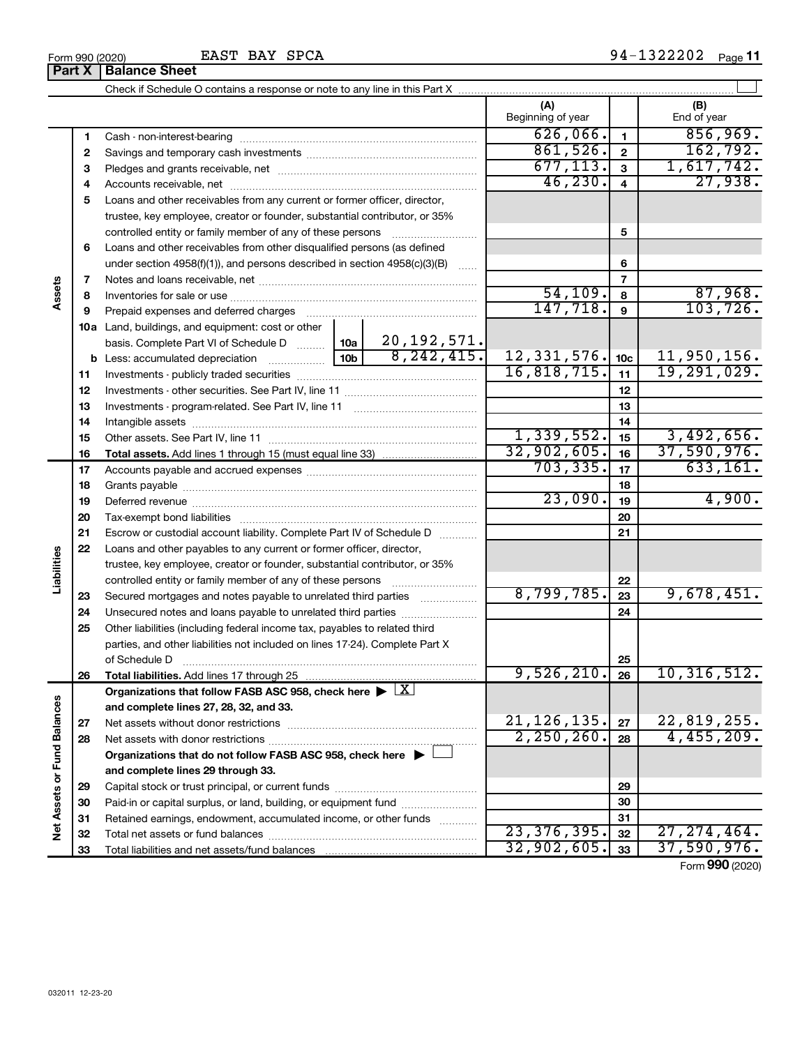| BAY<br><b>SPCA</b><br>EAST<br>Form 990 (2020) | 322202<br>۹4<br>Paɑe |
|-----------------------------------------------|----------------------|
|-----------------------------------------------|----------------------|

|                             |          |                                                                                                        |                          |                                          | (A)<br>Beginning of year |                | (B)<br>End of year |
|-----------------------------|----------|--------------------------------------------------------------------------------------------------------|--------------------------|------------------------------------------|--------------------------|----------------|--------------------|
|                             | 1        |                                                                                                        |                          |                                          | 626,066.                 | $\mathbf{1}$   | 856,969.           |
|                             | 2        |                                                                                                        |                          |                                          | 861,526.                 | $\mathbf{2}$   | 162,792.           |
|                             | З        |                                                                                                        | 677, 113.                | $\overline{\mathbf{3}}$                  | 1,617,742.               |                |                    |
|                             | 4        |                                                                                                        | 46, 230.                 | $\overline{\mathbf{4}}$                  | 27,938.                  |                |                    |
|                             | 5        | Loans and other receivables from any current or former officer, director,                              |                          |                                          |                          |                |                    |
|                             |          | trustee, key employee, creator or founder, substantial contributor, or 35%                             |                          |                                          |                          |                |                    |
|                             |          | controlled entity or family member of any of these persons                                             |                          |                                          |                          | 5              |                    |
|                             | 6        | Loans and other receivables from other disqualified persons (as defined                                |                          |                                          |                          |                |                    |
|                             |          | under section $4958(f)(1)$ , and persons described in section $4958(c)(3)(B)$                          |                          |                                          |                          | 6              |                    |
|                             | 7        |                                                                                                        |                          |                                          |                          | $\overline{7}$ |                    |
| Assets                      | 8        |                                                                                                        |                          |                                          | 54, 109.                 | 8              | 87,968.            |
|                             | 9        | Prepaid expenses and deferred charges                                                                  |                          |                                          | 147,718.                 | 9              | 103, 726.          |
|                             |          | 10a Land, buildings, and equipment: cost or other                                                      |                          |                                          |                          |                |                    |
|                             |          | basis. Complete Part VI of Schedule D                                                                  | 10a  <br>10 <sub>b</sub> | 20, 192, 571.<br>$\overline{8,242,415.}$ |                          |                |                    |
|                             |          | <b>b</b> Less: accumulated depreciation                                                                | $12, 331, 576$ . 10c     |                                          | 11,950,156.              |                |                    |
|                             | 11       |                                                                                                        | 16,818,715.              | 11                                       | 19,291,029.              |                |                    |
|                             | 12       |                                                                                                        |                          | 12                                       |                          |                |                    |
|                             | 13       |                                                                                                        |                          | 13                                       |                          |                |                    |
|                             | 14       |                                                                                                        |                          | 14                                       |                          |                |                    |
|                             | 15       |                                                                                                        | 1,339,552.               | 15                                       | 3,492,656.               |                |                    |
|                             | 16       |                                                                                                        |                          |                                          | 32,902,605.              | 16             | 37,590,976.        |
|                             | 17       |                                                                                                        |                          |                                          | 703, 335.                | 17             | 633, 161.          |
|                             | 18       |                                                                                                        |                          | 18                                       |                          |                |                    |
|                             | 19       |                                                                                                        |                          |                                          | 23,090.                  | 19             | 4,900.             |
|                             | 20       |                                                                                                        |                          |                                          |                          | 20             |                    |
|                             | 21       | Escrow or custodial account liability. Complete Part IV of Schedule D                                  |                          |                                          |                          | 21             |                    |
| Liabilities                 | 22       | Loans and other payables to any current or former officer, director,                                   |                          |                                          |                          |                |                    |
|                             |          | trustee, key employee, creator or founder, substantial contributor, or 35%                             |                          |                                          |                          |                |                    |
|                             |          |                                                                                                        |                          |                                          |                          | 22             |                    |
|                             | 23       | Secured mortgages and notes payable to unrelated third parties                                         |                          |                                          | 8,799,785.               | 23             | 9,678,451.         |
|                             | 24       | Unsecured notes and loans payable to unrelated third parties                                           |                          |                                          |                          | 24             |                    |
|                             | 25       | Other liabilities (including federal income tax, payables to related third                             |                          |                                          |                          |                |                    |
|                             |          | parties, and other liabilities not included on lines 17-24). Complete Part X                           |                          |                                          |                          |                |                    |
|                             |          | of Schedule D                                                                                          |                          |                                          | 9,526,210.               | 25             |                    |
|                             | 26       | Total liabilities. Add lines 17 through 25                                                             |                          |                                          |                          | 26             | 10,316,512.        |
|                             |          | Organizations that follow FASB ASC 958, check here $\blacktriangleright \lfloor \underline{X} \rfloor$ |                          |                                          |                          |                |                    |
|                             |          | and complete lines 27, 28, 32, and 33.                                                                 |                          |                                          | 21, 126, 135.            |                | 22,819,255.        |
|                             | 27       |                                                                                                        |                          |                                          | 2,250,260.               | 27             | 4,455,209.         |
|                             | 28       |                                                                                                        |                          |                                          |                          | 28             |                    |
|                             |          | Organizations that do not follow FASB ASC 958, check here $\blacktriangleright$                        |                          |                                          |                          |                |                    |
|                             |          | and complete lines 29 through 33.                                                                      |                          |                                          |                          |                |                    |
|                             | 29       | Paid-in or capital surplus, or land, building, or equipment fund                                       |                          |                                          |                          | 29             |                    |
|                             | 30       | Retained earnings, endowment, accumulated income, or other funds                                       |                          |                                          |                          | 30<br>31       |                    |
| Net Assets or Fund Balances | 31       |                                                                                                        |                          |                                          | 23,376,395.              | 32             | 27, 274, 464.      |
|                             | 32<br>33 |                                                                                                        |                          |                                          | 32,902,605.              | 33             | 37,590,976.        |
|                             |          |                                                                                                        |                          |                                          |                          |                |                    |

Form (2020) **990**

**Part X Balance Sheet**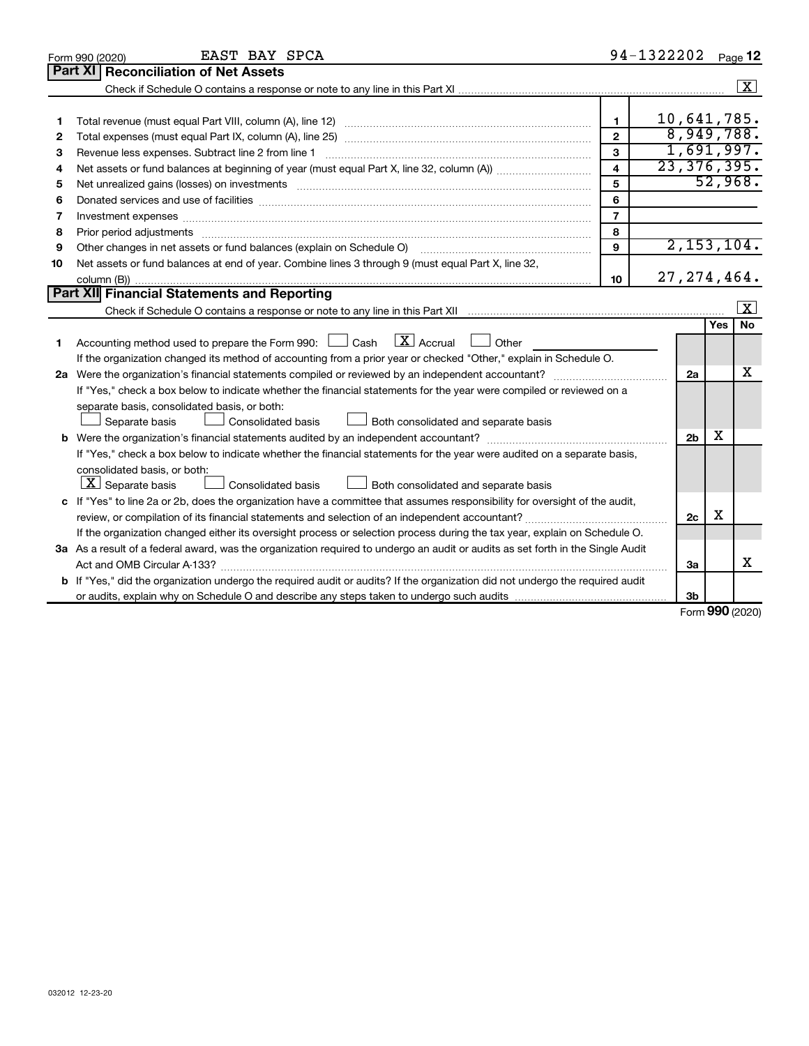|                | EAST BAY SPCA<br>Form 990 (2020)                                                                                                |                         | 94-1322202    |                |      | Page 12      |
|----------------|---------------------------------------------------------------------------------------------------------------------------------|-------------------------|---------------|----------------|------|--------------|
| <b>Part XI</b> | <b>Reconciliation of Net Assets</b>                                                                                             |                         |               |                |      |              |
|                |                                                                                                                                 |                         |               |                |      | $\sqrt{X}$   |
|                |                                                                                                                                 |                         |               |                |      |              |
| 1              |                                                                                                                                 | $\blacksquare$          | 10,641,785.   |                |      |              |
| 2              |                                                                                                                                 | $\overline{2}$          |               |                |      | 8,949,788.   |
| 3              | Revenue less expenses. Subtract line 2 from line 1                                                                              | 3                       |               |                |      | 1,691,997.   |
| 4              |                                                                                                                                 | $\overline{\mathbf{4}}$ | 23, 376, 395. |                |      |              |
| 5              |                                                                                                                                 | 5                       |               |                |      | 52,968.      |
| 6              |                                                                                                                                 | 6                       |               |                |      |              |
| 7              |                                                                                                                                 | $\overline{7}$          |               |                |      |              |
| 8              |                                                                                                                                 | 8                       |               |                |      |              |
| 9              | Other changes in net assets or fund balances (explain on Schedule O)                                                            | 9                       |               |                |      | 2, 153, 104. |
| 10             | Net assets or fund balances at end of year. Combine lines 3 through 9 (must equal Part X, line 32,                              |                         |               |                |      |              |
|                |                                                                                                                                 | 10                      | 27, 274, 464. |                |      |              |
|                | <b>Part XII Financial Statements and Reporting</b>                                                                              |                         |               |                |      |              |
|                |                                                                                                                                 |                         |               |                |      | x            |
|                |                                                                                                                                 |                         |               |                | Yes  | <b>No</b>    |
| 1              | $\lfloor \mathbf{X} \rfloor$ Accrual<br>Accounting method used to prepare the Form 990: [130] Cash<br>Other                     |                         |               |                |      |              |
|                | If the organization changed its method of accounting from a prior year or checked "Other," explain in Schedule O.               |                         |               |                |      |              |
|                |                                                                                                                                 |                         |               | 2a             |      | x            |
|                | If "Yes," check a box below to indicate whether the financial statements for the year were compiled or reviewed on a            |                         |               |                |      |              |
|                | separate basis, consolidated basis, or both:                                                                                    |                         |               |                |      |              |
|                | Both consolidated and separate basis<br>Separate basis<br>Consolidated basis                                                    |                         |               |                |      |              |
| b              |                                                                                                                                 |                         |               | 2 <sub>b</sub> | х    |              |
|                | If "Yes," check a box below to indicate whether the financial statements for the year were audited on a separate basis,         |                         |               |                |      |              |
|                | consolidated basis, or both:                                                                                                    |                         |               |                |      |              |
|                | $ \mathbf{X} $ Separate basis<br>Consolidated basis<br>Both consolidated and separate basis                                     |                         |               |                |      |              |
|                | c If "Yes" to line 2a or 2b, does the organization have a committee that assumes responsibility for oversight of the audit,     |                         |               |                |      |              |
|                |                                                                                                                                 |                         |               | 2c             | х    |              |
|                | If the organization changed either its oversight process or selection process during the tax year, explain on Schedule O.       |                         |               |                |      |              |
|                | 3a As a result of a federal award, was the organization required to undergo an audit or audits as set forth in the Single Audit |                         |               |                |      |              |
|                | Act and OMB Circular A-133?                                                                                                     |                         |               | 3a             |      | x            |
|                | b If "Yes," did the organization undergo the required audit or audits? If the organization did not undergo the required audit   |                         |               |                |      |              |
|                |                                                                                                                                 |                         |               | Зb             | nnn. |              |

Form (2020) **990**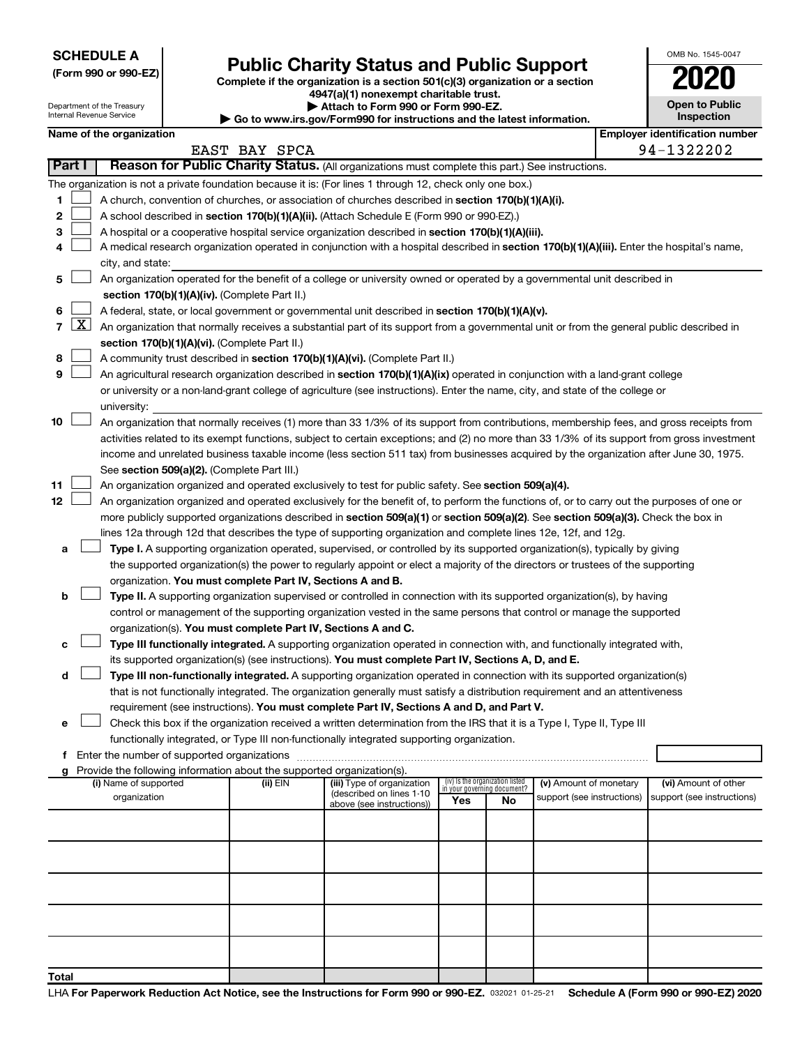**SCHEDULE A**

Department of the Treasury

## Form 990 or 990-EZ) **Public Charity Status and Public Support**<br>
Complete if the organization is a section 501(c)(3) organization or a section<br> **2020**

**4947(a)(1) nonexempt charitable trust.**

**| Attach to Form 990 or Form 990-EZ. | Go to www.irs.gov/Form990 for instructions and the latest information.**

|    | <b>Open to Public</b><br>Inspection |
|----|-------------------------------------|
| ,r | identification numbe                |

OMB No. 1545-0047

|                 | Internal Revenue Service<br>Inspection<br>Go to www.irs.gov/Form990 for instructions and the latest information. |                                                                                                                                           |                                               |               |          |                                                                                                                                                                                                                                                    |     |                                                                |                            |  |                                       |
|-----------------|------------------------------------------------------------------------------------------------------------------|-------------------------------------------------------------------------------------------------------------------------------------------|-----------------------------------------------|---------------|----------|----------------------------------------------------------------------------------------------------------------------------------------------------------------------------------------------------------------------------------------------------|-----|----------------------------------------------------------------|----------------------------|--|---------------------------------------|
|                 |                                                                                                                  | Name of the organization                                                                                                                  |                                               |               |          |                                                                                                                                                                                                                                                    |     |                                                                |                            |  | <b>Employer identification number</b> |
|                 |                                                                                                                  |                                                                                                                                           |                                               | EAST BAY SPCA |          |                                                                                                                                                                                                                                                    |     |                                                                |                            |  | 94-1322202                            |
|                 | Part I                                                                                                           |                                                                                                                                           |                                               |               |          | Reason for Public Charity Status. (All organizations must complete this part.) See instructions.                                                                                                                                                   |     |                                                                |                            |  |                                       |
|                 |                                                                                                                  |                                                                                                                                           |                                               |               |          | The organization is not a private foundation because it is: (For lines 1 through 12, check only one box.)                                                                                                                                          |     |                                                                |                            |  |                                       |
| 1               |                                                                                                                  |                                                                                                                                           |                                               |               |          | A church, convention of churches, or association of churches described in section 170(b)(1)(A)(i).                                                                                                                                                 |     |                                                                |                            |  |                                       |
| 2               |                                                                                                                  |                                                                                                                                           |                                               |               |          | A school described in section 170(b)(1)(A)(ii). (Attach Schedule E (Form 990 or 990-EZ).)                                                                                                                                                          |     |                                                                |                            |  |                                       |
| з               |                                                                                                                  |                                                                                                                                           |                                               |               |          | A hospital or a cooperative hospital service organization described in section 170(b)(1)(A)(iii).                                                                                                                                                  |     |                                                                |                            |  |                                       |
| 4               |                                                                                                                  |                                                                                                                                           |                                               |               |          | A medical research organization operated in conjunction with a hospital described in section 170(b)(1)(A)(iii). Enter the hospital's name,                                                                                                         |     |                                                                |                            |  |                                       |
|                 |                                                                                                                  | city, and state:                                                                                                                          |                                               |               |          |                                                                                                                                                                                                                                                    |     |                                                                |                            |  |                                       |
| 5               |                                                                                                                  |                                                                                                                                           |                                               |               |          | An organization operated for the benefit of a college or university owned or operated by a governmental unit described in                                                                                                                          |     |                                                                |                            |  |                                       |
|                 |                                                                                                                  |                                                                                                                                           | section 170(b)(1)(A)(iv). (Complete Part II.) |               |          |                                                                                                                                                                                                                                                    |     |                                                                |                            |  |                                       |
| 6               | $\lfloor x \rfloor$                                                                                              | A federal, state, or local government or governmental unit described in section 170(b)(1)(A)(v).                                          |                                               |               |          |                                                                                                                                                                                                                                                    |     |                                                                |                            |  |                                       |
| $\overline{7}$  |                                                                                                                  | An organization that normally receives a substantial part of its support from a governmental unit or from the general public described in |                                               |               |          |                                                                                                                                                                                                                                                    |     |                                                                |                            |  |                                       |
|                 |                                                                                                                  | section 170(b)(1)(A)(vi). (Complete Part II.)<br>A community trust described in section 170(b)(1)(A)(vi). (Complete Part II.)             |                                               |               |          |                                                                                                                                                                                                                                                    |     |                                                                |                            |  |                                       |
| 8               |                                                                                                                  |                                                                                                                                           |                                               |               |          |                                                                                                                                                                                                                                                    |     |                                                                |                            |  |                                       |
| 9               |                                                                                                                  |                                                                                                                                           |                                               |               |          | An agricultural research organization described in section 170(b)(1)(A)(ix) operated in conjunction with a land-grant college                                                                                                                      |     |                                                                |                            |  |                                       |
|                 |                                                                                                                  |                                                                                                                                           |                                               |               |          | or university or a non-land-grant college of agriculture (see instructions). Enter the name, city, and state of the college or                                                                                                                     |     |                                                                |                            |  |                                       |
|                 |                                                                                                                  | university:                                                                                                                               |                                               |               |          |                                                                                                                                                                                                                                                    |     |                                                                |                            |  |                                       |
| 10              |                                                                                                                  |                                                                                                                                           |                                               |               |          | An organization that normally receives (1) more than 33 1/3% of its support from contributions, membership fees, and gross receipts from                                                                                                           |     |                                                                |                            |  |                                       |
|                 |                                                                                                                  |                                                                                                                                           |                                               |               |          | activities related to its exempt functions, subject to certain exceptions; and (2) no more than 33 1/3% of its support from gross investment                                                                                                       |     |                                                                |                            |  |                                       |
|                 |                                                                                                                  |                                                                                                                                           |                                               |               |          | income and unrelated business taxable income (less section 511 tax) from businesses acquired by the organization after June 30, 1975.                                                                                                              |     |                                                                |                            |  |                                       |
| 11              |                                                                                                                  |                                                                                                                                           | See section 509(a)(2). (Complete Part III.)   |               |          |                                                                                                                                                                                                                                                    |     |                                                                |                            |  |                                       |
| 12 <sub>2</sub> |                                                                                                                  |                                                                                                                                           |                                               |               |          | An organization organized and operated exclusively to test for public safety. See section 509(a)(4).<br>An organization organized and operated exclusively for the benefit of, to perform the functions of, or to carry out the purposes of one or |     |                                                                |                            |  |                                       |
|                 |                                                                                                                  |                                                                                                                                           |                                               |               |          | more publicly supported organizations described in section 509(a)(1) or section 509(a)(2). See section 509(a)(3). Check the box in                                                                                                                 |     |                                                                |                            |  |                                       |
|                 |                                                                                                                  |                                                                                                                                           |                                               |               |          | lines 12a through 12d that describes the type of supporting organization and complete lines 12e, 12f, and 12g.                                                                                                                                     |     |                                                                |                            |  |                                       |
| а               |                                                                                                                  |                                                                                                                                           |                                               |               |          | Type I. A supporting organization operated, supervised, or controlled by its supported organization(s), typically by giving                                                                                                                        |     |                                                                |                            |  |                                       |
|                 |                                                                                                                  |                                                                                                                                           |                                               |               |          | the supported organization(s) the power to regularly appoint or elect a majority of the directors or trustees of the supporting                                                                                                                    |     |                                                                |                            |  |                                       |
|                 |                                                                                                                  |                                                                                                                                           |                                               |               |          | organization. You must complete Part IV, Sections A and B.                                                                                                                                                                                         |     |                                                                |                            |  |                                       |
| b               |                                                                                                                  |                                                                                                                                           |                                               |               |          | Type II. A supporting organization supervised or controlled in connection with its supported organization(s), by having                                                                                                                            |     |                                                                |                            |  |                                       |
|                 |                                                                                                                  |                                                                                                                                           |                                               |               |          | control or management of the supporting organization vested in the same persons that control or manage the supported                                                                                                                               |     |                                                                |                            |  |                                       |
|                 |                                                                                                                  |                                                                                                                                           |                                               |               |          | organization(s). You must complete Part IV, Sections A and C.                                                                                                                                                                                      |     |                                                                |                            |  |                                       |
| с               |                                                                                                                  |                                                                                                                                           |                                               |               |          | Type III functionally integrated. A supporting organization operated in connection with, and functionally integrated with,                                                                                                                         |     |                                                                |                            |  |                                       |
|                 |                                                                                                                  |                                                                                                                                           |                                               |               |          | its supported organization(s) (see instructions). You must complete Part IV, Sections A, D, and E.                                                                                                                                                 |     |                                                                |                            |  |                                       |
| d               |                                                                                                                  |                                                                                                                                           |                                               |               |          | Type III non-functionally integrated. A supporting organization operated in connection with its supported organization(s)                                                                                                                          |     |                                                                |                            |  |                                       |
|                 |                                                                                                                  |                                                                                                                                           |                                               |               |          | that is not functionally integrated. The organization generally must satisfy a distribution requirement and an attentiveness                                                                                                                       |     |                                                                |                            |  |                                       |
|                 |                                                                                                                  |                                                                                                                                           |                                               |               |          | requirement (see instructions). You must complete Part IV, Sections A and D, and Part V.                                                                                                                                                           |     |                                                                |                            |  |                                       |
| е               |                                                                                                                  |                                                                                                                                           |                                               |               |          | Check this box if the organization received a written determination from the IRS that it is a Type I, Type II, Type III                                                                                                                            |     |                                                                |                            |  |                                       |
|                 |                                                                                                                  |                                                                                                                                           |                                               |               |          | functionally integrated, or Type III non-functionally integrated supporting organization.                                                                                                                                                          |     |                                                                |                            |  |                                       |
|                 |                                                                                                                  |                                                                                                                                           |                                               |               |          |                                                                                                                                                                                                                                                    |     |                                                                |                            |  |                                       |
| g               |                                                                                                                  |                                                                                                                                           |                                               |               |          | Provide the following information about the supported organization(s).                                                                                                                                                                             |     |                                                                |                            |  |                                       |
|                 |                                                                                                                  | (i) Name of supported                                                                                                                     |                                               |               | (ii) EIN | (iii) Type of organization                                                                                                                                                                                                                         |     | (iv) Is the organization listed<br>in your governing document? | (v) Amount of monetary     |  | (vi) Amount of other                  |
|                 |                                                                                                                  | organization                                                                                                                              |                                               |               |          | (described on lines 1-10<br>above (see instructions))                                                                                                                                                                                              | Yes | No                                                             | support (see instructions) |  | support (see instructions)            |
|                 |                                                                                                                  |                                                                                                                                           |                                               |               |          |                                                                                                                                                                                                                                                    |     |                                                                |                            |  |                                       |
|                 |                                                                                                                  |                                                                                                                                           |                                               |               |          |                                                                                                                                                                                                                                                    |     |                                                                |                            |  |                                       |
|                 |                                                                                                                  |                                                                                                                                           |                                               |               |          |                                                                                                                                                                                                                                                    |     |                                                                |                            |  |                                       |
|                 |                                                                                                                  |                                                                                                                                           |                                               |               |          |                                                                                                                                                                                                                                                    |     |                                                                |                            |  |                                       |
|                 |                                                                                                                  |                                                                                                                                           |                                               |               |          |                                                                                                                                                                                                                                                    |     |                                                                |                            |  |                                       |
|                 |                                                                                                                  |                                                                                                                                           |                                               |               |          |                                                                                                                                                                                                                                                    |     |                                                                |                            |  |                                       |
|                 |                                                                                                                  |                                                                                                                                           |                                               |               |          |                                                                                                                                                                                                                                                    |     |                                                                |                            |  |                                       |
|                 |                                                                                                                  |                                                                                                                                           |                                               |               |          |                                                                                                                                                                                                                                                    |     |                                                                |                            |  |                                       |
|                 |                                                                                                                  |                                                                                                                                           |                                               |               |          |                                                                                                                                                                                                                                                    |     |                                                                |                            |  |                                       |
|                 |                                                                                                                  |                                                                                                                                           |                                               |               |          |                                                                                                                                                                                                                                                    |     |                                                                |                            |  |                                       |
| Total           |                                                                                                                  |                                                                                                                                           |                                               |               |          |                                                                                                                                                                                                                                                    |     |                                                                |                            |  |                                       |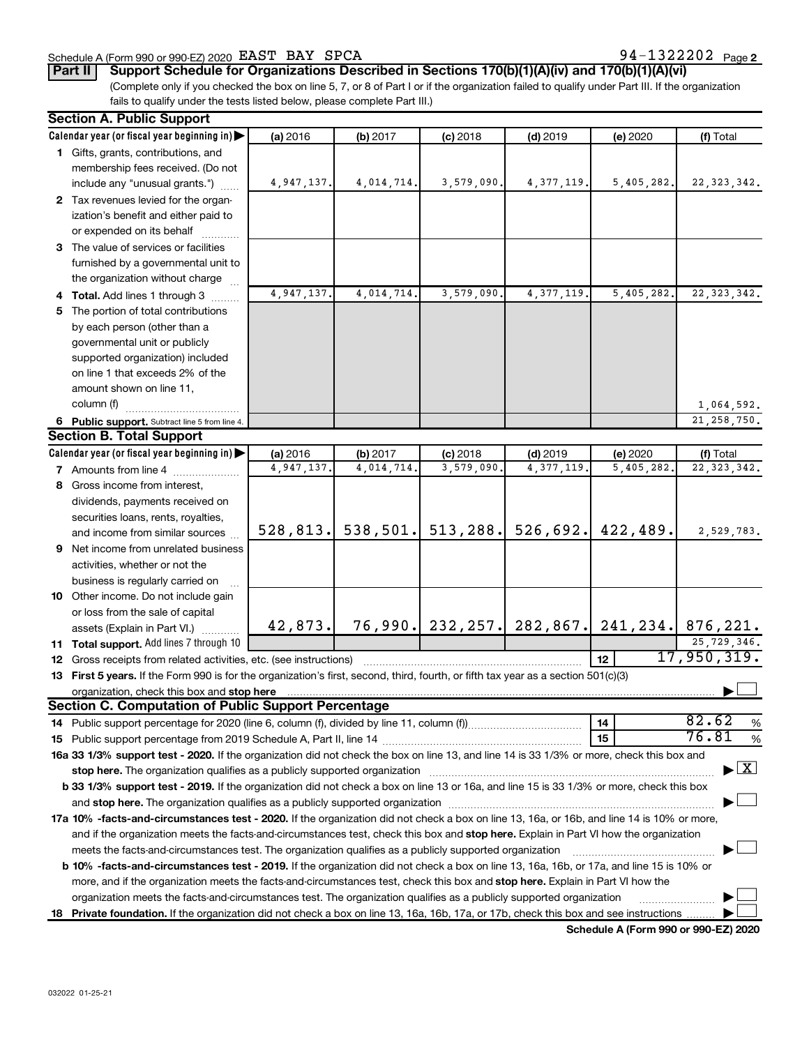#### Schedule A (Form 990 or 990-EZ) 2020 Page EAST BAY SPCA 94-1322202

94-1322202 Page 2

**Part II Support Schedule for Organizations Described in Sections 170(b)(1)(A)(iv) and 170(b)(1)(A)(vi)**

(Complete only if you checked the box on line 5, 7, or 8 of Part I or if the organization failed to qualify under Part III. If the organization fails to qualify under the tests listed below, please complete Part III.)

| Calendar year (or fiscal year beginning in)<br>(a) 2016<br>(f) Total<br>(b) 2017<br>$(c)$ 2018<br>$(d)$ 2019<br>(e) 2020<br>1 Gifts, grants, contributions, and<br>membership fees received. (Do not<br>4,014,714.<br>3,579,090.<br>4, 377, 119.<br>5,405,282.<br>22, 323, 342.<br>include any "unusual grants.")<br>4,947,137.<br>2 Tax revenues levied for the organ-<br>ization's benefit and either paid to<br>or expended on its behalf<br>3 The value of services or facilities<br>furnished by a governmental unit to<br>the organization without charge<br>3,579,090<br>4,947,137.<br>4,014,714.<br>4, 377, 119<br>5,405,282.<br>22, 323, 342.<br>4 Total. Add lines 1 through 3<br>5 The portion of total contributions<br>by each person (other than a<br>governmental unit or publicly<br>supported organization) included<br>on line 1 that exceeds 2% of the<br>amount shown on line 11,<br>column (f)<br>1,064,592.<br>21, 258, 750.<br>6 Public support. Subtract line 5 from line 4.<br><b>Section B. Total Support</b><br>Calendar year (or fiscal year beginning in)<br>(a) 2016<br>(b) 2017<br>$(c)$ 2018<br>$(d)$ 2019<br>(e) 2020<br>(f) Total<br>4,947,137.<br>4,014,714.<br>3,579,090<br>4, 377, 119<br>22, 323, 342.<br>5,405,282<br><b>7</b> Amounts from line 4<br>8 Gross income from interest,<br>dividends, payments received on<br>securities loans, rents, royalties,<br>538, 501.<br>513, 288.<br>526,692.<br>422,489.<br>528, 813.<br>2,529,783.<br>and income from similar sources | <b>Section A. Public Support</b> |  |  |  |  |  |  |  |  |  |
|----------------------------------------------------------------------------------------------------------------------------------------------------------------------------------------------------------------------------------------------------------------------------------------------------------------------------------------------------------------------------------------------------------------------------------------------------------------------------------------------------------------------------------------------------------------------------------------------------------------------------------------------------------------------------------------------------------------------------------------------------------------------------------------------------------------------------------------------------------------------------------------------------------------------------------------------------------------------------------------------------------------------------------------------------------------------------------------------------------------------------------------------------------------------------------------------------------------------------------------------------------------------------------------------------------------------------------------------------------------------------------------------------------------------------------------------------------------------------------------------------------------------|----------------------------------|--|--|--|--|--|--|--|--|--|
|                                                                                                                                                                                                                                                                                                                                                                                                                                                                                                                                                                                                                                                                                                                                                                                                                                                                                                                                                                                                                                                                                                                                                                                                                                                                                                                                                                                                                                                                                                                      |                                  |  |  |  |  |  |  |  |  |  |
|                                                                                                                                                                                                                                                                                                                                                                                                                                                                                                                                                                                                                                                                                                                                                                                                                                                                                                                                                                                                                                                                                                                                                                                                                                                                                                                                                                                                                                                                                                                      |                                  |  |  |  |  |  |  |  |  |  |
|                                                                                                                                                                                                                                                                                                                                                                                                                                                                                                                                                                                                                                                                                                                                                                                                                                                                                                                                                                                                                                                                                                                                                                                                                                                                                                                                                                                                                                                                                                                      |                                  |  |  |  |  |  |  |  |  |  |
|                                                                                                                                                                                                                                                                                                                                                                                                                                                                                                                                                                                                                                                                                                                                                                                                                                                                                                                                                                                                                                                                                                                                                                                                                                                                                                                                                                                                                                                                                                                      |                                  |  |  |  |  |  |  |  |  |  |
|                                                                                                                                                                                                                                                                                                                                                                                                                                                                                                                                                                                                                                                                                                                                                                                                                                                                                                                                                                                                                                                                                                                                                                                                                                                                                                                                                                                                                                                                                                                      |                                  |  |  |  |  |  |  |  |  |  |
|                                                                                                                                                                                                                                                                                                                                                                                                                                                                                                                                                                                                                                                                                                                                                                                                                                                                                                                                                                                                                                                                                                                                                                                                                                                                                                                                                                                                                                                                                                                      |                                  |  |  |  |  |  |  |  |  |  |
|                                                                                                                                                                                                                                                                                                                                                                                                                                                                                                                                                                                                                                                                                                                                                                                                                                                                                                                                                                                                                                                                                                                                                                                                                                                                                                                                                                                                                                                                                                                      |                                  |  |  |  |  |  |  |  |  |  |
|                                                                                                                                                                                                                                                                                                                                                                                                                                                                                                                                                                                                                                                                                                                                                                                                                                                                                                                                                                                                                                                                                                                                                                                                                                                                                                                                                                                                                                                                                                                      |                                  |  |  |  |  |  |  |  |  |  |
|                                                                                                                                                                                                                                                                                                                                                                                                                                                                                                                                                                                                                                                                                                                                                                                                                                                                                                                                                                                                                                                                                                                                                                                                                                                                                                                                                                                                                                                                                                                      |                                  |  |  |  |  |  |  |  |  |  |
|                                                                                                                                                                                                                                                                                                                                                                                                                                                                                                                                                                                                                                                                                                                                                                                                                                                                                                                                                                                                                                                                                                                                                                                                                                                                                                                                                                                                                                                                                                                      |                                  |  |  |  |  |  |  |  |  |  |
|                                                                                                                                                                                                                                                                                                                                                                                                                                                                                                                                                                                                                                                                                                                                                                                                                                                                                                                                                                                                                                                                                                                                                                                                                                                                                                                                                                                                                                                                                                                      |                                  |  |  |  |  |  |  |  |  |  |
|                                                                                                                                                                                                                                                                                                                                                                                                                                                                                                                                                                                                                                                                                                                                                                                                                                                                                                                                                                                                                                                                                                                                                                                                                                                                                                                                                                                                                                                                                                                      |                                  |  |  |  |  |  |  |  |  |  |
|                                                                                                                                                                                                                                                                                                                                                                                                                                                                                                                                                                                                                                                                                                                                                                                                                                                                                                                                                                                                                                                                                                                                                                                                                                                                                                                                                                                                                                                                                                                      |                                  |  |  |  |  |  |  |  |  |  |
|                                                                                                                                                                                                                                                                                                                                                                                                                                                                                                                                                                                                                                                                                                                                                                                                                                                                                                                                                                                                                                                                                                                                                                                                                                                                                                                                                                                                                                                                                                                      |                                  |  |  |  |  |  |  |  |  |  |
|                                                                                                                                                                                                                                                                                                                                                                                                                                                                                                                                                                                                                                                                                                                                                                                                                                                                                                                                                                                                                                                                                                                                                                                                                                                                                                                                                                                                                                                                                                                      |                                  |  |  |  |  |  |  |  |  |  |
|                                                                                                                                                                                                                                                                                                                                                                                                                                                                                                                                                                                                                                                                                                                                                                                                                                                                                                                                                                                                                                                                                                                                                                                                                                                                                                                                                                                                                                                                                                                      |                                  |  |  |  |  |  |  |  |  |  |
|                                                                                                                                                                                                                                                                                                                                                                                                                                                                                                                                                                                                                                                                                                                                                                                                                                                                                                                                                                                                                                                                                                                                                                                                                                                                                                                                                                                                                                                                                                                      |                                  |  |  |  |  |  |  |  |  |  |
|                                                                                                                                                                                                                                                                                                                                                                                                                                                                                                                                                                                                                                                                                                                                                                                                                                                                                                                                                                                                                                                                                                                                                                                                                                                                                                                                                                                                                                                                                                                      |                                  |  |  |  |  |  |  |  |  |  |
|                                                                                                                                                                                                                                                                                                                                                                                                                                                                                                                                                                                                                                                                                                                                                                                                                                                                                                                                                                                                                                                                                                                                                                                                                                                                                                                                                                                                                                                                                                                      |                                  |  |  |  |  |  |  |  |  |  |
|                                                                                                                                                                                                                                                                                                                                                                                                                                                                                                                                                                                                                                                                                                                                                                                                                                                                                                                                                                                                                                                                                                                                                                                                                                                                                                                                                                                                                                                                                                                      |                                  |  |  |  |  |  |  |  |  |  |
|                                                                                                                                                                                                                                                                                                                                                                                                                                                                                                                                                                                                                                                                                                                                                                                                                                                                                                                                                                                                                                                                                                                                                                                                                                                                                                                                                                                                                                                                                                                      |                                  |  |  |  |  |  |  |  |  |  |
|                                                                                                                                                                                                                                                                                                                                                                                                                                                                                                                                                                                                                                                                                                                                                                                                                                                                                                                                                                                                                                                                                                                                                                                                                                                                                                                                                                                                                                                                                                                      |                                  |  |  |  |  |  |  |  |  |  |
|                                                                                                                                                                                                                                                                                                                                                                                                                                                                                                                                                                                                                                                                                                                                                                                                                                                                                                                                                                                                                                                                                                                                                                                                                                                                                                                                                                                                                                                                                                                      |                                  |  |  |  |  |  |  |  |  |  |
|                                                                                                                                                                                                                                                                                                                                                                                                                                                                                                                                                                                                                                                                                                                                                                                                                                                                                                                                                                                                                                                                                                                                                                                                                                                                                                                                                                                                                                                                                                                      |                                  |  |  |  |  |  |  |  |  |  |
|                                                                                                                                                                                                                                                                                                                                                                                                                                                                                                                                                                                                                                                                                                                                                                                                                                                                                                                                                                                                                                                                                                                                                                                                                                                                                                                                                                                                                                                                                                                      |                                  |  |  |  |  |  |  |  |  |  |
|                                                                                                                                                                                                                                                                                                                                                                                                                                                                                                                                                                                                                                                                                                                                                                                                                                                                                                                                                                                                                                                                                                                                                                                                                                                                                                                                                                                                                                                                                                                      |                                  |  |  |  |  |  |  |  |  |  |
|                                                                                                                                                                                                                                                                                                                                                                                                                                                                                                                                                                                                                                                                                                                                                                                                                                                                                                                                                                                                                                                                                                                                                                                                                                                                                                                                                                                                                                                                                                                      |                                  |  |  |  |  |  |  |  |  |  |
| 9 Net income from unrelated business                                                                                                                                                                                                                                                                                                                                                                                                                                                                                                                                                                                                                                                                                                                                                                                                                                                                                                                                                                                                                                                                                                                                                                                                                                                                                                                                                                                                                                                                                 |                                  |  |  |  |  |  |  |  |  |  |
| activities, whether or not the                                                                                                                                                                                                                                                                                                                                                                                                                                                                                                                                                                                                                                                                                                                                                                                                                                                                                                                                                                                                                                                                                                                                                                                                                                                                                                                                                                                                                                                                                       |                                  |  |  |  |  |  |  |  |  |  |
| business is regularly carried on                                                                                                                                                                                                                                                                                                                                                                                                                                                                                                                                                                                                                                                                                                                                                                                                                                                                                                                                                                                                                                                                                                                                                                                                                                                                                                                                                                                                                                                                                     |                                  |  |  |  |  |  |  |  |  |  |
| 10 Other income. Do not include gain                                                                                                                                                                                                                                                                                                                                                                                                                                                                                                                                                                                                                                                                                                                                                                                                                                                                                                                                                                                                                                                                                                                                                                                                                                                                                                                                                                                                                                                                                 |                                  |  |  |  |  |  |  |  |  |  |
| or loss from the sale of capital                                                                                                                                                                                                                                                                                                                                                                                                                                                                                                                                                                                                                                                                                                                                                                                                                                                                                                                                                                                                                                                                                                                                                                                                                                                                                                                                                                                                                                                                                     |                                  |  |  |  |  |  |  |  |  |  |
| 76,990. 232,257. 282,867. 241,234. 876,221.<br>42,873.<br>assets (Explain in Part VI.)                                                                                                                                                                                                                                                                                                                                                                                                                                                                                                                                                                                                                                                                                                                                                                                                                                                                                                                                                                                                                                                                                                                                                                                                                                                                                                                                                                                                                               |                                  |  |  |  |  |  |  |  |  |  |
| 25,729,346.<br>11 Total support. Add lines 7 through 10                                                                                                                                                                                                                                                                                                                                                                                                                                                                                                                                                                                                                                                                                                                                                                                                                                                                                                                                                                                                                                                                                                                                                                                                                                                                                                                                                                                                                                                              |                                  |  |  |  |  |  |  |  |  |  |
| 17,950,319.<br>12<br><b>12</b> Gross receipts from related activities, etc. (see instructions)                                                                                                                                                                                                                                                                                                                                                                                                                                                                                                                                                                                                                                                                                                                                                                                                                                                                                                                                                                                                                                                                                                                                                                                                                                                                                                                                                                                                                       |                                  |  |  |  |  |  |  |  |  |  |
| 13 First 5 years. If the Form 990 is for the organization's first, second, third, fourth, or fifth tax year as a section 501(c)(3)                                                                                                                                                                                                                                                                                                                                                                                                                                                                                                                                                                                                                                                                                                                                                                                                                                                                                                                                                                                                                                                                                                                                                                                                                                                                                                                                                                                   |                                  |  |  |  |  |  |  |  |  |  |
|                                                                                                                                                                                                                                                                                                                                                                                                                                                                                                                                                                                                                                                                                                                                                                                                                                                                                                                                                                                                                                                                                                                                                                                                                                                                                                                                                                                                                                                                                                                      |                                  |  |  |  |  |  |  |  |  |  |
| <b>Section C. Computation of Public Support Percentage</b>                                                                                                                                                                                                                                                                                                                                                                                                                                                                                                                                                                                                                                                                                                                                                                                                                                                                                                                                                                                                                                                                                                                                                                                                                                                                                                                                                                                                                                                           |                                  |  |  |  |  |  |  |  |  |  |
| 82.62<br>14                                                                                                                                                                                                                                                                                                                                                                                                                                                                                                                                                                                                                                                                                                                                                                                                                                                                                                                                                                                                                                                                                                                                                                                                                                                                                                                                                                                                                                                                                                          | %                                |  |  |  |  |  |  |  |  |  |
| 76.81<br>15                                                                                                                                                                                                                                                                                                                                                                                                                                                                                                                                                                                                                                                                                                                                                                                                                                                                                                                                                                                                                                                                                                                                                                                                                                                                                                                                                                                                                                                                                                          | %                                |  |  |  |  |  |  |  |  |  |
| 16a 33 1/3% support test - 2020. If the organization did not check the box on line 13, and line 14 is 33 1/3% or more, check this box and                                                                                                                                                                                                                                                                                                                                                                                                                                                                                                                                                                                                                                                                                                                                                                                                                                                                                                                                                                                                                                                                                                                                                                                                                                                                                                                                                                            |                                  |  |  |  |  |  |  |  |  |  |
| $\blacktriangleright$ $\mathbf{X}$<br>stop here. The organization qualifies as a publicly supported organization manufactured content and the content of the state of the state of the state of the state of the state of the state of the state of the state of the                                                                                                                                                                                                                                                                                                                                                                                                                                                                                                                                                                                                                                                                                                                                                                                                                                                                                                                                                                                                                                                                                                                                                                                                                                                 |                                  |  |  |  |  |  |  |  |  |  |
| b 33 1/3% support test - 2019. If the organization did not check a box on line 13 or 16a, and line 15 is 33 1/3% or more, check this box                                                                                                                                                                                                                                                                                                                                                                                                                                                                                                                                                                                                                                                                                                                                                                                                                                                                                                                                                                                                                                                                                                                                                                                                                                                                                                                                                                             |                                  |  |  |  |  |  |  |  |  |  |
|                                                                                                                                                                                                                                                                                                                                                                                                                                                                                                                                                                                                                                                                                                                                                                                                                                                                                                                                                                                                                                                                                                                                                                                                                                                                                                                                                                                                                                                                                                                      |                                  |  |  |  |  |  |  |  |  |  |
| 17a 10% -facts-and-circumstances test - 2020. If the organization did not check a box on line 13, 16a, or 16b, and line 14 is 10% or more,                                                                                                                                                                                                                                                                                                                                                                                                                                                                                                                                                                                                                                                                                                                                                                                                                                                                                                                                                                                                                                                                                                                                                                                                                                                                                                                                                                           |                                  |  |  |  |  |  |  |  |  |  |
| and if the organization meets the facts-and-circumstances test, check this box and stop here. Explain in Part VI how the organization                                                                                                                                                                                                                                                                                                                                                                                                                                                                                                                                                                                                                                                                                                                                                                                                                                                                                                                                                                                                                                                                                                                                                                                                                                                                                                                                                                                |                                  |  |  |  |  |  |  |  |  |  |
| meets the facts-and-circumstances test. The organization qualifies as a publicly supported organization                                                                                                                                                                                                                                                                                                                                                                                                                                                                                                                                                                                                                                                                                                                                                                                                                                                                                                                                                                                                                                                                                                                                                                                                                                                                                                                                                                                                              |                                  |  |  |  |  |  |  |  |  |  |
| <b>b 10%</b> -facts-and-circumstances test - 2019. If the organization did not check a box on line 13, 16a, 16b, or 17a, and line 15 is 10% or                                                                                                                                                                                                                                                                                                                                                                                                                                                                                                                                                                                                                                                                                                                                                                                                                                                                                                                                                                                                                                                                                                                                                                                                                                                                                                                                                                       |                                  |  |  |  |  |  |  |  |  |  |
| more, and if the organization meets the facts-and-circumstances test, check this box and stop here. Explain in Part VI how the                                                                                                                                                                                                                                                                                                                                                                                                                                                                                                                                                                                                                                                                                                                                                                                                                                                                                                                                                                                                                                                                                                                                                                                                                                                                                                                                                                                       |                                  |  |  |  |  |  |  |  |  |  |
| organization meets the facts-and-circumstances test. The organization qualifies as a publicly supported organization                                                                                                                                                                                                                                                                                                                                                                                                                                                                                                                                                                                                                                                                                                                                                                                                                                                                                                                                                                                                                                                                                                                                                                                                                                                                                                                                                                                                 |                                  |  |  |  |  |  |  |  |  |  |
| 18 Private foundation. If the organization did not check a box on line 13, 16a, 16b, 17a, or 17b, check this box and see instructions                                                                                                                                                                                                                                                                                                                                                                                                                                                                                                                                                                                                                                                                                                                                                                                                                                                                                                                                                                                                                                                                                                                                                                                                                                                                                                                                                                                |                                  |  |  |  |  |  |  |  |  |  |

**Schedule A (Form 990 or 990-EZ) 2020**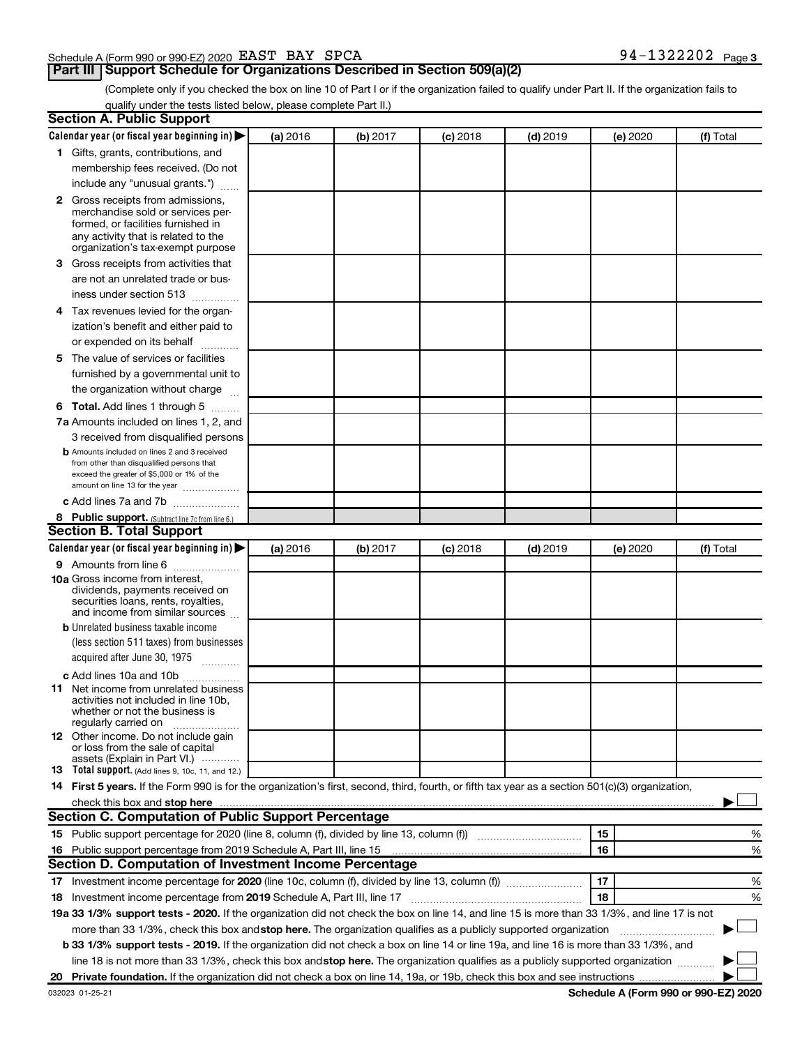#### Schedule A (Form 990 or 990-EZ) 2020 Page EAST BAY SPCA 94-1322202

#### **Part III Support Schedule for Organizations Described in Section 509(a)(2)**

(Complete only if you checked the box on line 10 of Part I or if the organization failed to qualify under Part II. If the organization fails to qualify under the tests listed below, please complete Part II.)

| <b>Section A. Public Support</b>                                                                                                                                                                                                                                                                |          |          |          |            |          |           |
|-------------------------------------------------------------------------------------------------------------------------------------------------------------------------------------------------------------------------------------------------------------------------------------------------|----------|----------|----------|------------|----------|-----------|
| Calendar year (or fiscal year beginning in)                                                                                                                                                                                                                                                     | (a) 2016 | (b) 2017 | (c) 2018 | $(d)$ 2019 | (e) 2020 | (f) Total |
| 1 Gifts, grants, contributions, and                                                                                                                                                                                                                                                             |          |          |          |            |          |           |
| membership fees received. (Do not                                                                                                                                                                                                                                                               |          |          |          |            |          |           |
| include any "unusual grants.")                                                                                                                                                                                                                                                                  |          |          |          |            |          |           |
| <b>2</b> Gross receipts from admissions,                                                                                                                                                                                                                                                        |          |          |          |            |          |           |
| merchandise sold or services per-                                                                                                                                                                                                                                                               |          |          |          |            |          |           |
| formed, or facilities furnished in                                                                                                                                                                                                                                                              |          |          |          |            |          |           |
| any activity that is related to the<br>organization's tax-exempt purpose                                                                                                                                                                                                                        |          |          |          |            |          |           |
| 3 Gross receipts from activities that                                                                                                                                                                                                                                                           |          |          |          |            |          |           |
| are not an unrelated trade or bus-                                                                                                                                                                                                                                                              |          |          |          |            |          |           |
| iness under section 513                                                                                                                                                                                                                                                                         |          |          |          |            |          |           |
| 4 Tax revenues levied for the organ-                                                                                                                                                                                                                                                            |          |          |          |            |          |           |
| ization's benefit and either paid to                                                                                                                                                                                                                                                            |          |          |          |            |          |           |
| or expended on its behalf                                                                                                                                                                                                                                                                       |          |          |          |            |          |           |
| .<br>5 The value of services or facilities                                                                                                                                                                                                                                                      |          |          |          |            |          |           |
|                                                                                                                                                                                                                                                                                                 |          |          |          |            |          |           |
| furnished by a governmental unit to                                                                                                                                                                                                                                                             |          |          |          |            |          |           |
| the organization without charge                                                                                                                                                                                                                                                                 |          |          |          |            |          |           |
| <b>6 Total.</b> Add lines 1 through 5                                                                                                                                                                                                                                                           |          |          |          |            |          |           |
| 7a Amounts included on lines 1, 2, and                                                                                                                                                                                                                                                          |          |          |          |            |          |           |
| 3 received from disqualified persons                                                                                                                                                                                                                                                            |          |          |          |            |          |           |
| <b>b</b> Amounts included on lines 2 and 3 received<br>from other than disqualified persons that                                                                                                                                                                                                |          |          |          |            |          |           |
| exceed the greater of \$5,000 or 1% of the                                                                                                                                                                                                                                                      |          |          |          |            |          |           |
| amount on line 13 for the year                                                                                                                                                                                                                                                                  |          |          |          |            |          |           |
| c Add lines 7a and 7b                                                                                                                                                                                                                                                                           |          |          |          |            |          |           |
| 8 Public support. (Subtract line 7c from line 6.)                                                                                                                                                                                                                                               |          |          |          |            |          |           |
| <b>Section B. Total Support</b>                                                                                                                                                                                                                                                                 |          |          |          |            |          |           |
| Calendar year (or fiscal year beginning in)                                                                                                                                                                                                                                                     | (a) 2016 | (b) 2017 | (c) 2018 | $(d)$ 2019 | (e) 2020 | (f) Total |
| <b>9</b> Amounts from line 6                                                                                                                                                                                                                                                                    |          |          |          |            |          |           |
| <b>10a</b> Gross income from interest,                                                                                                                                                                                                                                                          |          |          |          |            |          |           |
| dividends, payments received on<br>securities loans, rents, royalties,                                                                                                                                                                                                                          |          |          |          |            |          |           |
| and income from similar sources                                                                                                                                                                                                                                                                 |          |          |          |            |          |           |
| <b>b</b> Unrelated business taxable income                                                                                                                                                                                                                                                      |          |          |          |            |          |           |
| (less section 511 taxes) from businesses                                                                                                                                                                                                                                                        |          |          |          |            |          |           |
| acquired after June 30, 1975                                                                                                                                                                                                                                                                    |          |          |          |            |          |           |
| c Add lines 10a and 10b                                                                                                                                                                                                                                                                         |          |          |          |            |          |           |
| <b>11</b> Net income from unrelated business                                                                                                                                                                                                                                                    |          |          |          |            |          |           |
| activities not included in line 10b.                                                                                                                                                                                                                                                            |          |          |          |            |          |           |
| whether or not the business is<br>regularly carried on                                                                                                                                                                                                                                          |          |          |          |            |          |           |
| 12 Other income. Do not include gain                                                                                                                                                                                                                                                            |          |          |          |            |          |           |
| or loss from the sale of capital                                                                                                                                                                                                                                                                |          |          |          |            |          |           |
| assets (Explain in Part VI.)                                                                                                                                                                                                                                                                    |          |          |          |            |          |           |
| <b>13</b> Total support. (Add lines 9, 10c, 11, and 12.)                                                                                                                                                                                                                                        |          |          |          |            |          |           |
| 14 First 5 years. If the Form 990 is for the organization's first, second, third, fourth, or fifth tax year as a section 501(c)(3) organization,                                                                                                                                                |          |          |          |            |          |           |
| check this box and stop here <b>construction and construction</b> and check this box and stop here <b>construction</b> and construction and construction and construction and construction and construction and construction and constru<br>Section C. Computation of Public Support Percentage |          |          |          |            |          |           |
|                                                                                                                                                                                                                                                                                                 |          |          |          |            |          |           |
| 15 Public support percentage for 2020 (line 8, column (f), divided by line 13, column (f) <i>manumeronominium</i>                                                                                                                                                                               |          |          |          |            | 15       | %         |
| 16 Public support percentage from 2019 Schedule A, Part III, line 15                                                                                                                                                                                                                            |          |          |          |            | 16       | %         |
| Section D. Computation of Investment Income Percentage                                                                                                                                                                                                                                          |          |          |          |            |          |           |
| 17 Investment income percentage for 2020 (line 10c, column (f), divided by line 13, column (f))                                                                                                                                                                                                 |          |          |          |            | 17       | %         |
| 18 Investment income percentage from 2019 Schedule A, Part III, line 17                                                                                                                                                                                                                         |          |          |          |            | 18       | %         |
| 19a 33 1/3% support tests - 2020. If the organization did not check the box on line 14, and line 15 is more than 33 1/3%, and line 17 is not                                                                                                                                                    |          |          |          |            |          |           |
| more than 33 1/3%, check this box and stop here. The organization qualifies as a publicly supported organization                                                                                                                                                                                |          |          |          |            |          |           |
| b 33 1/3% support tests - 2019. If the organization did not check a box on line 14 or line 19a, and line 16 is more than 33 1/3%, and                                                                                                                                                           |          |          |          |            |          |           |
| line 18 is not more than 33 1/3%, check this box and stop here. The organization qualifies as a publicly supported organization                                                                                                                                                                 |          |          |          |            |          |           |
|                                                                                                                                                                                                                                                                                                 |          |          |          |            |          |           |

**Schedule A (Form 990 or 990-EZ) 2020**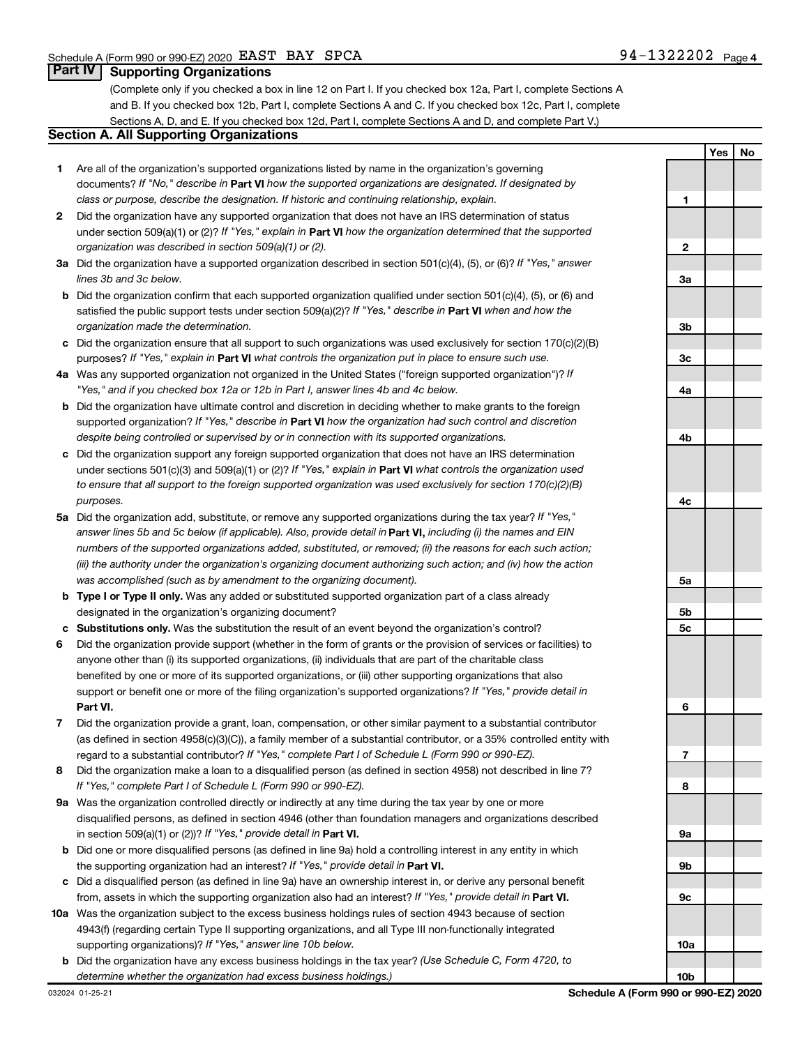**1**

**2**

**Yes No**

#### **Part IV Supporting Organizations**

(Complete only if you checked a box in line 12 on Part I. If you checked box 12a, Part I, complete Sections A and B. If you checked box 12b, Part I, complete Sections A and C. If you checked box 12c, Part I, complete Sections A, D, and E. If you checked box 12d, Part I, complete Sections A and D, and complete Part V.)

#### **Section A. All Supporting Organizations**

- **1** Are all of the organization's supported organizations listed by name in the organization's governing documents? If "No," describe in Part VI how the supported organizations are designated. If designated by *class or purpose, describe the designation. If historic and continuing relationship, explain.*
- **2** Did the organization have any supported organization that does not have an IRS determination of status under section 509(a)(1) or (2)? If "Yes," explain in Part **VI** how the organization determined that the supported *organization was described in section 509(a)(1) or (2).*
- **3a** Did the organization have a supported organization described in section 501(c)(4), (5), or (6)? If "Yes," answer *lines 3b and 3c below.*
- **b** Did the organization confirm that each supported organization qualified under section 501(c)(4), (5), or (6) and satisfied the public support tests under section 509(a)(2)? If "Yes," describe in Part VI when and how the *organization made the determination.*
- **c** Did the organization ensure that all support to such organizations was used exclusively for section 170(c)(2)(B) purposes? If "Yes," explain in Part VI what controls the organization put in place to ensure such use.
- **4 a** *If* Was any supported organization not organized in the United States ("foreign supported organization")? *"Yes," and if you checked box 12a or 12b in Part I, answer lines 4b and 4c below.*
- **b** Did the organization have ultimate control and discretion in deciding whether to make grants to the foreign supported organization? If "Yes," describe in Part VI how the organization had such control and discretion *despite being controlled or supervised by or in connection with its supported organizations.*
- **c** Did the organization support any foreign supported organization that does not have an IRS determination under sections 501(c)(3) and 509(a)(1) or (2)? If "Yes," explain in Part VI what controls the organization used *to ensure that all support to the foreign supported organization was used exclusively for section 170(c)(2)(B) purposes.*
- **5a** Did the organization add, substitute, or remove any supported organizations during the tax year? If "Yes," answer lines 5b and 5c below (if applicable). Also, provide detail in **Part VI,** including (i) the names and EIN *numbers of the supported organizations added, substituted, or removed; (ii) the reasons for each such action; (iii) the authority under the organization's organizing document authorizing such action; and (iv) how the action was accomplished (such as by amendment to the organizing document).*
- **b Type I or Type II only.** Was any added or substituted supported organization part of a class already designated in the organization's organizing document?
- **c Substitutions only.**  Was the substitution the result of an event beyond the organization's control?
- **6** Did the organization provide support (whether in the form of grants or the provision of services or facilities) to **Part VI.** support or benefit one or more of the filing organization's supported organizations? If "Yes," provide detail in anyone other than (i) its supported organizations, (ii) individuals that are part of the charitable class benefited by one or more of its supported organizations, or (iii) other supporting organizations that also
- **7** Did the organization provide a grant, loan, compensation, or other similar payment to a substantial contributor regard to a substantial contributor? If "Yes," complete Part I of Schedule L (Form 990 or 990-EZ). (as defined in section 4958(c)(3)(C)), a family member of a substantial contributor, or a 35% controlled entity with
- **8** Did the organization make a loan to a disqualified person (as defined in section 4958) not described in line 7? *If "Yes," complete Part I of Schedule L (Form 990 or 990-EZ).*
- **9 a** Was the organization controlled directly or indirectly at any time during the tax year by one or more in section 509(a)(1) or (2))? If "Yes," provide detail in **Part VI.** disqualified persons, as defined in section 4946 (other than foundation managers and organizations described
- **b** Did one or more disqualified persons (as defined in line 9a) hold a controlling interest in any entity in which the supporting organization had an interest? If "Yes," provide detail in Part VI.
- **c** Did a disqualified person (as defined in line 9a) have an ownership interest in, or derive any personal benefit from, assets in which the supporting organization also had an interest? If "Yes," provide detail in Part VI.
- **10 a** Was the organization subject to the excess business holdings rules of section 4943 because of section supporting organizations)? If "Yes," answer line 10b below. 4943(f) (regarding certain Type II supporting organizations, and all Type III non-functionally integrated
	- **b** Did the organization have any excess business holdings in the tax year? (Use Schedule C, Form 4720, to *determine whether the organization had excess business holdings.)*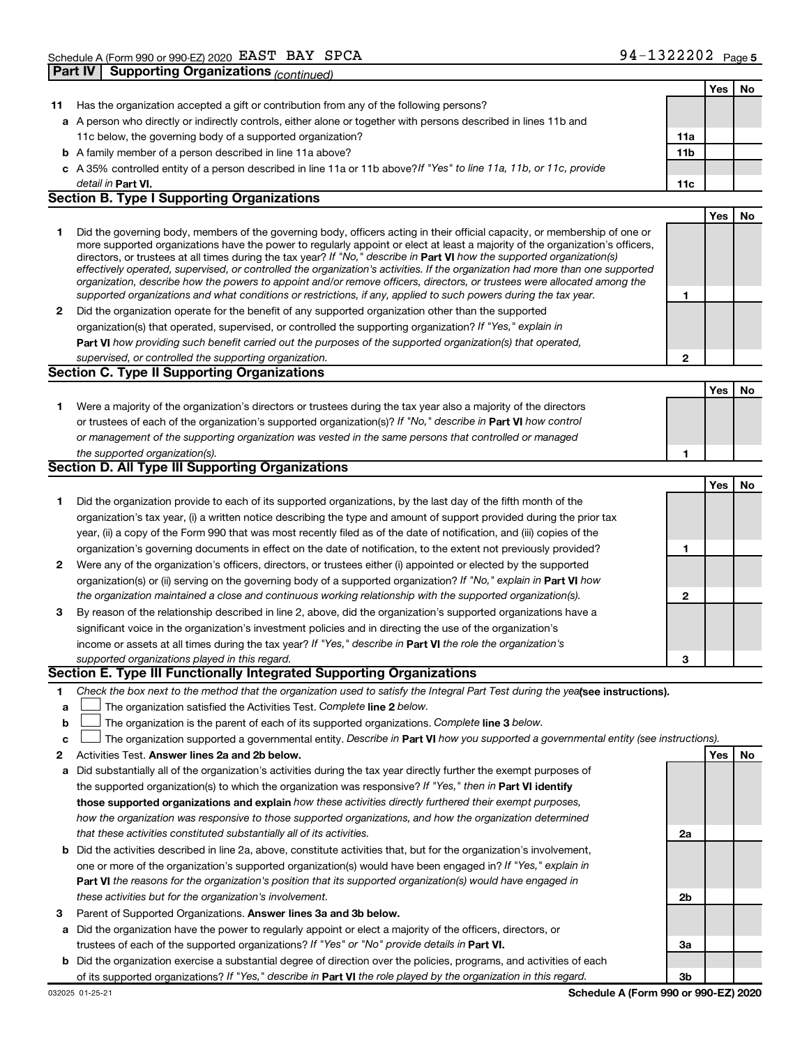**Part IV Supporting Organizations** *(continued)*

|    |                                                                                                                                                                                                                                              |     | Yes | No |
|----|----------------------------------------------------------------------------------------------------------------------------------------------------------------------------------------------------------------------------------------------|-----|-----|----|
| 11 | Has the organization accepted a gift or contribution from any of the following persons?                                                                                                                                                      |     |     |    |
|    | a A person who directly or indirectly controls, either alone or together with persons described in lines 11b and                                                                                                                             |     |     |    |
|    | 11c below, the governing body of a supported organization?                                                                                                                                                                                   | 11a |     |    |
|    | <b>b</b> A family member of a person described in line 11a above?                                                                                                                                                                            | 11b |     |    |
|    | c A 35% controlled entity of a person described in line 11a or 11b above? If "Yes" to line 11a, 11b, or 11c, provide                                                                                                                         |     |     |    |
|    | detail in <b>Part VI.</b>                                                                                                                                                                                                                    | 11c |     |    |
|    | <b>Section B. Type I Supporting Organizations</b>                                                                                                                                                                                            |     |     |    |
|    |                                                                                                                                                                                                                                              |     | Yes | No |
| 1  | Did the governing body, members of the governing body, officers acting in their official capacity, or membership of one or                                                                                                                   |     |     |    |
|    | more supported organizations have the power to regularly appoint or elect at least a majority of the organization's officers,                                                                                                                |     |     |    |
|    | directors, or trustees at all times during the tax year? If "No," describe in Part VI how the supported organization(s)                                                                                                                      |     |     |    |
|    | effectively operated, supervised, or controlled the organization's activities. If the organization had more than one supported                                                                                                               |     |     |    |
|    | organization, describe how the powers to appoint and/or remove officers, directors, or trustees were allocated among the<br>supported organizations and what conditions or restrictions, if any, applied to such powers during the tax year. | 1   |     |    |
| 2  | Did the organization operate for the benefit of any supported organization other than the supported                                                                                                                                          |     |     |    |
|    | organization(s) that operated, supervised, or controlled the supporting organization? If "Yes," explain in                                                                                                                                   |     |     |    |
|    | Part VI how providing such benefit carried out the purposes of the supported organization(s) that operated,                                                                                                                                  |     |     |    |
|    | supervised, or controlled the supporting organization.                                                                                                                                                                                       | 2   |     |    |
|    | <b>Section C. Type II Supporting Organizations</b>                                                                                                                                                                                           |     |     |    |
|    |                                                                                                                                                                                                                                              |     | Yes | No |
|    |                                                                                                                                                                                                                                              |     |     |    |
| 1  | Were a majority of the organization's directors or trustees during the tax year also a majority of the directors                                                                                                                             |     |     |    |
|    | or trustees of each of the organization's supported organization(s)? If "No," describe in Part VI how control                                                                                                                                |     |     |    |
|    | or management of the supporting organization was vested in the same persons that controlled or managed                                                                                                                                       |     |     |    |
|    | the supported organization(s).<br><b>Section D. All Type III Supporting Organizations</b>                                                                                                                                                    | 1   |     |    |
|    |                                                                                                                                                                                                                                              |     |     |    |
|    |                                                                                                                                                                                                                                              |     | Yes | No |
| 1  | Did the organization provide to each of its supported organizations, by the last day of the fifth month of the                                                                                                                               |     |     |    |
|    | organization's tax year, (i) a written notice describing the type and amount of support provided during the prior tax                                                                                                                        |     |     |    |
|    | year, (ii) a copy of the Form 990 that was most recently filed as of the date of notification, and (iii) copies of the                                                                                                                       |     |     |    |
|    | organization's governing documents in effect on the date of notification, to the extent not previously provided?                                                                                                                             | 1   |     |    |
| 2  | Were any of the organization's officers, directors, or trustees either (i) appointed or elected by the supported                                                                                                                             |     |     |    |
|    | organization(s) or (ii) serving on the governing body of a supported organization? If "No," explain in Part VI how                                                                                                                           |     |     |    |
|    | the organization maintained a close and continuous working relationship with the supported organization(s).                                                                                                                                  | 2   |     |    |
| 3  | By reason of the relationship described in line 2, above, did the organization's supported organizations have a                                                                                                                              |     |     |    |
|    | significant voice in the organization's investment policies and in directing the use of the organization's                                                                                                                                   |     |     |    |
|    | income or assets at all times during the tax year? If "Yes," describe in Part VI the role the organization's                                                                                                                                 |     |     |    |
|    | supported organizations played in this regard.                                                                                                                                                                                               | 3   |     |    |
|    | Section E. Type III Functionally Integrated Supporting Organizations                                                                                                                                                                         |     |     |    |
| 1  | Check the box next to the method that the organization used to satisfy the Integral Part Test during the yealsee instructions).                                                                                                              |     |     |    |
| а  | The organization satisfied the Activities Test. Complete line 2 below.                                                                                                                                                                       |     |     |    |
| b  | The organization is the parent of each of its supported organizations. Complete line 3 below.                                                                                                                                                |     |     |    |
| c  | The organization supported a governmental entity. Describe in Part VI how you supported a governmental entity (see instructions).                                                                                                            |     |     |    |
| 2  | Activities Test. Answer lines 2a and 2b below.                                                                                                                                                                                               |     | Yes | No |
| а  | Did substantially all of the organization's activities during the tax year directly further the exempt purposes of                                                                                                                           |     |     |    |
|    | the supported organization(s) to which the organization was responsive? If "Yes," then in Part VI identify                                                                                                                                   |     |     |    |
|    | those supported organizations and explain how these activities directly furthered their exempt purposes,                                                                                                                                     |     |     |    |
|    | how the organization was responsive to those supported organizations, and how the organization determined                                                                                                                                    |     |     |    |
|    | that these activities constituted substantially all of its activities.                                                                                                                                                                       | 2a  |     |    |
|    | <b>b</b> Did the activities described in line 2a, above, constitute activities that, but for the organization's involvement,                                                                                                                 |     |     |    |
|    | one or more of the organization's supported organization(s) would have been engaged in? If "Yes," explain in                                                                                                                                 |     |     |    |
|    | Part VI the reasons for the organization's position that its supported organization(s) would have engaged in                                                                                                                                 |     |     |    |
|    | these activities but for the organization's involvement.                                                                                                                                                                                     | 2b  |     |    |
| з  | Parent of Supported Organizations. Answer lines 3a and 3b below.                                                                                                                                                                             |     |     |    |
| а  | Did the organization have the power to regularly appoint or elect a majority of the officers, directors, or                                                                                                                                  |     |     |    |
|    | trustees of each of the supported organizations? If "Yes" or "No" provide details in Part VI.                                                                                                                                                | За  |     |    |
|    | <b>b</b> Did the organization exercise a substantial degree of direction over the policies, programs, and activities of each                                                                                                                 |     |     |    |
|    | of its supported organizations? If "Yes," describe in Part VI the role played by the organization in this regard.                                                                                                                            | 3b  |     |    |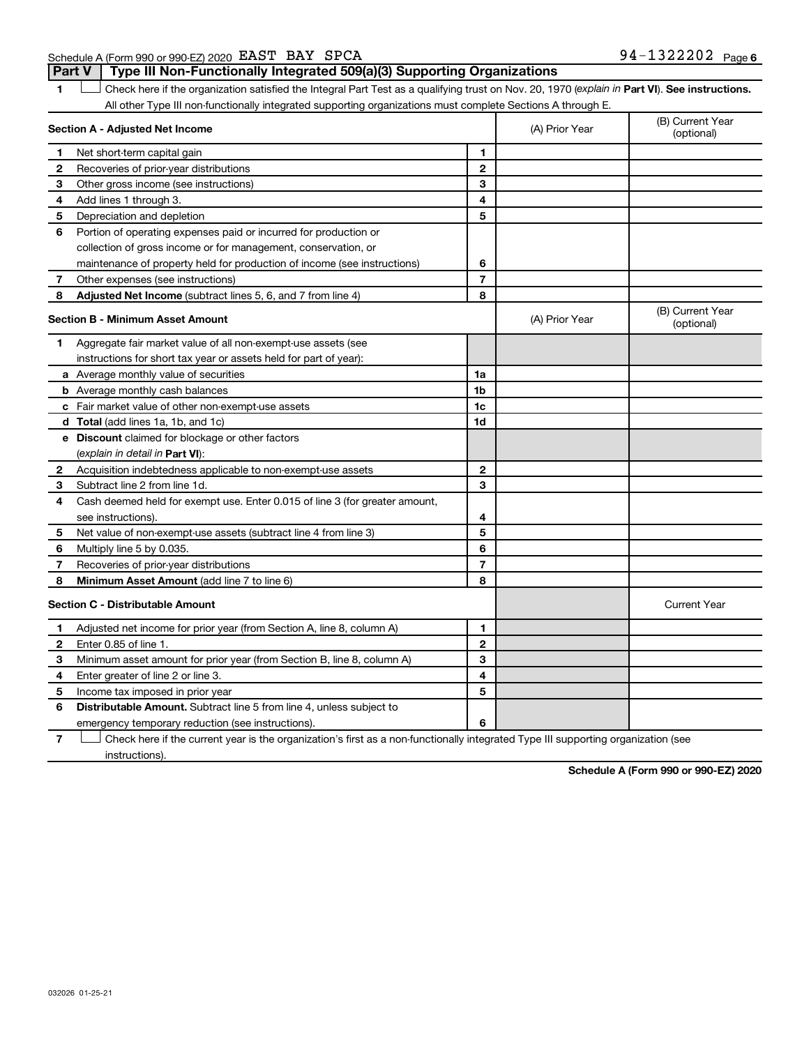Schedule A (Form 990 or 990-EZ) 2020 Page EAST BAY SPCA 94-1322202**Part V Type III Non-Functionally Integrated 509(a)(3) Supporting Organizations** 

1 **Letter See instructions.** Check here if the organization satisfied the Integral Part Test as a qualifying trust on Nov. 20, 1970 (*explain in* Part **VI**). See instructions. All other Type III non-functionally integrated supporting organizations must complete Sections A through E.

|              | Section A - Adjusted Net Income                                             | (A) Prior Year | (B) Current Year<br>(optional) |                                |
|--------------|-----------------------------------------------------------------------------|----------------|--------------------------------|--------------------------------|
| 1            | Net short-term capital gain                                                 | 1              |                                |                                |
| 2            | Recoveries of prior-year distributions                                      | $\mathbf{2}$   |                                |                                |
| 3            | Other gross income (see instructions)                                       | 3              |                                |                                |
| 4            | Add lines 1 through 3.                                                      | 4              |                                |                                |
| 5            | Depreciation and depletion                                                  | 5              |                                |                                |
| 6            | Portion of operating expenses paid or incurred for production or            |                |                                |                                |
|              | collection of gross income or for management, conservation, or              |                |                                |                                |
|              | maintenance of property held for production of income (see instructions)    | 6              |                                |                                |
| 7            | Other expenses (see instructions)                                           | $\overline{7}$ |                                |                                |
| 8            | Adjusted Net Income (subtract lines 5, 6, and 7 from line 4)                | 8              |                                |                                |
|              | <b>Section B - Minimum Asset Amount</b>                                     |                | (A) Prior Year                 | (B) Current Year<br>(optional) |
| 1.           | Aggregate fair market value of all non-exempt-use assets (see               |                |                                |                                |
|              | instructions for short tax year or assets held for part of year):           |                |                                |                                |
|              | a Average monthly value of securities                                       | 1a             |                                |                                |
|              | <b>b</b> Average monthly cash balances                                      | 1b             |                                |                                |
|              | c Fair market value of other non-exempt-use assets                          | 1c             |                                |                                |
|              | d Total (add lines 1a, 1b, and 1c)                                          | 1d             |                                |                                |
|              | e Discount claimed for blockage or other factors                            |                |                                |                                |
|              | (explain in detail in <b>Part VI</b> ):                                     |                |                                |                                |
| 2            | Acquisition indebtedness applicable to non-exempt-use assets                | $\mathbf{2}$   |                                |                                |
| 3            | Subtract line 2 from line 1d.                                               | 3              |                                |                                |
| 4            | Cash deemed held for exempt use. Enter 0.015 of line 3 (for greater amount, |                |                                |                                |
|              | see instructions).                                                          | 4              |                                |                                |
| 5            | Net value of non-exempt-use assets (subtract line 4 from line 3)            | 5              |                                |                                |
| 6            | Multiply line 5 by 0.035.                                                   | 6              |                                |                                |
| 7            | Recoveries of prior-year distributions                                      | $\overline{7}$ |                                |                                |
| 8            | Minimum Asset Amount (add line 7 to line 6)                                 | 8              |                                |                                |
|              | <b>Section C - Distributable Amount</b>                                     |                |                                | <b>Current Year</b>            |
| 1            | Adjusted net income for prior year (from Section A, line 8, column A)       | 1              |                                |                                |
| $\mathbf{2}$ | Enter 0.85 of line 1.                                                       | $\mathbf{2}$   |                                |                                |
| з            | Minimum asset amount for prior year (from Section B, line 8, column A)      | 3              |                                |                                |
| 4            | Enter greater of line 2 or line 3.                                          | 4              |                                |                                |
| 5            | Income tax imposed in prior year                                            | 5              |                                |                                |
| 6            | <b>Distributable Amount.</b> Subtract line 5 from line 4, unless subject to |                |                                |                                |
|              | emergency temporary reduction (see instructions).                           | 6              |                                |                                |

**7** Let Check here if the current year is the organization's first as a non-functionally integrated Type III supporting organization (see instructions).

**Schedule A (Form 990 or 990-EZ) 2020**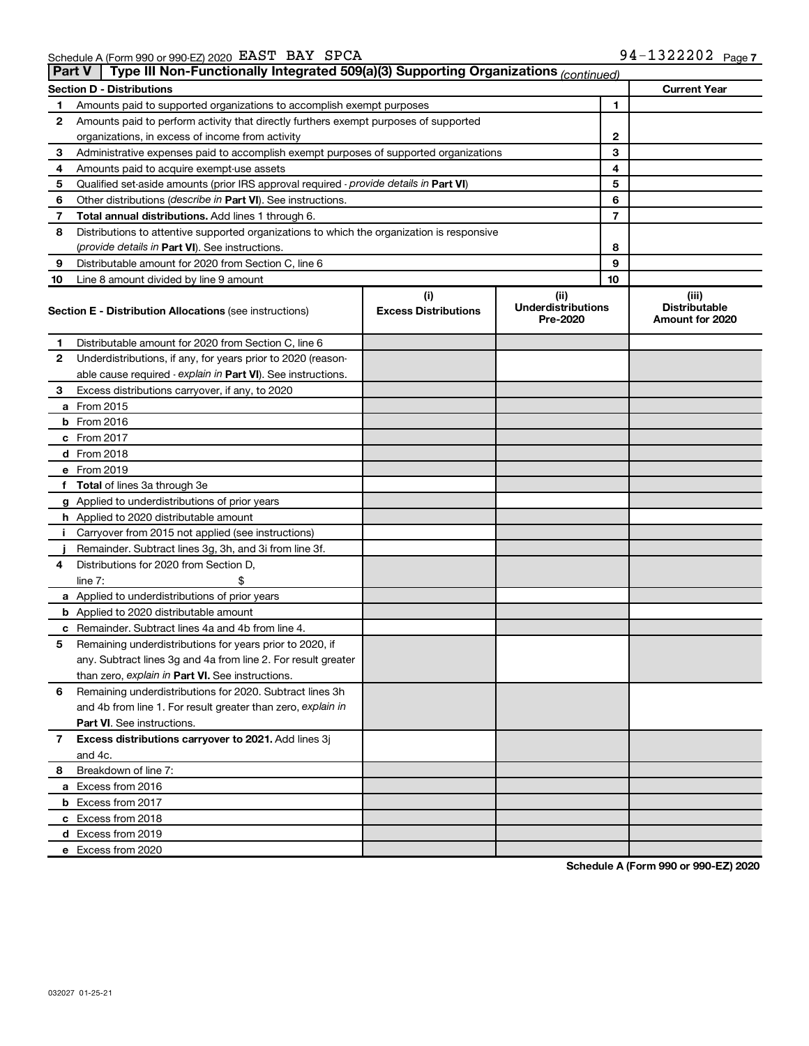|             | <b>Current Year</b><br><b>Section D - Distributions</b>                                    |                             |                                       |    |                                         |  |  |  |  |  |  |
|-------------|--------------------------------------------------------------------------------------------|-----------------------------|---------------------------------------|----|-----------------------------------------|--|--|--|--|--|--|
| 1           | Amounts paid to supported organizations to accomplish exempt purposes                      |                             | 1                                     |    |                                         |  |  |  |  |  |  |
| 2           | Amounts paid to perform activity that directly furthers exempt purposes of supported       |                             |                                       |    |                                         |  |  |  |  |  |  |
|             | organizations, in excess of income from activity                                           |                             | 2                                     |    |                                         |  |  |  |  |  |  |
| 3           | Administrative expenses paid to accomplish exempt purposes of supported organizations      |                             |                                       | 3  |                                         |  |  |  |  |  |  |
| 4           | Amounts paid to acquire exempt-use assets                                                  |                             |                                       | 4  |                                         |  |  |  |  |  |  |
| 5           | Qualified set-aside amounts (prior IRS approval required - provide details in Part VI)     |                             |                                       | 5  |                                         |  |  |  |  |  |  |
| 6           | Other distributions (describe in Part VI). See instructions.                               |                             |                                       | 6  |                                         |  |  |  |  |  |  |
| 7           | Total annual distributions. Add lines 1 through 6.                                         |                             | 7                                     |    |                                         |  |  |  |  |  |  |
| 8           | Distributions to attentive supported organizations to which the organization is responsive |                             |                                       |    |                                         |  |  |  |  |  |  |
|             | ( <i>provide details in Part VI</i> ). See instructions.                                   |                             | 8                                     |    |                                         |  |  |  |  |  |  |
| 9           | Distributable amount for 2020 from Section C, line 6                                       |                             | 9                                     |    |                                         |  |  |  |  |  |  |
| 10          | Line 8 amount divided by line 9 amount                                                     |                             |                                       | 10 |                                         |  |  |  |  |  |  |
| (i)<br>(ii) |                                                                                            |                             |                                       |    | (iii)                                   |  |  |  |  |  |  |
|             | <b>Section E - Distribution Allocations (see instructions)</b>                             | <b>Excess Distributions</b> | <b>Underdistributions</b><br>Pre-2020 |    | <b>Distributable</b><br>Amount for 2020 |  |  |  |  |  |  |
| 1           | Distributable amount for 2020 from Section C, line 6                                       |                             |                                       |    |                                         |  |  |  |  |  |  |
| 2           | Underdistributions, if any, for years prior to 2020 (reason-                               |                             |                                       |    |                                         |  |  |  |  |  |  |
|             | able cause required - explain in Part VI). See instructions.                               |                             |                                       |    |                                         |  |  |  |  |  |  |
| З           | Excess distributions carryover, if any, to 2020                                            |                             |                                       |    |                                         |  |  |  |  |  |  |
|             | a From 2015                                                                                |                             |                                       |    |                                         |  |  |  |  |  |  |
|             | $b$ From 2016                                                                              |                             |                                       |    |                                         |  |  |  |  |  |  |
|             | c From 2017                                                                                |                             |                                       |    |                                         |  |  |  |  |  |  |
|             | <b>d</b> From 2018                                                                         |                             |                                       |    |                                         |  |  |  |  |  |  |
|             | e From 2019                                                                                |                             |                                       |    |                                         |  |  |  |  |  |  |
|             | f Total of lines 3a through 3e                                                             |                             |                                       |    |                                         |  |  |  |  |  |  |
|             | g Applied to underdistributions of prior years                                             |                             |                                       |    |                                         |  |  |  |  |  |  |
|             | <b>h</b> Applied to 2020 distributable amount                                              |                             |                                       |    |                                         |  |  |  |  |  |  |
| Ť.          | Carryover from 2015 not applied (see instructions)                                         |                             |                                       |    |                                         |  |  |  |  |  |  |
|             | Remainder. Subtract lines 3g, 3h, and 3i from line 3f.                                     |                             |                                       |    |                                         |  |  |  |  |  |  |
| 4           | Distributions for 2020 from Section D,                                                     |                             |                                       |    |                                         |  |  |  |  |  |  |
|             | line $7:$                                                                                  |                             |                                       |    |                                         |  |  |  |  |  |  |
|             | a Applied to underdistributions of prior years                                             |                             |                                       |    |                                         |  |  |  |  |  |  |
|             | <b>b</b> Applied to 2020 distributable amount                                              |                             |                                       |    |                                         |  |  |  |  |  |  |
|             | c Remainder. Subtract lines 4a and 4b from line 4.                                         |                             |                                       |    |                                         |  |  |  |  |  |  |
| 5           | Remaining underdistributions for years prior to 2020, if                                   |                             |                                       |    |                                         |  |  |  |  |  |  |
|             | any. Subtract lines 3g and 4a from line 2. For result greater                              |                             |                                       |    |                                         |  |  |  |  |  |  |
|             | than zero, explain in Part VI. See instructions.                                           |                             |                                       |    |                                         |  |  |  |  |  |  |
| 6           | Remaining underdistributions for 2020. Subtract lines 3h                                   |                             |                                       |    |                                         |  |  |  |  |  |  |
|             | and 4b from line 1. For result greater than zero, explain in                               |                             |                                       |    |                                         |  |  |  |  |  |  |
|             | <b>Part VI.</b> See instructions.                                                          |                             |                                       |    |                                         |  |  |  |  |  |  |
| 7           | Excess distributions carryover to 2021. Add lines 3j                                       |                             |                                       |    |                                         |  |  |  |  |  |  |
|             | and 4c.                                                                                    |                             |                                       |    |                                         |  |  |  |  |  |  |
| 8           | Breakdown of line 7:                                                                       |                             |                                       |    |                                         |  |  |  |  |  |  |
|             | a Excess from 2016                                                                         |                             |                                       |    |                                         |  |  |  |  |  |  |
|             | <b>b</b> Excess from 2017                                                                  |                             |                                       |    |                                         |  |  |  |  |  |  |
|             | c Excess from 2018                                                                         |                             |                                       |    |                                         |  |  |  |  |  |  |
|             | d Excess from 2019                                                                         |                             |                                       |    |                                         |  |  |  |  |  |  |
|             | e Excess from 2020                                                                         |                             |                                       |    |                                         |  |  |  |  |  |  |

**Schedule A (Form 990 or 990-EZ) 2020**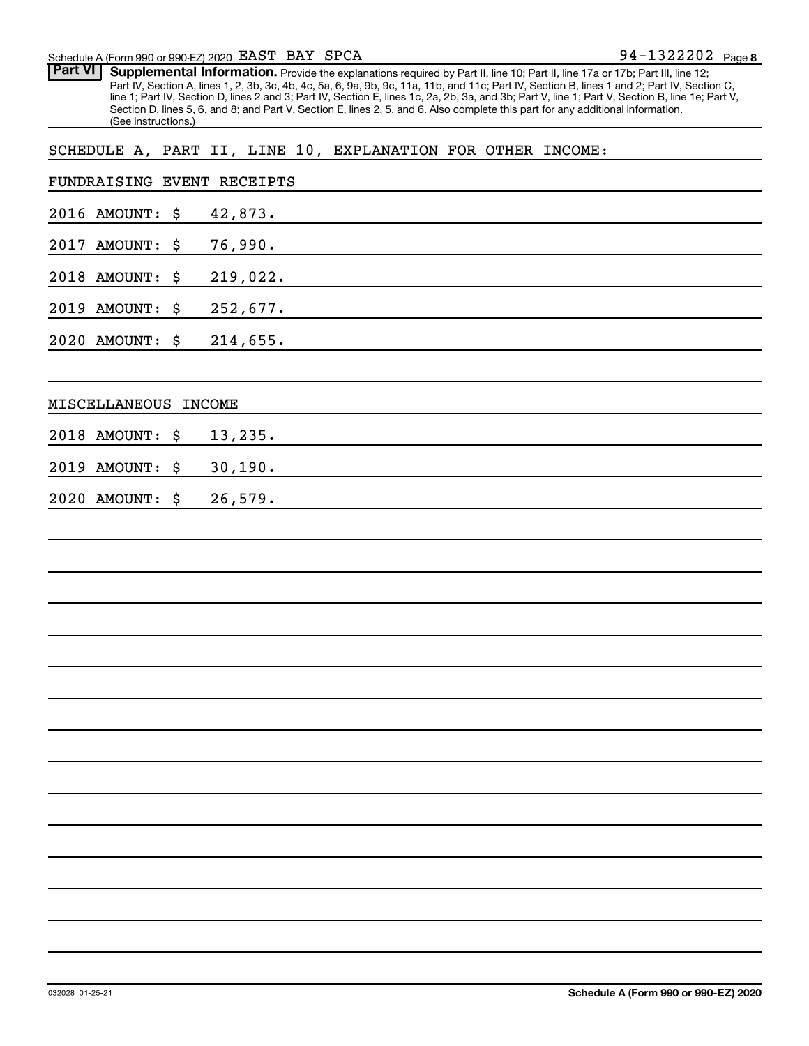#### Schedule A (Form 990 or 990-EZ) 2020 Page EAST BAY SPCA 94-1322202

Part VI | Supplemental Information. Provide the explanations required by Part II, line 10; Part II, line 17a or 17b; Part III, line 12; Part IV, Section A, lines 1, 2, 3b, 3c, 4b, 4c, 5a, 6, 9a, 9b, 9c, 11a, 11b, and 11c; Part IV, Section B, lines 1 and 2; Part IV, Section C, line 1; Part IV, Section D, lines 2 and 3; Part IV, Section E, lines 1c, 2a, 2b, 3a, and 3b; Part V, line 1; Part V, Section B, line 1e; Part V, Section D, lines 5, 6, and 8; and Part V, Section E, lines 2, 5, and 6. Also complete this part for any additional information. (See instructions.)

#### SCHEDULE A, PART II, LINE 10, EXPLANATION FOR OTHER INCOME:

| FUNDRAISING EVENT RECEIPTS   |               |
|------------------------------|---------------|
| 2016 AMOUNT:<br>\$           | 42,873.       |
| 2017<br><b>AMOUNT:</b><br>\$ | 76,990.       |
| 2018 AMOUNT:<br>\$           | 219,022.      |
| 2019<br><b>AMOUNT:</b><br>\$ | 252,677.      |
| 2020 AMOUNT:<br>\$           | 214,655.      |
|                              |               |
| MISCELLANEOUS                | <b>INCOME</b> |
| 2018 AMOUNT:<br>\$           | 13,235.       |
| 2019<br><b>AMOUNT:</b><br>\$ | 30, 190.      |
| 2020 AMOUNT:<br>\$           | 26,579.       |
|                              |               |
|                              |               |
|                              |               |
|                              |               |
|                              |               |
|                              |               |
|                              |               |
|                              |               |
|                              |               |
|                              |               |
|                              |               |
|                              |               |
|                              |               |
|                              |               |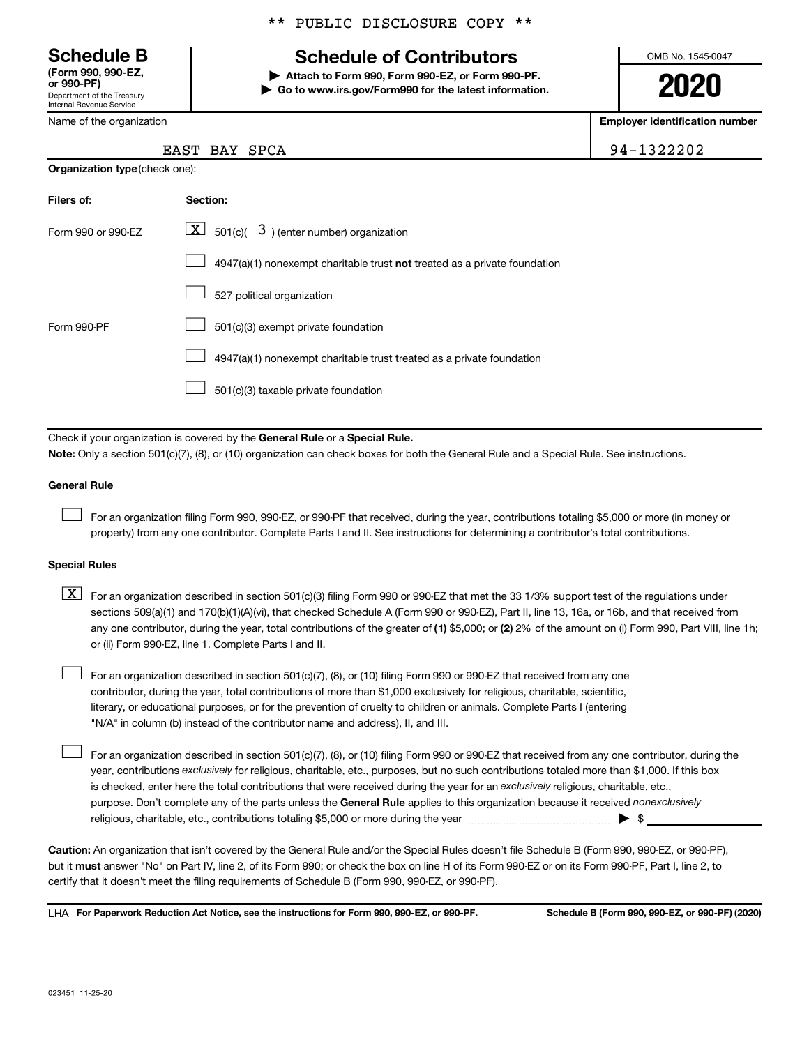Department of the Treasury Internal Revenue Service **(Form 990, 990-EZ,**

Name of the organization

#### \*\* PUBLIC DISCLOSURE COPY \*\*

### **Schedule B Schedule of Contributors**

**or 990-PF) | Attach to Form 990, Form 990-EZ, or Form 990-PF. | Go to www.irs.gov/Form990 for the latest information.** OMB No. 1545-0047

**2020**

**Employer identification number**

| 14-1322202 |  |  |  |  |  |
|------------|--|--|--|--|--|
|            |  |  |  |  |  |

|  | EAST BAY SPCA | 94-1322202 |
|--|---------------|------------|
|  |               |            |

| <b>Organization type (check one):</b> |                                                                           |  |  |  |  |  |
|---------------------------------------|---------------------------------------------------------------------------|--|--|--|--|--|
| Filers of:                            | Section:                                                                  |  |  |  |  |  |
| Form 990 or 990-EZ                    | $\lfloor \underline{X} \rfloor$ 501(c)( 3) (enter number) organization    |  |  |  |  |  |
|                                       | 4947(a)(1) nonexempt charitable trust not treated as a private foundation |  |  |  |  |  |
|                                       | 527 political organization                                                |  |  |  |  |  |
| Form 990-PF                           | 501(c)(3) exempt private foundation                                       |  |  |  |  |  |
|                                       | 4947(a)(1) nonexempt charitable trust treated as a private foundation     |  |  |  |  |  |
|                                       | 501(c)(3) taxable private foundation                                      |  |  |  |  |  |

Check if your organization is covered by the General Rule or a Special Rule. **Note:**  Only a section 501(c)(7), (8), or (10) organization can check boxes for both the General Rule and a Special Rule. See instructions.

#### **General Rule**

 $\Box$ 

 $\Box$ 

For an organization filing Form 990, 990-EZ, or 990-PF that received, during the year, contributions totaling \$5,000 or more (in money or property) from any one contributor. Complete Parts I and II. See instructions for determining a contributor's total contributions.

#### **Special Rules**

any one contributor, during the year, total contributions of the greater of (1) \$5,000; or (2) 2% of the amount on (i) Form 990, Part VIII, line 1h;  $\boxed{\text{X}}$  For an organization described in section 501(c)(3) filing Form 990 or 990-EZ that met the 33 1/3% support test of the regulations under sections 509(a)(1) and 170(b)(1)(A)(vi), that checked Schedule A (Form 990 or 990-EZ), Part II, line 13, 16a, or 16b, and that received from or (ii) Form 990-EZ, line 1. Complete Parts I and II.

For an organization described in section 501(c)(7), (8), or (10) filing Form 990 or 990-EZ that received from any one contributor, during the year, total contributions of more than \$1,000 exclusively for religious, charitable, scientific, literary, or educational purposes, or for the prevention of cruelty to children or animals. Complete Parts I (entering "N/A" in column (b) instead of the contributor name and address), II, and III.  $\Box$ 

purpose. Don't complete any of the parts unless the General Rule applies to this organization because it received nonexclusively year, contributions exclusively for religious, charitable, etc., purposes, but no such contributions totaled more than \$1,000. If this box is checked, enter here the total contributions that were received during the year for an exclusively religious, charitable, etc., For an organization described in section 501(c)(7), (8), or (10) filing Form 990 or 990-EZ that received from any one contributor, during the religious, charitable, etc., contributions totaling \$5,000 or more during the year  $~\ldots\ldots\ldots\ldots\ldots\ldots\ldots\ldots\blacktriangleright~$ \$

**Caution:**  An organization that isn't covered by the General Rule and/or the Special Rules doesn't file Schedule B (Form 990, 990-EZ, or 990-PF),  **must** but it answer "No" on Part IV, line 2, of its Form 990; or check the box on line H of its Form 990-EZ or on its Form 990-PF, Part I, line 2, to certify that it doesn't meet the filing requirements of Schedule B (Form 990, 990-EZ, or 990-PF).

**For Paperwork Reduction Act Notice, see the instructions for Form 990, 990-EZ, or 990-PF. Schedule B (Form 990, 990-EZ, or 990-PF) (2020)** LHA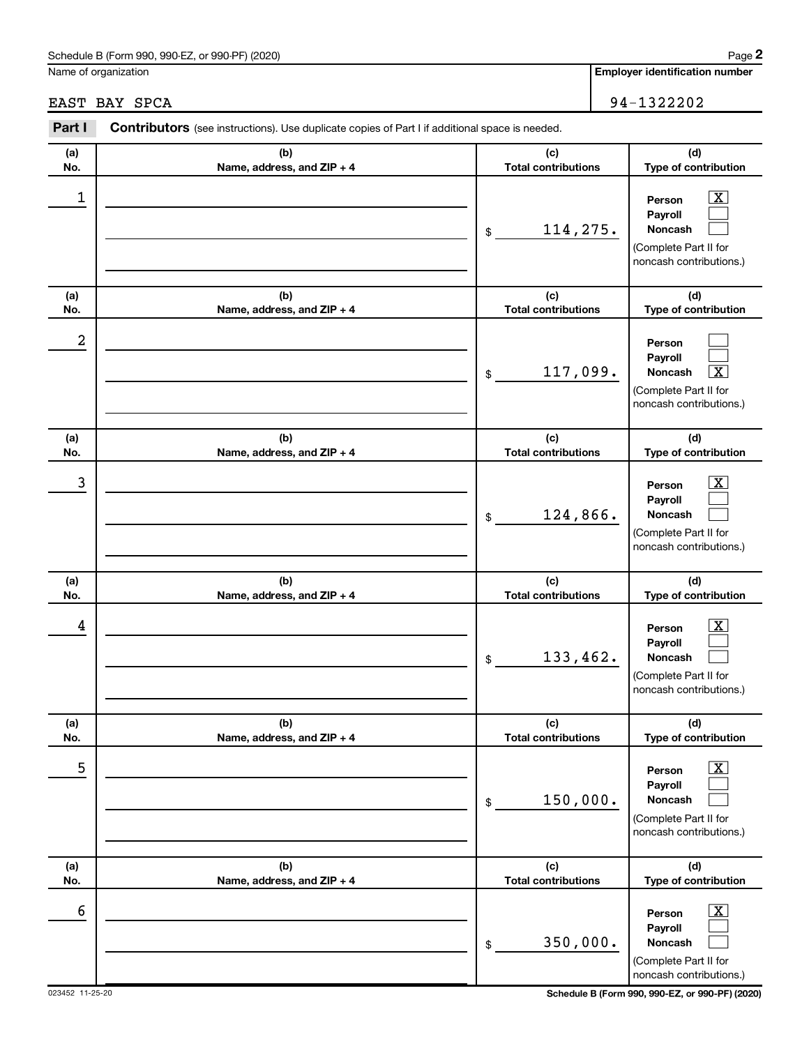#### Schedule B (Form 990, 990-EZ, or 990-PF) (2020)

Name of organization

#### EAST BAY SPCA 94-1322202

| Part I     | Contributors (see instructions). Use duplicate copies of Part I if additional space is needed. |                                   |                                                                                                             |  |  |  |  |  |
|------------|------------------------------------------------------------------------------------------------|-----------------------------------|-------------------------------------------------------------------------------------------------------------|--|--|--|--|--|
| (a)<br>No. | (b)<br>Name, address, and ZIP + 4                                                              | (c)<br><b>Total contributions</b> | (d)<br>Type of contribution                                                                                 |  |  |  |  |  |
| 1          |                                                                                                | 114,275.<br>\$                    | $\overline{\text{X}}$<br>Person<br>Payroll<br>Noncash<br>(Complete Part II for<br>noncash contributions.)   |  |  |  |  |  |
| (a)<br>No. | (b)<br>Name, address, and ZIP + 4                                                              | (c)<br><b>Total contributions</b> | (d)<br>Type of contribution                                                                                 |  |  |  |  |  |
| 2          |                                                                                                | 117,099.<br>\$                    | Person<br>Payroll<br>Noncash<br>$\overline{\textbf{x}}$<br>(Complete Part II for<br>noncash contributions.) |  |  |  |  |  |
| (a)<br>No. | (b)<br>Name, address, and ZIP + 4                                                              | (c)<br><b>Total contributions</b> | (d)<br>Type of contribution                                                                                 |  |  |  |  |  |
| 3          |                                                                                                | 124,866.<br>\$                    | $\overline{\text{X}}$<br>Person<br>Payroll<br>Noncash<br>(Complete Part II for<br>noncash contributions.)   |  |  |  |  |  |
| (a)<br>No. | (b)<br>Name, address, and ZIP + 4                                                              | (c)<br><b>Total contributions</b> | (d)<br>Type of contribution                                                                                 |  |  |  |  |  |
| 4          |                                                                                                | 133,462.<br>\$                    | $\overline{\text{X}}$<br>Person<br>Payroll<br>Noncash<br>(Complete Part II for<br>noncash contributions.)   |  |  |  |  |  |
| (a)<br>No. | (b)<br>Name, address, and ZIP + 4                                                              | (c)<br><b>Total contributions</b> | (d)<br>Type of contribution                                                                                 |  |  |  |  |  |
| 5          |                                                                                                | 150,000.<br>\$                    | $\overline{\text{X}}$<br>Person<br>Payroll<br>Noncash<br>(Complete Part II for<br>noncash contributions.)   |  |  |  |  |  |
| (a)<br>No. | (b)<br>Name, address, and ZIP + 4                                                              | (c)<br><b>Total contributions</b> | (d)<br>Type of contribution                                                                                 |  |  |  |  |  |
| 6          |                                                                                                | 350,000.<br>\$                    | $\overline{\text{X}}$<br>Person<br>Payroll<br>Noncash<br>(Complete Part II for<br>noncash contributions.)   |  |  |  |  |  |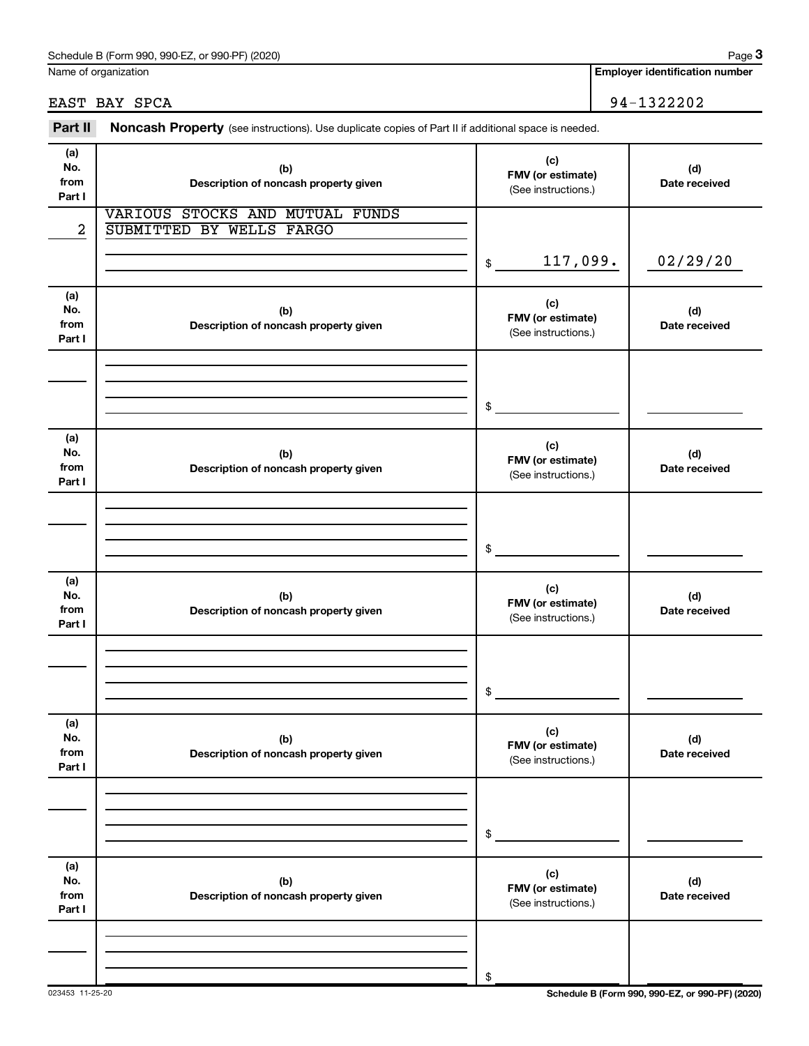Name of organization

**Employer identification number**

EAST BAY SPCA 94-1322202

| Part II                      | Noncash Property (see instructions). Use duplicate copies of Part II if additional space is needed. |                                                 |                      |
|------------------------------|-----------------------------------------------------------------------------------------------------|-------------------------------------------------|----------------------|
| (a)<br>No.<br>from<br>Part I | (b)<br>Description of noncash property given                                                        | (c)<br>FMV (or estimate)<br>(See instructions.) | (d)<br>Date received |
| $\overline{a}$               | VARIOUS STOCKS AND MUTUAL FUNDS<br>SUBMITTED BY WELLS FARGO                                         |                                                 |                      |
|                              |                                                                                                     | 117,099.<br>\$                                  | 02/29/20             |
| (a)<br>No.<br>from<br>Part I | (b)<br>Description of noncash property given                                                        | (c)<br>FMV (or estimate)<br>(See instructions.) | (d)<br>Date received |
|                              |                                                                                                     | \$                                              |                      |
| (a)<br>No.<br>from<br>Part I | (b)<br>Description of noncash property given                                                        | (c)<br>FMV (or estimate)<br>(See instructions.) | (d)<br>Date received |
|                              |                                                                                                     |                                                 |                      |
|                              |                                                                                                     | \$                                              |                      |
| (a)<br>No.<br>from<br>Part I | (b)<br>Description of noncash property given                                                        | (c)<br>FMV (or estimate)<br>(See instructions.) | (d)<br>Date received |
|                              |                                                                                                     |                                                 |                      |
|                              |                                                                                                     | \$                                              |                      |
| (a)<br>No.<br>from<br>Part I | (b)<br>Description of noncash property given                                                        | (c)<br>FMV (or estimate)<br>(See instructions.) | (d)<br>Date received |
|                              |                                                                                                     |                                                 |                      |
|                              |                                                                                                     | \$                                              |                      |
| (a)<br>No.<br>from<br>Part I | (b)<br>Description of noncash property given                                                        | (c)<br>FMV (or estimate)<br>(See instructions.) | (d)<br>Date received |
|                              |                                                                                                     |                                                 |                      |
|                              |                                                                                                     | \$                                              |                      |

023453 11-25-20 **Schedule B (Form 990, 990-EZ, or 990-PF) (2020)**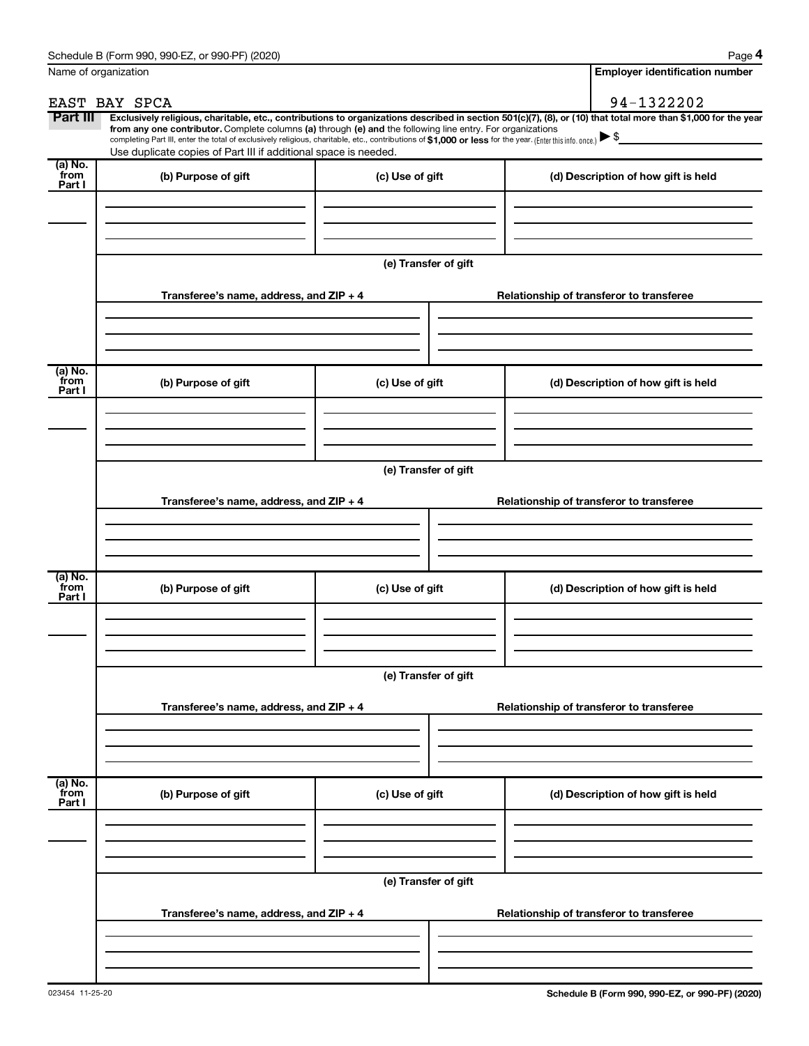|                             | Name of organization                                                                                                                                                                                                                                                                                                                           |                      | <b>Employer identification number</b>                                                                                                                          |
|-----------------------------|------------------------------------------------------------------------------------------------------------------------------------------------------------------------------------------------------------------------------------------------------------------------------------------------------------------------------------------------|----------------------|----------------------------------------------------------------------------------------------------------------------------------------------------------------|
|                             | EAST BAY SPCA                                                                                                                                                                                                                                                                                                                                  |                      | 94-1322202                                                                                                                                                     |
| Part III                    | from any one contributor. Complete columns (a) through (e) and the following line entry. For organizations<br>completing Part III, enter the total of exclusively religious, charitable, etc., contributions of \$1,000 or less for the year. (Enter this info. once.) ▶ \$<br>Use duplicate copies of Part III if additional space is needed. |                      | Exclusively religious, charitable, etc., contributions to organizations described in section 501(c)(7), (8), or (10) that total more than \$1,000 for the year |
| (a) No.<br>from<br>Part I   | (b) Purpose of gift                                                                                                                                                                                                                                                                                                                            | (c) Use of gift      | (d) Description of how gift is held                                                                                                                            |
|                             |                                                                                                                                                                                                                                                                                                                                                |                      |                                                                                                                                                                |
|                             |                                                                                                                                                                                                                                                                                                                                                | (e) Transfer of gift |                                                                                                                                                                |
|                             | Transferee's name, address, and $ZIP + 4$                                                                                                                                                                                                                                                                                                      |                      | Relationship of transferor to transferee                                                                                                                       |
| (a) No.<br>from             | (b) Purpose of gift                                                                                                                                                                                                                                                                                                                            | (c) Use of gift      | (d) Description of how gift is held                                                                                                                            |
| Part I                      |                                                                                                                                                                                                                                                                                                                                                |                      |                                                                                                                                                                |
|                             |                                                                                                                                                                                                                                                                                                                                                | (e) Transfer of gift |                                                                                                                                                                |
|                             | Transferee's name, address, and $ZIP + 4$                                                                                                                                                                                                                                                                                                      |                      | Relationship of transferor to transferee                                                                                                                       |
| $(a)$ No.<br>from<br>Part I | (b) Purpose of gift                                                                                                                                                                                                                                                                                                                            | (c) Use of gift      | (d) Description of how gift is held                                                                                                                            |
|                             |                                                                                                                                                                                                                                                                                                                                                |                      |                                                                                                                                                                |
|                             |                                                                                                                                                                                                                                                                                                                                                | (e) Transfer of gift |                                                                                                                                                                |
|                             | Transferee's name, address, and $ZIP + 4$                                                                                                                                                                                                                                                                                                      |                      | Relationship of transferor to transferee                                                                                                                       |
|                             |                                                                                                                                                                                                                                                                                                                                                |                      |                                                                                                                                                                |
| (a) No.<br>from<br>Part I   | (b) Purpose of gift                                                                                                                                                                                                                                                                                                                            | (c) Use of gift      | (d) Description of how gift is held                                                                                                                            |
|                             |                                                                                                                                                                                                                                                                                                                                                |                      |                                                                                                                                                                |
|                             |                                                                                                                                                                                                                                                                                                                                                | (e) Transfer of gift |                                                                                                                                                                |
|                             | Transferee's name, address, and $ZIP + 4$                                                                                                                                                                                                                                                                                                      |                      | Relationship of transferor to transferee                                                                                                                       |
|                             |                                                                                                                                                                                                                                                                                                                                                |                      |                                                                                                                                                                |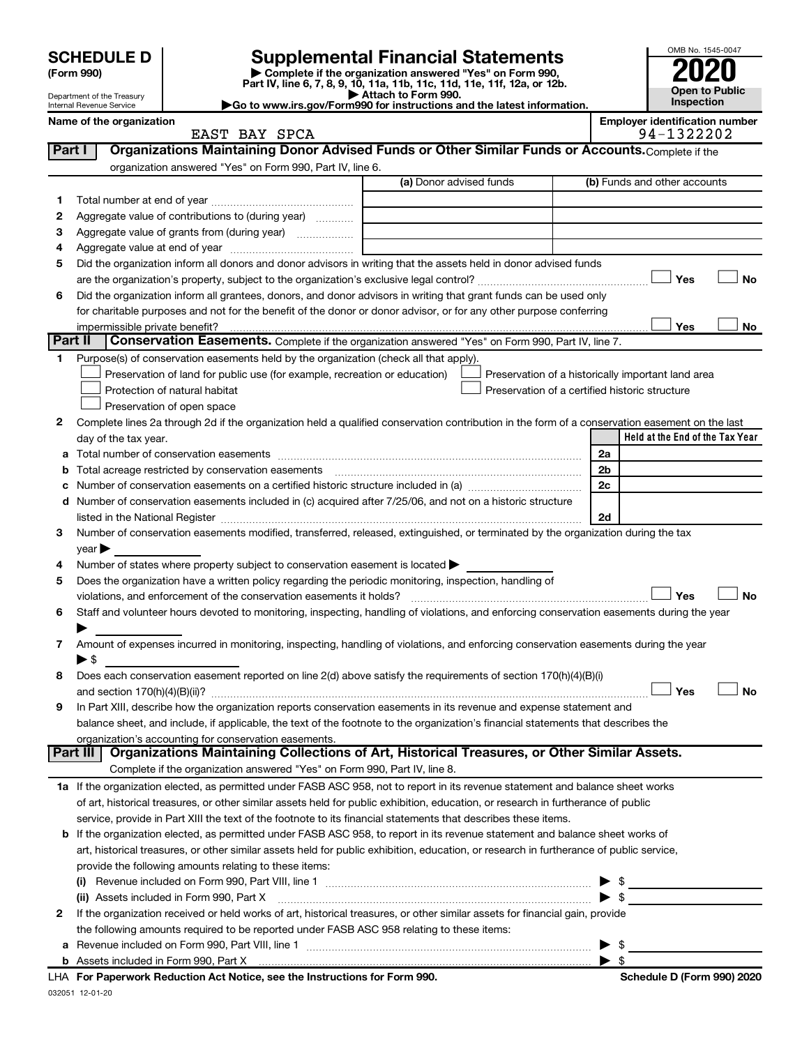| <b>SCHEDULE D</b> |
|-------------------|
|-------------------|

| (Form 990) |  |
|------------|--|
|------------|--|

## **SCHEDULE D Supplemental Financial Statements**<br> **Form 990 2020**<br> **Part IV** line 6.7.8.9.10, 11a, 11b, 11d, 11d, 11d, 11d, 11d, 12a, 0r, 12b

**(Form 990) | Complete if the organization answered "Yes" on Form 990, Part IV, line 6, 7, 8, 9, 10, 11a, 11b, 11c, 11d, 11e, 11f, 12a, or 12b.**



|              | Department of the Treasury<br>Internal Revenue Service | Go to www.irs.gov/Form990 for instructions and the latest information.                                                                                                                                                        | Attach to Form 990.     |                                                    |                | Inspection                                          | Open to Public |
|--------------|--------------------------------------------------------|-------------------------------------------------------------------------------------------------------------------------------------------------------------------------------------------------------------------------------|-------------------------|----------------------------------------------------|----------------|-----------------------------------------------------|----------------|
|              | Name of the organization                               | EAST BAY SPCA                                                                                                                                                                                                                 |                         |                                                    |                | <b>Employer identification number</b><br>94-1322202 |                |
| Part I       |                                                        | Organizations Maintaining Donor Advised Funds or Other Similar Funds or Accounts. Complete if the                                                                                                                             |                         |                                                    |                |                                                     |                |
|              |                                                        | organization answered "Yes" on Form 990, Part IV, line 6.                                                                                                                                                                     |                         |                                                    |                |                                                     |                |
|              |                                                        |                                                                                                                                                                                                                               | (a) Donor advised funds |                                                    |                | (b) Funds and other accounts                        |                |
| 1.           |                                                        |                                                                                                                                                                                                                               |                         |                                                    |                |                                                     |                |
| 2            |                                                        | Aggregate value of contributions to (during year)                                                                                                                                                                             |                         |                                                    |                |                                                     |                |
| 3            |                                                        | Aggregate value of grants from (during year)                                                                                                                                                                                  |                         |                                                    |                |                                                     |                |
| 4            |                                                        |                                                                                                                                                                                                                               |                         |                                                    |                |                                                     |                |
| 5            |                                                        | Did the organization inform all donors and donor advisors in writing that the assets held in donor advised funds                                                                                                              |                         |                                                    |                |                                                     |                |
|              |                                                        |                                                                                                                                                                                                                               |                         |                                                    |                | Yes                                                 | No             |
| 6            |                                                        | Did the organization inform all grantees, donors, and donor advisors in writing that grant funds can be used only                                                                                                             |                         |                                                    |                |                                                     |                |
|              |                                                        | for charitable purposes and not for the benefit of the donor or donor advisor, or for any other purpose conferring                                                                                                            |                         |                                                    |                |                                                     |                |
|              |                                                        | impermissible private benefit?                                                                                                                                                                                                |                         |                                                    |                | Yes                                                 | No             |
| Part II      |                                                        | Conservation Easements. Complete if the organization answered "Yes" on Form 990, Part IV, line 7.                                                                                                                             |                         |                                                    |                |                                                     |                |
| 1            |                                                        | Purpose(s) of conservation easements held by the organization (check all that apply).                                                                                                                                         |                         |                                                    |                |                                                     |                |
|              |                                                        | Preservation of land for public use (for example, recreation or education)                                                                                                                                                    |                         | Preservation of a historically important land area |                |                                                     |                |
|              |                                                        | Protection of natural habitat                                                                                                                                                                                                 |                         | Preservation of a certified historic structure     |                |                                                     |                |
|              |                                                        | Preservation of open space                                                                                                                                                                                                    |                         |                                                    |                |                                                     |                |
| $\mathbf{2}$ |                                                        | Complete lines 2a through 2d if the organization held a qualified conservation contribution in the form of a conservation easement on the last                                                                                |                         |                                                    |                |                                                     |                |
|              | day of the tax year.                                   |                                                                                                                                                                                                                               |                         |                                                    |                | Held at the End of the Tax Year                     |                |
|              |                                                        |                                                                                                                                                                                                                               |                         |                                                    | 2a             |                                                     |                |
| b            |                                                        | Total acreage restricted by conservation easements                                                                                                                                                                            |                         |                                                    | 2 <sub>b</sub> |                                                     |                |
|              |                                                        |                                                                                                                                                                                                                               |                         |                                                    | 2c             |                                                     |                |
| d            |                                                        | Number of conservation easements included in (c) acquired after 7/25/06, and not on a historic structure                                                                                                                      |                         |                                                    |                |                                                     |                |
|              |                                                        | listed in the National Register [111] Marshall Register [11] Marshall Register [11] Marshall Register [11] Marshall Register [11] Marshall Register [11] Marshall Register [11] Marshall Register [11] Marshall Register [11] |                         |                                                    | 2d             |                                                     |                |
| З.           |                                                        | Number of conservation easements modified, transferred, released, extinguished, or terminated by the organization during the tax                                                                                              |                         |                                                    |                |                                                     |                |
| 4            | $year \triangleright$                                  | Number of states where property subject to conservation easement is located >                                                                                                                                                 |                         |                                                    |                |                                                     |                |
| 5            |                                                        | Does the organization have a written policy regarding the periodic monitoring, inspection, handling of                                                                                                                        |                         |                                                    |                |                                                     |                |
|              |                                                        | violations, and enforcement of the conservation easements it holds?                                                                                                                                                           |                         |                                                    |                | Yes                                                 | No             |
| 6            |                                                        | Staff and volunteer hours devoted to monitoring, inspecting, handling of violations, and enforcing conservation easements during the year                                                                                     |                         |                                                    |                |                                                     |                |
|              |                                                        |                                                                                                                                                                                                                               |                         |                                                    |                |                                                     |                |
| 7            |                                                        | Amount of expenses incurred in monitoring, inspecting, handling of violations, and enforcing conservation easements during the year                                                                                           |                         |                                                    |                |                                                     |                |
|              | $\blacktriangleright$ \$                               |                                                                                                                                                                                                                               |                         |                                                    |                |                                                     |                |
| 8            |                                                        | Does each conservation easement reported on line 2(d) above satisfy the requirements of section 170(h)(4)(B)(i)                                                                                                               |                         |                                                    |                |                                                     |                |
|              |                                                        |                                                                                                                                                                                                                               |                         |                                                    |                | Yes                                                 | No             |
| 9            |                                                        | In Part XIII, describe how the organization reports conservation easements in its revenue and expense statement and                                                                                                           |                         |                                                    |                |                                                     |                |
|              |                                                        | balance sheet, and include, if applicable, the text of the footnote to the organization's financial statements that describes the                                                                                             |                         |                                                    |                |                                                     |                |
|              |                                                        | organization's accounting for conservation easements.                                                                                                                                                                         |                         |                                                    |                |                                                     |                |
|              | Part III                                               | Organizations Maintaining Collections of Art, Historical Treasures, or Other Similar Assets.                                                                                                                                  |                         |                                                    |                |                                                     |                |
|              |                                                        | Complete if the organization answered "Yes" on Form 990, Part IV, line 8.                                                                                                                                                     |                         |                                                    |                |                                                     |                |
|              |                                                        | 1a If the organization elected, as permitted under FASB ASC 958, not to report in its revenue statement and balance sheet works                                                                                               |                         |                                                    |                |                                                     |                |
|              |                                                        | of art, historical treasures, or other similar assets held for public exhibition, education, or research in furtherance of public                                                                                             |                         |                                                    |                |                                                     |                |
|              |                                                        | service, provide in Part XIII the text of the footnote to its financial statements that describes these items.                                                                                                                |                         |                                                    |                |                                                     |                |
| b            |                                                        | If the organization elected, as permitted under FASB ASC 958, to report in its revenue statement and balance sheet works of                                                                                                   |                         |                                                    |                |                                                     |                |
|              |                                                        | art, historical treasures, or other similar assets held for public exhibition, education, or research in furtherance of public service,                                                                                       |                         |                                                    |                |                                                     |                |
|              |                                                        | provide the following amounts relating to these items:                                                                                                                                                                        |                         |                                                    |                |                                                     |                |
|              |                                                        |                                                                                                                                                                                                                               |                         |                                                    |                | - \$                                                |                |
|              |                                                        | (ii) Assets included in Form 990, Part X [11] [2000] [2010] Assets included in Form 990, Part X                                                                                                                               |                         |                                                    |                | -\$                                                 |                |
| 2            |                                                        | If the organization received or held works of art, historical treasures, or other similar assets for financial gain, provide                                                                                                  |                         |                                                    |                |                                                     |                |
|              |                                                        | the following amounts required to be reported under FASB ASC 958 relating to these items:                                                                                                                                     |                         |                                                    |                |                                                     |                |

032051 12-01-20 **b** Assets included in Form 990, Part X **For Paperwork Reduction Act Notice, see the Instructions for Form 990. Schedule D (Form 990) 2020** LHA | \$

**a** Revenue included on Form 990, Part VIII, line 1 ~~~~~~~~~~~~~~~~~~~~~~~~~~~~~~ | \$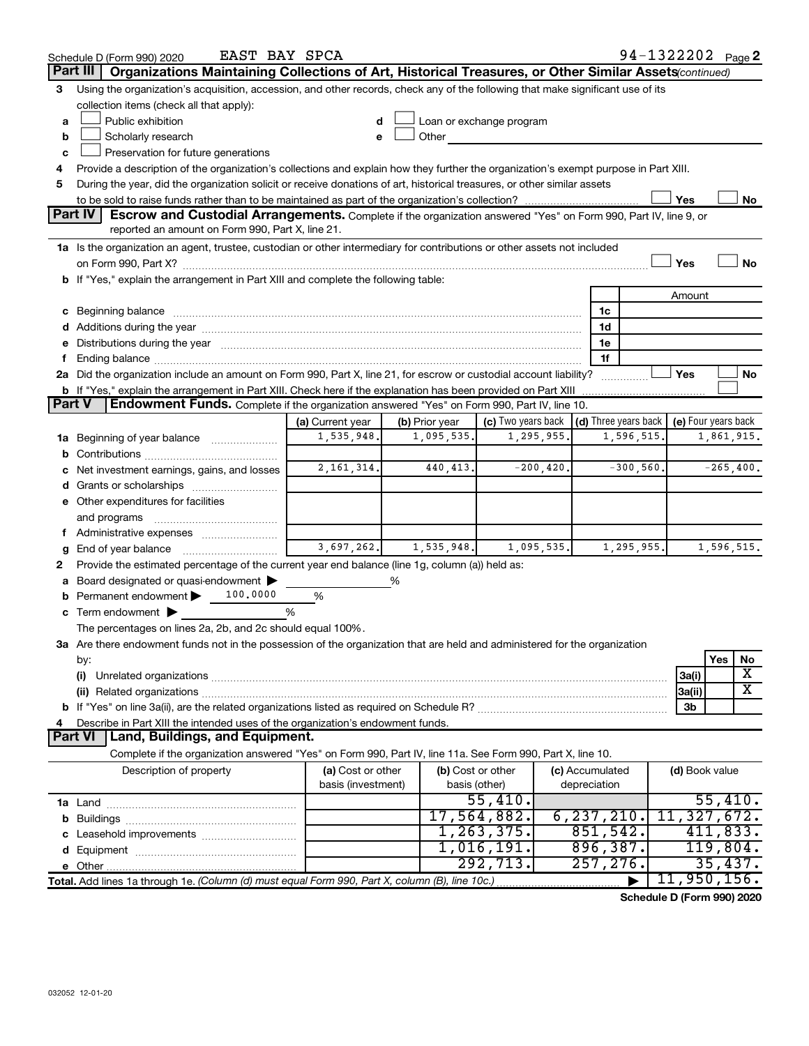|               | 94-1322202 Page 2<br>EAST BAY SPCA<br>Schedule D (Form 990) 2020                                                                                                                                                               |                    |                   |                                                         |                 |              |                              |              |    |
|---------------|--------------------------------------------------------------------------------------------------------------------------------------------------------------------------------------------------------------------------------|--------------------|-------------------|---------------------------------------------------------|-----------------|--------------|------------------------------|--------------|----|
|               | Organizations Maintaining Collections of Art, Historical Treasures, or Other Similar Assets(continued)<br>Part III                                                                                                             |                    |                   |                                                         |                 |              |                              |              |    |
| 3             | Using the organization's acquisition, accession, and other records, check any of the following that make significant use of its                                                                                                |                    |                   |                                                         |                 |              |                              |              |    |
|               | collection items (check all that apply):                                                                                                                                                                                       |                    |                   |                                                         |                 |              |                              |              |    |
| a             | Public exhibition                                                                                                                                                                                                              | d                  |                   | Loan or exchange program                                |                 |              |                              |              |    |
| b             | Scholarly research                                                                                                                                                                                                             | e                  | Other             |                                                         |                 |              |                              |              |    |
| c             | Preservation for future generations                                                                                                                                                                                            |                    |                   |                                                         |                 |              |                              |              |    |
| 4             | Provide a description of the organization's collections and explain how they further the organization's exempt purpose in Part XIII.                                                                                           |                    |                   |                                                         |                 |              |                              |              |    |
| 5             | During the year, did the organization solicit or receive donations of art, historical treasures, or other similar assets                                                                                                       |                    |                   |                                                         |                 |              |                              |              |    |
|               | Yes<br>No                                                                                                                                                                                                                      |                    |                   |                                                         |                 |              |                              |              |    |
|               | <b>Part IV</b><br>Escrow and Custodial Arrangements. Complete if the organization answered "Yes" on Form 990, Part IV, line 9, or                                                                                              |                    |                   |                                                         |                 |              |                              |              |    |
|               | reported an amount on Form 990, Part X, line 21.                                                                                                                                                                               |                    |                   |                                                         |                 |              |                              |              |    |
|               | 1a Is the organization an agent, trustee, custodian or other intermediary for contributions or other assets not included                                                                                                       |                    |                   |                                                         |                 |              |                              |              |    |
|               |                                                                                                                                                                                                                                |                    |                   |                                                         |                 |              | Yes                          |              | No |
|               | b If "Yes," explain the arrangement in Part XIII and complete the following table:                                                                                                                                             |                    |                   |                                                         |                 |              |                              |              |    |
|               |                                                                                                                                                                                                                                |                    |                   |                                                         |                 |              | Amount                       |              |    |
|               | c Beginning balance measurements and the contract of the contract of the contract of the contract of the contract of the contract of the contract of the contract of the contract of the contract of the contract of the contr |                    |                   |                                                         | 1c              |              |                              |              |    |
|               |                                                                                                                                                                                                                                |                    |                   |                                                         | 1d              |              |                              |              |    |
|               | e Distributions during the year manufactured and content to the content of the content of the content of the content of the content of the content of the content of the content of the content of the content of the content  |                    |                   |                                                         | 1e              |              |                              |              |    |
|               |                                                                                                                                                                                                                                |                    |                   |                                                         | 1f              |              |                              |              |    |
|               | 2a Did the organization include an amount on Form 990, Part X, line 21, for escrow or custodial account liability?                                                                                                             |                    |                   |                                                         |                 |              | Yes                          |              | No |
| <b>Part V</b> | <b>b</b> If "Yes," explain the arrangement in Part XIII. Check here if the explanation has been provided on Part XIII                                                                                                          |                    |                   |                                                         |                 |              |                              |              |    |
|               | Endowment Funds. Complete if the organization answered "Yes" on Form 990, Part IV, line 10.                                                                                                                                    |                    |                   |                                                         |                 |              |                              |              |    |
|               |                                                                                                                                                                                                                                | (a) Current year   | (b) Prior year    | (c) Two years back $\vert$ (d) Three years back $\vert$ |                 |              | (e) Four years back          |              |    |
| 1а            | Beginning of year balance <i>manumman</i>                                                                                                                                                                                      | 1,535,948.         | 1,095,535.        | 1,295,955.                                              |                 | 1,596,515.   |                              | 1,861,915.   |    |
| b             |                                                                                                                                                                                                                                | 2, 161, 314.       | 440, 413.         |                                                         | $-200, 420.$    |              |                              |              |    |
|               | Net investment earnings, gains, and losses                                                                                                                                                                                     |                    |                   |                                                         |                 | $-300, 560.$ |                              | $-265, 400.$ |    |
|               |                                                                                                                                                                                                                                |                    |                   |                                                         |                 |              |                              |              |    |
|               | e Other expenditures for facilities                                                                                                                                                                                            |                    |                   |                                                         |                 |              |                              |              |    |
|               | and programs                                                                                                                                                                                                                   |                    |                   |                                                         |                 |              |                              |              |    |
|               |                                                                                                                                                                                                                                | 3,697,262.         | 1,535,948.        | 1,095,535.                                              |                 | 1,295,955.   |                              | 1,596,515.   |    |
| g             | End of year balance                                                                                                                                                                                                            |                    |                   |                                                         |                 |              |                              |              |    |
| 2             | Provide the estimated percentage of the current year end balance (line 1g, column (a)) held as:                                                                                                                                |                    | ℅                 |                                                         |                 |              |                              |              |    |
|               | Board designated or quasi-endowment<br>Permanent endowment ><br>100,0000                                                                                                                                                       | $\%$               |                   |                                                         |                 |              |                              |              |    |
|               | c Term endowment $\blacktriangleright$                                                                                                                                                                                         | %                  |                   |                                                         |                 |              |                              |              |    |
|               | The percentages on lines 2a, 2b, and 2c should equal 100%.                                                                                                                                                                     |                    |                   |                                                         |                 |              |                              |              |    |
|               | 3a Are there endowment funds not in the possession of the organization that are held and administered for the organization                                                                                                     |                    |                   |                                                         |                 |              |                              |              |    |
|               | by:                                                                                                                                                                                                                            |                    |                   |                                                         |                 |              |                              | Yes          | No |
|               | (i)                                                                                                                                                                                                                            |                    |                   |                                                         |                 |              | 3a(i)                        |              | X  |
|               |                                                                                                                                                                                                                                |                    |                   |                                                         |                 |              | 3a(ii)                       |              | х  |
|               |                                                                                                                                                                                                                                |                    |                   |                                                         |                 |              | 3b                           |              |    |
|               | Describe in Part XIII the intended uses of the organization's endowment funds.                                                                                                                                                 |                    |                   |                                                         |                 |              |                              |              |    |
|               | Land, Buildings, and Equipment.<br><b>Part VI</b>                                                                                                                                                                              |                    |                   |                                                         |                 |              |                              |              |    |
|               | Complete if the organization answered "Yes" on Form 990, Part IV, line 11a. See Form 990, Part X, line 10.                                                                                                                     |                    |                   |                                                         |                 |              |                              |              |    |
|               | Description of property                                                                                                                                                                                                        | (a) Cost or other  | (b) Cost or other |                                                         | (c) Accumulated |              | (d) Book value               |              |    |
|               |                                                                                                                                                                                                                                | basis (investment) | basis (other)     |                                                         | depreciation    |              |                              |              |    |
|               |                                                                                                                                                                                                                                |                    |                   | 55,410.                                                 |                 |              |                              | 55,410.      |    |
|               |                                                                                                                                                                                                                                |                    |                   | 17,564,882.                                             | 6, 237, 210.    |              | 11,327,672.                  |              |    |
|               |                                                                                                                                                                                                                                |                    |                   | 1, 263, 375.                                            | 851,542.        |              |                              | 411,833.     |    |
|               |                                                                                                                                                                                                                                |                    |                   | 1,016,191.                                              | 896, 387.       |              |                              | 119,804.     |    |
|               |                                                                                                                                                                                                                                |                    |                   | 292,713.                                                | 257,276.        |              |                              | 35,437.      |    |
|               | Total. Add lines 1a through 1e. (Column (d) must equal Form 990, Part X, column (B), line 10c.)                                                                                                                                |                    |                   |                                                         |                 |              | 11,950,156.                  |              |    |
|               |                                                                                                                                                                                                                                |                    |                   |                                                         |                 |              | Calcedule D (Faunt 000) 0000 |              |    |

**Schedule D (Form 990) 2020**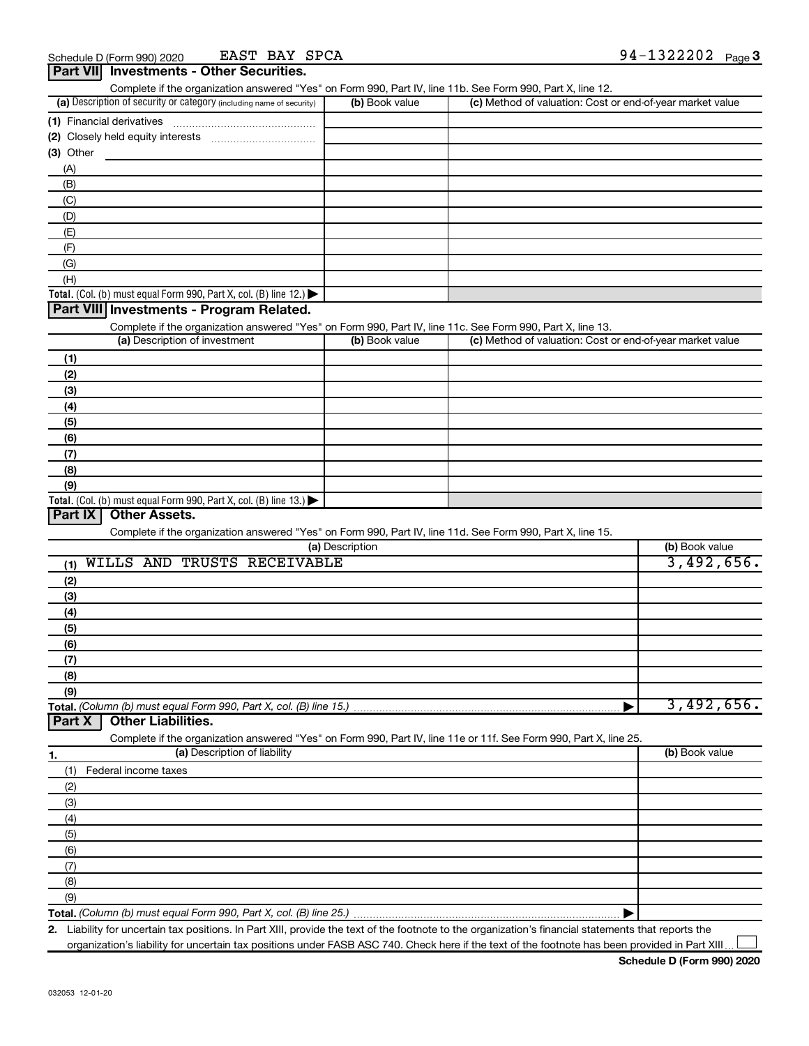EAST BAY SPCA

| Complete if the organization answered "Yes" on Form 990, Part IV, line 11b. See Form 990, Part X, line 12.                |                 |                                                           |                |
|---------------------------------------------------------------------------------------------------------------------------|-----------------|-----------------------------------------------------------|----------------|
| (a) Description of security or category (including name of security)                                                      | (b) Book value  | (c) Method of valuation: Cost or end-of-year market value |                |
| (1) Financial derivatives                                                                                                 |                 |                                                           |                |
|                                                                                                                           |                 |                                                           |                |
| (3) Other                                                                                                                 |                 |                                                           |                |
| (A)                                                                                                                       |                 |                                                           |                |
| (B)                                                                                                                       |                 |                                                           |                |
| (C)                                                                                                                       |                 |                                                           |                |
| (D)                                                                                                                       |                 |                                                           |                |
| (E)                                                                                                                       |                 |                                                           |                |
| (F)                                                                                                                       |                 |                                                           |                |
| (G)                                                                                                                       |                 |                                                           |                |
| (H)                                                                                                                       |                 |                                                           |                |
| Total. (Col. (b) must equal Form 990, Part X, col. (B) line 12.)                                                          |                 |                                                           |                |
| Part VIII Investments - Program Related.                                                                                  |                 |                                                           |                |
| Complete if the organization answered "Yes" on Form 990, Part IV, line 11c. See Form 990, Part X, line 13.                |                 |                                                           |                |
| (a) Description of investment                                                                                             | (b) Book value  | (c) Method of valuation: Cost or end-of-year market value |                |
| (1)                                                                                                                       |                 |                                                           |                |
| (2)                                                                                                                       |                 |                                                           |                |
| (3)                                                                                                                       |                 |                                                           |                |
|                                                                                                                           |                 |                                                           |                |
| (4)                                                                                                                       |                 |                                                           |                |
| (5)                                                                                                                       |                 |                                                           |                |
| (6)                                                                                                                       |                 |                                                           |                |
| (7)                                                                                                                       |                 |                                                           |                |
| (8)                                                                                                                       |                 |                                                           |                |
| (9)                                                                                                                       |                 |                                                           |                |
| Total. (Col. (b) must equal Form 990, Part X, col. (B) line 13.) $\blacktriangleright$<br>Part IX<br><b>Other Assets.</b> |                 |                                                           |                |
| Complete if the organization answered "Yes" on Form 990, Part IV, line 11d. See Form 990, Part X, line 15.                |                 |                                                           |                |
|                                                                                                                           | (a) Description |                                                           | (b) Book value |
| WILLS AND TRUSTS RECEIVABLE<br>(1)                                                                                        |                 |                                                           | 3,492,656.     |
| (2)                                                                                                                       |                 |                                                           |                |
|                                                                                                                           |                 |                                                           |                |
| (3)                                                                                                                       |                 |                                                           |                |
| (4)                                                                                                                       |                 |                                                           |                |
| (5)                                                                                                                       |                 |                                                           |                |
| (6)                                                                                                                       |                 |                                                           |                |
| (7)                                                                                                                       |                 |                                                           |                |
| (8)                                                                                                                       |                 |                                                           |                |
| (9)                                                                                                                       |                 |                                                           | 3,492,656.     |
| Total. (Column (b) must equal Form 990, Part X, col. (B) line 15.)<br><b>Other Liabilities.</b><br>Part X                 |                 |                                                           |                |
| Complete if the organization answered "Yes" on Form 990, Part IV, line 11e or 11f. See Form 990, Part X, line 25.         |                 |                                                           |                |
| (a) Description of liability                                                                                              |                 |                                                           | (b) Book value |
| 1.<br>Federal income taxes                                                                                                |                 |                                                           |                |
| (1)                                                                                                                       |                 |                                                           |                |
| (2)                                                                                                                       |                 |                                                           |                |
| (3)                                                                                                                       |                 |                                                           |                |
| (4)                                                                                                                       |                 |                                                           |                |
| (5)                                                                                                                       |                 |                                                           |                |
| (6)                                                                                                                       |                 |                                                           |                |
| (7)                                                                                                                       |                 |                                                           |                |
| (8)                                                                                                                       |                 |                                                           |                |
| (9)                                                                                                                       |                 |                                                           |                |
|                                                                                                                           |                 |                                                           |                |

**2.** Liability for uncertain tax positions. In Part XIII, provide the text of the footnote to the organization's financial statements that reports the organization's liability for uncertain tax positions under FASB ASC 740. Check here if the text of the footnote has been provided in Part XIII

 $\perp$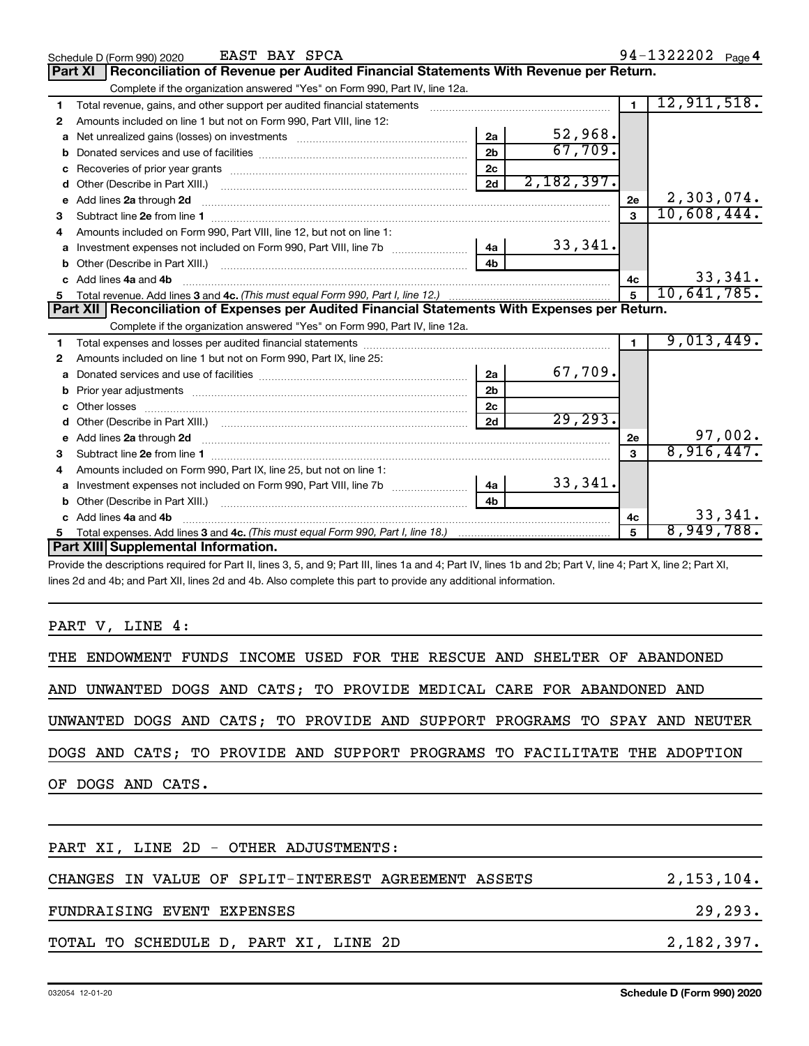|    | EAST BAY SPCA<br>Schedule D (Form 990) 2020                                                                                                                  |                |            |                | 94-1322202 Page 4 |
|----|--------------------------------------------------------------------------------------------------------------------------------------------------------------|----------------|------------|----------------|-------------------|
|    | Reconciliation of Revenue per Audited Financial Statements With Revenue per Return.<br>Part XI                                                               |                |            |                |                   |
|    | Complete if the organization answered "Yes" on Form 990, Part IV, line 12a.                                                                                  |                |            |                |                   |
| 1  | Total revenue, gains, and other support per audited financial statements [111] [11] Total revenue, gains, and other support per audited financial statements |                |            | $\blacksquare$ | 12,911,518.       |
| 2  | Amounts included on line 1 but not on Form 990, Part VIII, line 12:                                                                                          |                |            |                |                   |
| a  |                                                                                                                                                              | 2a             | 52,968.    |                |                   |
|    |                                                                                                                                                              | 2 <sub>b</sub> | 67,709.    |                |                   |
| с  |                                                                                                                                                              | 2c             |            |                |                   |
| d  |                                                                                                                                                              | 2d             | 2,182,397. |                |                   |
| е  | Add lines 2a through 2d                                                                                                                                      |                |            | 2e             | 2,303,074.        |
| 3  | Subtract line 2e from line 1 <b>manufacture in the contract of the 2e</b> from line 1                                                                        |                |            | 3              | 10,608,444.       |
| 4  | Amounts included on Form 990, Part VIII, line 12, but not on line 1:                                                                                         |                |            |                |                   |
| а  |                                                                                                                                                              | 4a l           | 33,341.    |                |                   |
| b  |                                                                                                                                                              | 4 <sub>h</sub> |            |                |                   |
| c. | Add lines 4a and 4b                                                                                                                                          |                |            | 4c             | 33,341.           |
|    |                                                                                                                                                              |                |            | 5              | 10,641,785.       |
|    | Part XII Reconciliation of Expenses per Audited Financial Statements With Expenses per Return.                                                               |                |            |                |                   |
|    | Complete if the organization answered "Yes" on Form 990, Part IV, line 12a.                                                                                  |                |            |                |                   |
|    |                                                                                                                                                              |                |            | 1.             | 9,013,449.        |
| 2  | Amounts included on line 1 but not on Form 990, Part IX, line 25:                                                                                            |                |            |                |                   |
| a  |                                                                                                                                                              | 2a             | 67,709.    |                |                   |
| b  |                                                                                                                                                              | 2 <sub>b</sub> |            |                |                   |
|    | Other losses                                                                                                                                                 | 2c             |            |                |                   |
| d  |                                                                                                                                                              | 2d             | 29, 293.   |                |                   |
| e  | Add lines 2a through 2d                                                                                                                                      |                |            | 2e             | 97,002.           |
| 3  |                                                                                                                                                              |                |            | 3              | 8,916,447.        |
| 4  | Amounts included on Form 990, Part IX, line 25, but not on line 1:                                                                                           |                |            |                |                   |
| a  | Investment expenses not included on Form 990, Part VIII, line 7b [100] [100] [100] [100] [100] [100] [100] [10                                               | 4a             | 33,341.    |                |                   |
| b  | Other (Describe in Part XIII.) [100] [100] [100] [100] [100] [100] [100] [100] [100] [100] [100] [100] [100] [                                               | 4 <sub>b</sub> |            |                |                   |
|    | Add lines 4a and 4b                                                                                                                                          |                |            | 4c             | 33,341.           |
| 5. | Total expenses. Add lines 3 and 4c. (This must equal Form 990, Part I, line 18.) <i>manumeronominal</i> manumeronominal                                      |                |            |                | 8,949,788.        |
|    | Part XIII Supplemental Information.                                                                                                                          |                |            |                |                   |
|    | $\sigma = 100$ m $\sigma = 100$ m $\sigma = 100$ m $\sigma = 100$ m $\sigma = 100$ m $\sigma = 100$                                                          |                |            |                |                   |

Provide the descriptions required for Part II, lines 3, 5, and 9; Part III, lines 1a and 4; Part IV, lines 1b and 2b; Part V, line 4; Part X, line 2; Part XI, lines 2d and 4b; and Part XII, lines 2d and 4b. Also complete this part to provide any additional information.

PART V, LINE 4:

| THE ENDOWMENT FUNDS INCOME USED FOR THE RESCUE AND SHELTER OF ABANDONED    |            |
|----------------------------------------------------------------------------|------------|
| AND UNWANTED DOGS AND CATS; TO PROVIDE MEDICAL CARE FOR ABANDONED AND      |            |
| UNWANTED DOGS AND CATS; TO PROVIDE AND SUPPORT PROGRAMS TO SPAY AND NEUTER |            |
| DOGS AND CATS; TO PROVIDE AND SUPPORT PROGRAMS TO FACILITATE THE ADOPTION  |            |
| OF DOGS AND CATS.                                                          |            |
|                                                                            |            |
| PART XI, LINE 2D - OTHER ADJUSTMENTS:                                      |            |
| CHANGES IN VALUE OF SPLIT-INTEREST AGREEMENT ASSETS                        | 2,153,104. |
| FUNDRAISING EVENT EXPENSES                                                 | 29,293.    |

#### TOTAL TO SCHEDULE D, PART XI, LINE 2D 2,182,397.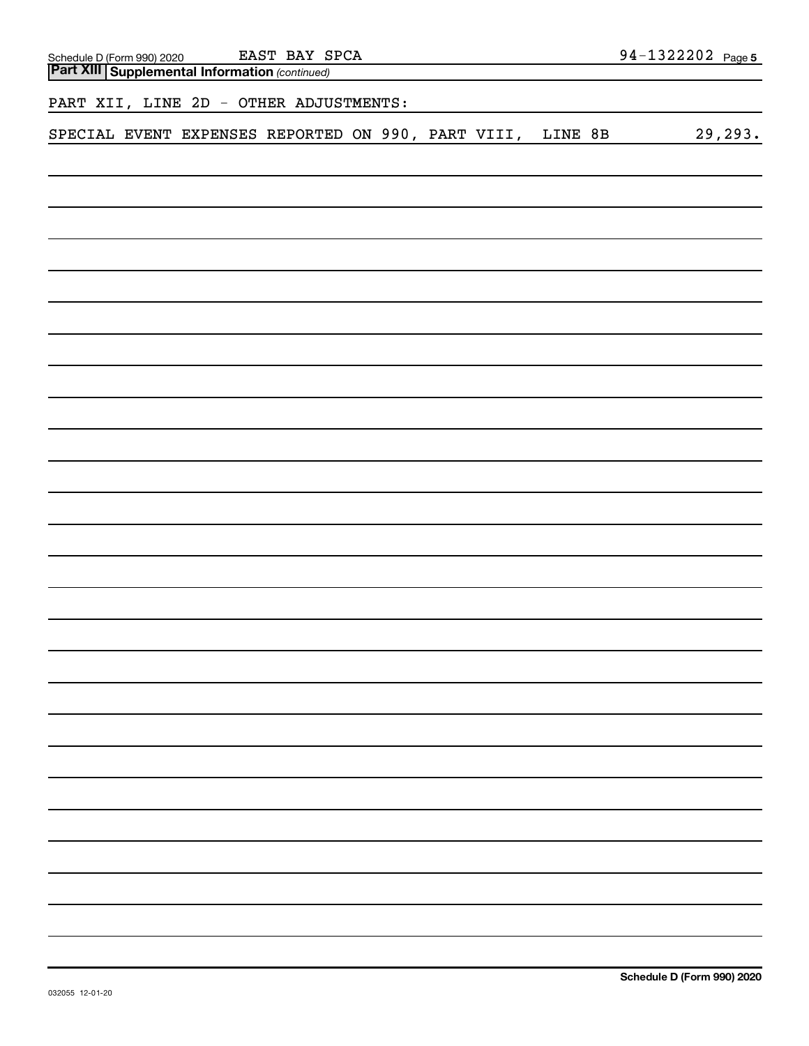| EAST BAY SPCA                                                                                  | 94-1322202 Page 5 |
|------------------------------------------------------------------------------------------------|-------------------|
| Schedule D (Form 990) 2020 EAST BAY S<br><b>Part XIII Supplemental Information</b> (continued) |                   |
| PART XII, LINE 2D - OTHER ADJUSTMENTS:                                                         |                   |
| SPECIAL EVENT EXPENSES REPORTED ON 990, PART VIII,<br>LINE 8B                                  | 29, 293.          |
|                                                                                                |                   |
|                                                                                                |                   |
|                                                                                                |                   |
|                                                                                                |                   |
|                                                                                                |                   |
|                                                                                                |                   |
|                                                                                                |                   |
|                                                                                                |                   |
|                                                                                                |                   |
|                                                                                                |                   |
|                                                                                                |                   |
|                                                                                                |                   |
|                                                                                                |                   |
|                                                                                                |                   |
|                                                                                                |                   |
|                                                                                                |                   |
|                                                                                                |                   |
|                                                                                                |                   |
|                                                                                                |                   |
|                                                                                                |                   |
|                                                                                                |                   |
|                                                                                                |                   |
|                                                                                                |                   |
|                                                                                                |                   |
|                                                                                                |                   |
|                                                                                                |                   |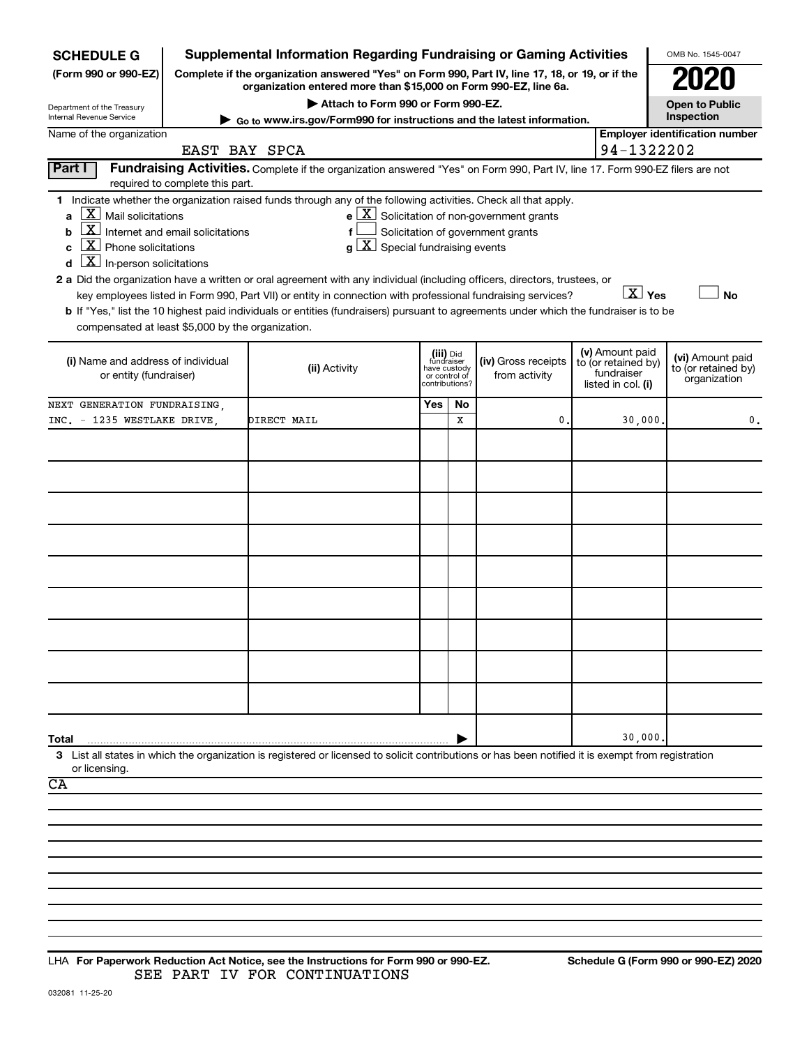| <b>SCHEDULE G</b>                                            |                                                                                                                                                                     | <b>Supplemental Information Regarding Fundraising or Gaming Activities</b>                                                                                                                                                                |     |                                         |                                                              |  |                                        | OMB No. 1545-0047                       |
|--------------------------------------------------------------|---------------------------------------------------------------------------------------------------------------------------------------------------------------------|-------------------------------------------------------------------------------------------------------------------------------------------------------------------------------------------------------------------------------------------|-----|-----------------------------------------|--------------------------------------------------------------|--|----------------------------------------|-----------------------------------------|
| (Form 990 or 990-EZ)                                         | Complete if the organization answered "Yes" on Form 990, Part IV, line 17, 18, or 19, or if the<br>organization entered more than \$15,000 on Form 990-EZ, line 6a. |                                                                                                                                                                                                                                           |     |                                         |                                                              |  |                                        |                                         |
| Department of the Treasury                                   |                                                                                                                                                                     | Attach to Form 990 or Form 990-EZ.                                                                                                                                                                                                        |     |                                         |                                                              |  |                                        | <b>Open to Public</b>                   |
| Internal Revenue Service                                     |                                                                                                                                                                     | $\triangleright$ Go to www.irs.gov/Form990 for instructions and the latest information.                                                                                                                                                   |     |                                         |                                                              |  |                                        | Inspection                              |
| Name of the organization                                     | EAST BAY SPCA                                                                                                                                                       |                                                                                                                                                                                                                                           |     |                                         |                                                              |  | 94-1322202                             | <b>Employer identification number</b>   |
| Part I                                                       |                                                                                                                                                                     | Fundraising Activities. Complete if the organization answered "Yes" on Form 990, Part IV, line 17. Form 990-EZ filers are not                                                                                                             |     |                                         |                                                              |  |                                        |                                         |
|                                                              | required to complete this part.                                                                                                                                     |                                                                                                                                                                                                                                           |     |                                         |                                                              |  |                                        |                                         |
|                                                              |                                                                                                                                                                     | 1 Indicate whether the organization raised funds through any of the following activities. Check all that apply.                                                                                                                           |     |                                         |                                                              |  |                                        |                                         |
| $\lfloor x \rfloor$ Mail solicitations                       |                                                                                                                                                                     |                                                                                                                                                                                                                                           |     |                                         | $e$ $\boxed{\text{X}}$ Solicitation of non-government grants |  |                                        |                                         |
| $\lfloor x \rfloor$<br>b                                     | Internet and email solicitations                                                                                                                                    | f                                                                                                                                                                                                                                         |     |                                         | Solicitation of government grants                            |  |                                        |                                         |
| $\lfloor \underline{X} \rfloor$ Phone solicitations<br>C     |                                                                                                                                                                     | $g\left[\frac{\textbf{X}}{\textbf{X}}\right]$ Special fundraising events                                                                                                                                                                  |     |                                         |                                                              |  |                                        |                                         |
| $\lfloor \underline{x} \rfloor$ In-person solicitations<br>d |                                                                                                                                                                     |                                                                                                                                                                                                                                           |     |                                         |                                                              |  |                                        |                                         |
|                                                              |                                                                                                                                                                     | 2 a Did the organization have a written or oral agreement with any individual (including officers, directors, trustees, or<br>key employees listed in Form 990, Part VII) or entity in connection with professional fundraising services? |     |                                         |                                                              |  | $\overline{X}$ Yes                     | No                                      |
|                                                              |                                                                                                                                                                     | b If "Yes," list the 10 highest paid individuals or entities (fundraisers) pursuant to agreements under which the fundraiser is to be                                                                                                     |     |                                         |                                                              |  |                                        |                                         |
| compensated at least \$5,000 by the organization.            |                                                                                                                                                                     |                                                                                                                                                                                                                                           |     |                                         |                                                              |  |                                        |                                         |
|                                                              |                                                                                                                                                                     |                                                                                                                                                                                                                                           |     |                                         |                                                              |  |                                        |                                         |
| (i) Name and address of individual                           |                                                                                                                                                                     | (ii) Activity                                                                                                                                                                                                                             |     | (iii) Did<br>fundraiser<br>have custody | (iv) Gross receipts                                          |  | (v) Amount paid<br>to (or retained by) | (vi) Amount paid<br>to (or retained by) |
| or entity (fundraiser)                                       |                                                                                                                                                                     |                                                                                                                                                                                                                                           |     | or control of<br>contributions?         | from activity                                                |  | fundraiser<br>listed in col. (i)       | organization                            |
| NEXT GENERATION FUNDRAISING,                                 |                                                                                                                                                                     |                                                                                                                                                                                                                                           | Yes | No                                      |                                                              |  |                                        |                                         |
| INC. - 1235 WESTLAKE DRIVE                                   |                                                                                                                                                                     | DIRECT MAIL                                                                                                                                                                                                                               |     | x                                       | 0                                                            |  | 30,000                                 | 0.                                      |
|                                                              |                                                                                                                                                                     |                                                                                                                                                                                                                                           |     |                                         |                                                              |  |                                        |                                         |
|                                                              |                                                                                                                                                                     |                                                                                                                                                                                                                                           |     |                                         |                                                              |  |                                        |                                         |
|                                                              |                                                                                                                                                                     |                                                                                                                                                                                                                                           |     |                                         |                                                              |  |                                        |                                         |
|                                                              |                                                                                                                                                                     |                                                                                                                                                                                                                                           |     |                                         |                                                              |  |                                        |                                         |
|                                                              |                                                                                                                                                                     |                                                                                                                                                                                                                                           |     |                                         |                                                              |  |                                        |                                         |
|                                                              |                                                                                                                                                                     |                                                                                                                                                                                                                                           |     |                                         |                                                              |  |                                        |                                         |
|                                                              |                                                                                                                                                                     |                                                                                                                                                                                                                                           |     |                                         |                                                              |  |                                        |                                         |
|                                                              |                                                                                                                                                                     |                                                                                                                                                                                                                                           |     |                                         |                                                              |  |                                        |                                         |
|                                                              |                                                                                                                                                                     |                                                                                                                                                                                                                                           |     |                                         |                                                              |  |                                        |                                         |
|                                                              |                                                                                                                                                                     |                                                                                                                                                                                                                                           |     |                                         |                                                              |  |                                        |                                         |
|                                                              |                                                                                                                                                                     |                                                                                                                                                                                                                                           |     |                                         |                                                              |  |                                        |                                         |
|                                                              |                                                                                                                                                                     |                                                                                                                                                                                                                                           |     |                                         |                                                              |  |                                        |                                         |
|                                                              |                                                                                                                                                                     |                                                                                                                                                                                                                                           |     |                                         |                                                              |  |                                        |                                         |
|                                                              |                                                                                                                                                                     |                                                                                                                                                                                                                                           |     |                                         |                                                              |  |                                        |                                         |
|                                                              |                                                                                                                                                                     |                                                                                                                                                                                                                                           |     |                                         |                                                              |  |                                        |                                         |
|                                                              |                                                                                                                                                                     |                                                                                                                                                                                                                                           |     |                                         |                                                              |  |                                        |                                         |
|                                                              |                                                                                                                                                                     |                                                                                                                                                                                                                                           |     |                                         |                                                              |  |                                        |                                         |
| Total                                                        |                                                                                                                                                                     |                                                                                                                                                                                                                                           |     |                                         |                                                              |  | 30,000                                 |                                         |
|                                                              |                                                                                                                                                                     | 3 List all states in which the organization is registered or licensed to solicit contributions or has been notified it is exempt from registration                                                                                        |     |                                         |                                                              |  |                                        |                                         |
| or licensing.<br>$\overline{\text{CA}}$                      |                                                                                                                                                                     |                                                                                                                                                                                                                                           |     |                                         |                                                              |  |                                        |                                         |
|                                                              |                                                                                                                                                                     |                                                                                                                                                                                                                                           |     |                                         |                                                              |  |                                        |                                         |
|                                                              |                                                                                                                                                                     |                                                                                                                                                                                                                                           |     |                                         |                                                              |  |                                        |                                         |
|                                                              |                                                                                                                                                                     |                                                                                                                                                                                                                                           |     |                                         |                                                              |  |                                        |                                         |
|                                                              |                                                                                                                                                                     |                                                                                                                                                                                                                                           |     |                                         |                                                              |  |                                        |                                         |

#### **For Paperwork Reduction Act Notice, see the Instructions for Form 990 or 990-EZ. Schedule G (Form 990 or 990-EZ) 2020** LHA SEE PART IV FOR CONTINUATIONS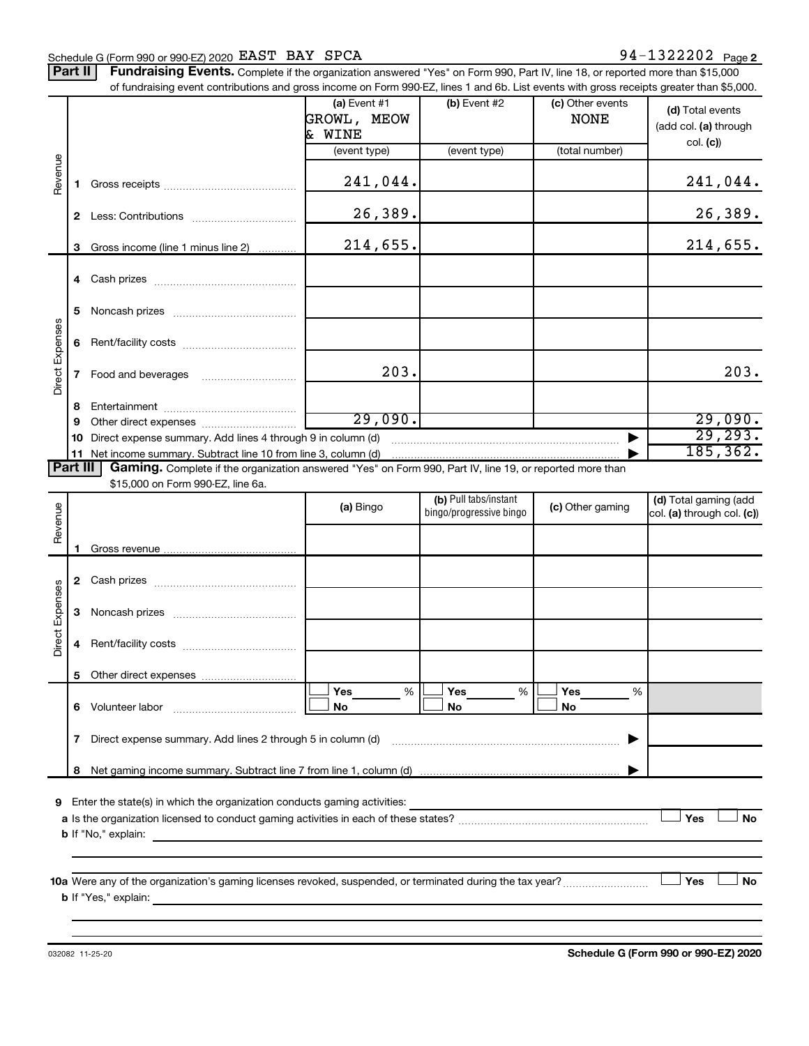#### Schedule G (Form 990 or 990-EZ) 2020 Page EAST BAY SPCA 94-1322202

Part II | Fundraising Events. Complete if the organization answered "Yes" on Form 990, Part IV, line 18, or reported more than \$15,000

|                 |              | of fundraising event contributions and gross income on Form 990-EZ, lines 1 and 6b. List events with gross receipts greater than \$5,000. |                   |                         |                  |                            |
|-----------------|--------------|-------------------------------------------------------------------------------------------------------------------------------------------|-------------------|-------------------------|------------------|----------------------------|
|                 |              |                                                                                                                                           | $(a)$ Event #1    | (b) Event #2            | (c) Other events | (d) Total events           |
|                 |              |                                                                                                                                           | GROWL, MEOW       |                         | <b>NONE</b>      | (add col. (a) through      |
|                 |              |                                                                                                                                           | & WINE            |                         |                  |                            |
|                 |              |                                                                                                                                           | (event type)      | (event type)            | (total number)   | col. (c)                   |
|                 |              |                                                                                                                                           |                   |                         |                  |                            |
| Revenue         | 1.           |                                                                                                                                           | 241,044.          |                         |                  | 241,044.                   |
|                 |              |                                                                                                                                           | 26,389.           |                         |                  | 26,389.                    |
|                 |              |                                                                                                                                           |                   |                         |                  |                            |
|                 | 3            | Gross income (line 1 minus line 2)                                                                                                        | 214,655.          |                         |                  | 214,655.                   |
|                 | 4            |                                                                                                                                           |                   |                         |                  |                            |
|                 | 5            |                                                                                                                                           |                   |                         |                  |                            |
| Direct Expenses | 6            |                                                                                                                                           |                   |                         |                  |                            |
|                 |              |                                                                                                                                           |                   |                         |                  |                            |
|                 | 7            |                                                                                                                                           | 203.              |                         |                  | 203.                       |
|                 | 8            |                                                                                                                                           |                   |                         |                  |                            |
|                 | 9            |                                                                                                                                           | 29,090.           |                         |                  | 29,090.                    |
|                 | 10           | Direct expense summary. Add lines 4 through 9 in column (d)                                                                               |                   |                         |                  | 29, 293.                   |
|                 |              | 11 Net income summary. Subtract line 10 from line 3, column (d)                                                                           |                   |                         |                  | 185, 362.                  |
| <b>Part III</b> |              | Gaming. Complete if the organization answered "Yes" on Form 990, Part IV, line 19, or reported more than                                  |                   |                         |                  |                            |
|                 |              | \$15,000 on Form 990-EZ, line 6a.                                                                                                         |                   |                         |                  |                            |
|                 |              |                                                                                                                                           | (a) Bingo         | (b) Pull tabs/instant   | (c) Other gaming | (d) Total gaming (add      |
| Revenue         |              |                                                                                                                                           |                   | bingo/progressive bingo |                  | col. (a) through col. (c)) |
|                 |              |                                                                                                                                           |                   |                         |                  |                            |
|                 | 1.           |                                                                                                                                           |                   |                         |                  |                            |
|                 |              |                                                                                                                                           |                   |                         |                  |                            |
|                 | $\mathbf{2}$ |                                                                                                                                           |                   |                         |                  |                            |
|                 |              |                                                                                                                                           |                   |                         |                  |                            |
| Direct Expenses | 3            |                                                                                                                                           |                   |                         |                  |                            |
|                 | 4            |                                                                                                                                           |                   |                         |                  |                            |
|                 |              |                                                                                                                                           |                   |                         |                  |                            |
|                 |              |                                                                                                                                           |                   |                         |                  |                            |
|                 | 6.           | Volunteer labor                                                                                                                           | $\%$<br>Yes<br>No | %<br>Yes<br>No          | Yes<br>%<br>No   |                            |
|                 | 7            | Direct expense summary. Add lines 2 through 5 in column (d)                                                                               |                   |                         |                  |                            |
|                 |              |                                                                                                                                           |                   |                         |                  |                            |
|                 | 8            |                                                                                                                                           |                   |                         |                  |                            |
| 9               |              | Enter the state(s) in which the organization conducts gaming activities:                                                                  |                   |                         |                  |                            |
|                 |              |                                                                                                                                           |                   |                         |                  | Yes<br><b>No</b>           |
|                 |              | <b>b</b> If "No," explain:                                                                                                                |                   |                         |                  |                            |
|                 |              | <u> 1989 - Johann Stoff, deutscher Stoff, der Stoff, der Stoff, der Stoff, der Stoff, der Stoff, der Stoff, der S</u>                     |                   |                         |                  |                            |
|                 |              |                                                                                                                                           |                   |                         |                  |                            |
|                 |              | 10a Were any of the organization's gaming licenses revoked, suspended, or terminated during the tax year?                                 |                   |                         |                  | Yes<br>No                  |
|                 |              |                                                                                                                                           |                   |                         |                  |                            |
|                 |              |                                                                                                                                           |                   |                         |                  |                            |
|                 |              |                                                                                                                                           |                   |                         |                  |                            |

**Schedule G (Form 990 or 990-EZ) 2020**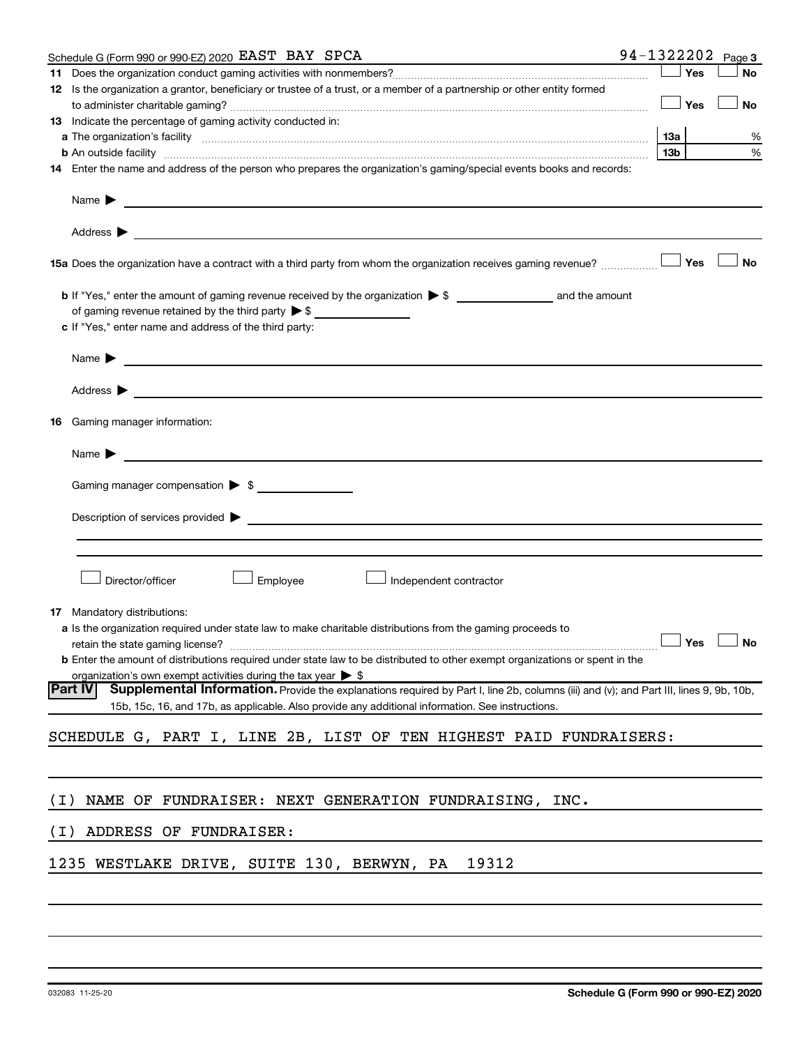|       | Schedule G (Form 990 or 990-EZ) 2020 EAST BAY SPCA                                                                                                                                                                                                                                    |                 |     | 94-1322202 Page 3 |
|-------|---------------------------------------------------------------------------------------------------------------------------------------------------------------------------------------------------------------------------------------------------------------------------------------|-----------------|-----|-------------------|
|       |                                                                                                                                                                                                                                                                                       |                 | Yes | No                |
|       | 12 Is the organization a grantor, beneficiary or trustee of a trust, or a member of a partnership or other entity formed                                                                                                                                                              |                 |     |                   |
|       |                                                                                                                                                                                                                                                                                       |                 | Yes | No                |
|       | 13 Indicate the percentage of gaming activity conducted in:                                                                                                                                                                                                                           |                 |     |                   |
|       |                                                                                                                                                                                                                                                                                       | 1За             |     | %                 |
|       | <b>b</b> An outside facility <i>www.communicality www.communicality.communicality www.communicality www.communicality.communicality www.communicality.com</i><br>14 Enter the name and address of the person who prepares the organization's gaming/special events books and records: | 13 <sub>b</sub> |     | %                 |
|       |                                                                                                                                                                                                                                                                                       |                 |     |                   |
|       | Name $\blacktriangleright$<br>and the control of the control of the control of the control of the control of the control of the control of the                                                                                                                                        |                 |     |                   |
|       | Address $\blacktriangleright$                                                                                                                                                                                                                                                         |                 |     |                   |
|       | 15a Does the organization have a contract with a third party from whom the organization receives gaming revenue?                                                                                                                                                                      |                 | Yes | No                |
|       |                                                                                                                                                                                                                                                                                       |                 |     |                   |
|       | of gaming revenue retained by the third party $\triangleright$ \$                                                                                                                                                                                                                     |                 |     |                   |
|       | c If "Yes," enter name and address of the third party:                                                                                                                                                                                                                                |                 |     |                   |
|       | Name $\blacktriangleright$<br><u> 1989 - Johann John Stein, fransk politik (f. 1989)</u>                                                                                                                                                                                              |                 |     |                   |
|       | Address $\blacktriangleright$                                                                                                                                                                                                                                                         |                 |     |                   |
|       |                                                                                                                                                                                                                                                                                       |                 |     |                   |
|       | <b>16</b> Gaming manager information:                                                                                                                                                                                                                                                 |                 |     |                   |
|       | Name $\blacktriangleright$<br><u> 1980 - Andrea Andrew Maria (h. 1980).</u>                                                                                                                                                                                                           |                 |     |                   |
|       |                                                                                                                                                                                                                                                                                       |                 |     |                   |
|       | Gaming manager compensation > \$                                                                                                                                                                                                                                                      |                 |     |                   |
|       |                                                                                                                                                                                                                                                                                       |                 |     |                   |
|       | Description of services provided > example and the contract of the contract of the contract of the contract of                                                                                                                                                                        |                 |     |                   |
|       |                                                                                                                                                                                                                                                                                       |                 |     |                   |
|       |                                                                                                                                                                                                                                                                                       |                 |     |                   |
|       | Director/officer<br>Employee<br>Independent contractor                                                                                                                                                                                                                                |                 |     |                   |
|       |                                                                                                                                                                                                                                                                                       |                 |     |                   |
|       | <b>17</b> Mandatory distributions:                                                                                                                                                                                                                                                    |                 |     |                   |
|       | a Is the organization required under state law to make charitable distributions from the gaming proceeds to                                                                                                                                                                           |                 |     |                   |
|       | retain the state gaming license?<br><b>b</b> Enter the amount of distributions required under state law to be distributed to other exempt organizations or spent in the                                                                                                               |                 |     | _l Yes l_l No     |
|       | organization's own exempt activities during the tax year $\triangleright$ \$                                                                                                                                                                                                          |                 |     |                   |
|       | <b>Part IV</b><br>Supplemental Information. Provide the explanations required by Part I, line 2b, columns (iii) and (v); and Part III, lines 9, 9b, 10b,                                                                                                                              |                 |     |                   |
|       | 15b, 15c, 16, and 17b, as applicable. Also provide any additional information. See instructions.                                                                                                                                                                                      |                 |     |                   |
|       | SCHEDULE G, PART I, LINE 2B, LIST OF TEN HIGHEST PAID FUNDRAISERS:                                                                                                                                                                                                                    |                 |     |                   |
|       |                                                                                                                                                                                                                                                                                       |                 |     |                   |
|       |                                                                                                                                                                                                                                                                                       |                 |     |                   |
| ( I ) | NAME OF FUNDRAISER: NEXT GENERATION FUNDRAISING, INC.                                                                                                                                                                                                                                 |                 |     |                   |
| ( I ) | ADDRESS OF FUNDRAISER:                                                                                                                                                                                                                                                                |                 |     |                   |
|       | 1235 WESTLAKE DRIVE, SUITE 130, BERWYN, PA<br>19312                                                                                                                                                                                                                                   |                 |     |                   |
|       |                                                                                                                                                                                                                                                                                       |                 |     |                   |
|       |                                                                                                                                                                                                                                                                                       |                 |     |                   |
|       |                                                                                                                                                                                                                                                                                       |                 |     |                   |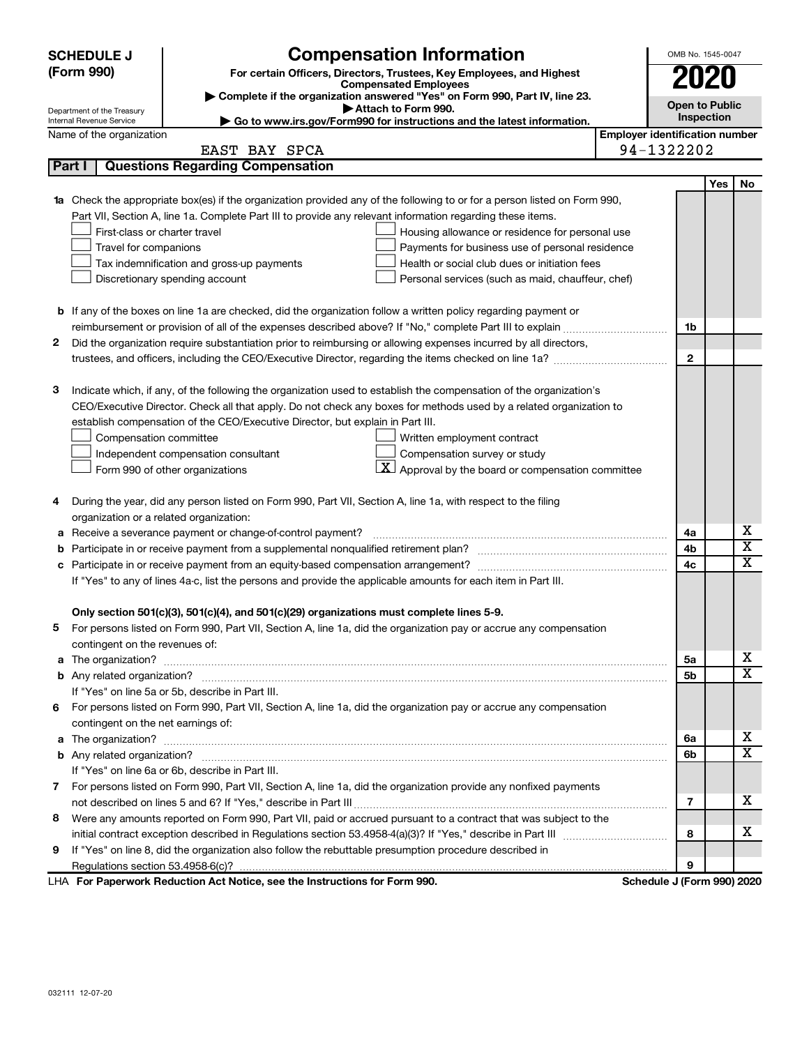| <b>SCHEDULE J</b>          | <b>Compensation Information</b>                                                                                                                                                                                                     |                                       | OMB No. 1545-0047          |     |             |
|----------------------------|-------------------------------------------------------------------------------------------------------------------------------------------------------------------------------------------------------------------------------------|---------------------------------------|----------------------------|-----|-------------|
| (Form 990)                 | For certain Officers, Directors, Trustees, Key Employees, and Highest                                                                                                                                                               |                                       | 2020                       |     |             |
|                            | <b>Compensated Employees</b>                                                                                                                                                                                                        |                                       |                            |     |             |
| Department of the Treasury | Complete if the organization answered "Yes" on Form 990, Part IV, line 23.<br>Attach to Form 990.                                                                                                                                   |                                       | <b>Open to Public</b>      |     |             |
| Internal Revenue Service   | Go to www.irs.gov/Form990 for instructions and the latest information.                                                                                                                                                              |                                       | Inspection                 |     |             |
| Name of the organization   |                                                                                                                                                                                                                                     | <b>Employer identification number</b> |                            |     |             |
|                            | EAST BAY SPCA                                                                                                                                                                                                                       |                                       | 94-1322202                 |     |             |
| Part I                     | <b>Questions Regarding Compensation</b>                                                                                                                                                                                             |                                       |                            |     |             |
|                            |                                                                                                                                                                                                                                     |                                       |                            | Yes | No          |
|                            | 1a Check the appropriate box(es) if the organization provided any of the following to or for a person listed on Form 990,                                                                                                           |                                       |                            |     |             |
|                            | Part VII, Section A, line 1a. Complete Part III to provide any relevant information regarding these items.                                                                                                                          |                                       |                            |     |             |
|                            | First-class or charter travel<br>Housing allowance or residence for personal use                                                                                                                                                    |                                       |                            |     |             |
|                            | Travel for companions<br>Payments for business use of personal residence                                                                                                                                                            |                                       |                            |     |             |
|                            | Tax indemnification and gross-up payments<br>Health or social club dues or initiation fees                                                                                                                                          |                                       |                            |     |             |
|                            | Discretionary spending account<br>Personal services (such as maid, chauffeur, chef)                                                                                                                                                 |                                       |                            |     |             |
|                            |                                                                                                                                                                                                                                     |                                       |                            |     |             |
|                            | <b>b</b> If any of the boxes on line 1a are checked, did the organization follow a written policy regarding payment or                                                                                                              |                                       |                            |     |             |
|                            |                                                                                                                                                                                                                                     |                                       | 1b                         |     |             |
| 2                          | Did the organization require substantiation prior to reimbursing or allowing expenses incurred by all directors,                                                                                                                    |                                       |                            |     |             |
|                            |                                                                                                                                                                                                                                     |                                       | $\mathbf{2}$               |     |             |
|                            |                                                                                                                                                                                                                                     |                                       |                            |     |             |
| з                          | Indicate which, if any, of the following the organization used to establish the compensation of the organization's                                                                                                                  |                                       |                            |     |             |
|                            | CEO/Executive Director. Check all that apply. Do not check any boxes for methods used by a related organization to                                                                                                                  |                                       |                            |     |             |
|                            | establish compensation of the CEO/Executive Director, but explain in Part III.                                                                                                                                                      |                                       |                            |     |             |
|                            | Compensation committee<br>Written employment contract                                                                                                                                                                               |                                       |                            |     |             |
|                            | Compensation survey or study<br>Independent compensation consultant                                                                                                                                                                 |                                       |                            |     |             |
|                            | $\lfloor \underline{X} \rfloor$ Approval by the board or compensation committee<br>Form 990 of other organizations                                                                                                                  |                                       |                            |     |             |
|                            |                                                                                                                                                                                                                                     |                                       |                            |     |             |
| 4                          | During the year, did any person listed on Form 990, Part VII, Section A, line 1a, with respect to the filing                                                                                                                        |                                       |                            |     |             |
|                            | organization or a related organization:                                                                                                                                                                                             |                                       |                            |     | х           |
| а                          | Receive a severance payment or change-of-control payment?                                                                                                                                                                           |                                       | 4a                         |     | х           |
| b                          |                                                                                                                                                                                                                                     |                                       | 4b                         |     | $\mathbf x$ |
| c                          |                                                                                                                                                                                                                                     |                                       | 4c                         |     |             |
|                            | If "Yes" to any of lines 4a-c, list the persons and provide the applicable amounts for each item in Part III.                                                                                                                       |                                       |                            |     |             |
|                            |                                                                                                                                                                                                                                     |                                       |                            |     |             |
|                            | Only section 501(c)(3), 501(c)(4), and 501(c)(29) organizations must complete lines 5-9.<br>For persons listed on Form 990, Part VII, Section A, line 1a, did the organization pay or accrue any compensation                       |                                       |                            |     |             |
|                            |                                                                                                                                                                                                                                     |                                       |                            |     |             |
|                            | contingent on the revenues of:                                                                                                                                                                                                      |                                       |                            |     | х           |
|                            | a The organization? <b>contracts</b> and contracts are contracted and contract and contract and contract and contract and contract and contract and contract and contract and contract and contract and contract and contract and c |                                       | 5а                         |     | x           |
|                            |                                                                                                                                                                                                                                     |                                       | 5b                         |     |             |
|                            | If "Yes" on line 5a or 5b, describe in Part III.<br>6 For persons listed on Form 990, Part VII, Section A, line 1a, did the organization pay or accrue any compensation                                                             |                                       |                            |     |             |
|                            |                                                                                                                                                                                                                                     |                                       |                            |     |             |
|                            | contingent on the net earnings of:                                                                                                                                                                                                  |                                       |                            |     | х           |
|                            |                                                                                                                                                                                                                                     |                                       | 6a                         |     | x           |
|                            |                                                                                                                                                                                                                                     |                                       | 6b                         |     |             |
|                            | If "Yes" on line 6a or 6b, describe in Part III.                                                                                                                                                                                    |                                       |                            |     |             |
|                            | 7 For persons listed on Form 990, Part VII, Section A, line 1a, did the organization provide any nonfixed payments                                                                                                                  |                                       |                            |     | х           |
|                            |                                                                                                                                                                                                                                     |                                       | 7                          |     |             |
| 8                          | Were any amounts reported on Form 990, Part VII, paid or accrued pursuant to a contract that was subject to the                                                                                                                     |                                       |                            |     | х           |
|                            |                                                                                                                                                                                                                                     |                                       | 8                          |     |             |
| 9                          | If "Yes" on line 8, did the organization also follow the rebuttable presumption procedure described in                                                                                                                              |                                       |                            |     |             |
|                            |                                                                                                                                                                                                                                     |                                       | 9                          |     |             |
|                            | LHA For Paperwork Reduction Act Notice, see the Instructions for Form 990.                                                                                                                                                          |                                       | Schedule J (Form 990) 2020 |     |             |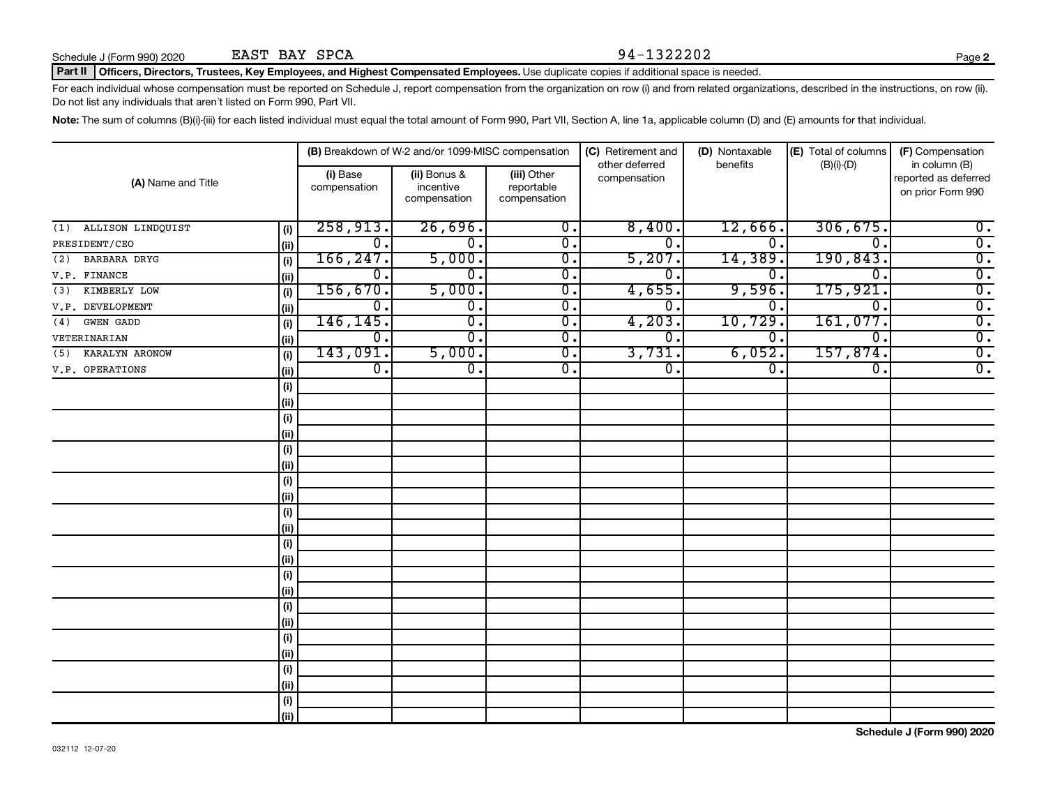Schedule J (Form 990) 2020 **EAST BAY SPCA** 94 - 13 22 20 2 EAST BAY SPCA

#### Part II | Officers, Directors, Trustees, Key Employees, and Highest Compensated Employees. Use duplicate copies if additional space is needed.

For each individual whose compensation must be reported on Schedule J, report compensation from the organization on row (i) and from related organizations, described in the instructions, on row (ii). Do not list any individuals that aren't listed on Form 990, Part VII.

Note: The sum of columns (B)(i)-(iii) for each listed individual must equal the total amount of Form 990, Part VII, Section A, line 1a, applicable column (D) and (E) amounts for that individual.

|                          |      |                          | (B) Breakdown of W-2 and/or 1099-MISC compensation |                                           | (C) Retirement and             | (D) Nontaxable   | (E) Total of columns        | (F) Compensation                                           |
|--------------------------|------|--------------------------|----------------------------------------------------|-------------------------------------------|--------------------------------|------------------|-----------------------------|------------------------------------------------------------|
| (A) Name and Title       |      | (i) Base<br>compensation | (ii) Bonus &<br>incentive<br>compensation          | (iii) Other<br>reportable<br>compensation | other deferred<br>compensation | benefits         | $(B)(i)$ - $(D)$            | in column (B)<br>reported as deferred<br>on prior Form 990 |
| ALLISON LINDQUIST<br>(1) | (i)  | 258,913.                 | 26,696.                                            | $\overline{0}$ .                          | 8,400.                         | 12,666.          | 306, 675.                   | $\overline{0}$ .                                           |
| PRESIDENT/CEO            | (ii) | $0$ .                    | $\mathbf 0$ .                                      | $\overline{0}$ .                          | 0.                             | $\Omega$ .       | $\Omega$ .                  | $\overline{0}$ .                                           |
| BARBARA DRYG<br>(2)      | (i)  | 166, 247.                | 5,000.                                             | $\overline{\mathfrak{o}}$ .               | 5,207.                         | 14,389           | 190, 843.                   | $\overline{0}$ .                                           |
| V.P. FINANCE             | (ii) | $\overline{0}$ .         | 0.                                                 | $\overline{\mathfrak{o}}$ .               | 0.                             | 0.               | $\Omega$                    | $\overline{0}$ .                                           |
| KIMBERLY LOW<br>(3)      | (i)  | 156,670.                 | 5,000.                                             | $\overline{\mathfrak{o}}$ .               | 4,655.                         | 9,596.           | 175,921                     | $\overline{0}$ .                                           |
| V.P. DEVELOPMENT         | (ii) | $\overline{0}$ .         | $\overline{\mathbf{0}}$ .                          | $\overline{0}$ .                          | 0.                             | $0 \, .$         | $\mathbf 0$ .               | $\overline{0}$ .                                           |
| GWEN GADD<br>(4)         | (i)  | 146, 145.                | $\overline{\mathfrak{o}}$ .                        | $\overline{0}$ .                          | 4,203.                         | 10,729           | 161,077.                    | $\overline{0}$ .                                           |
| VETERINARIAN             | (ii) | $0$ .                    | 0.                                                 | $\overline{\mathbf{0}}$ .                 | О.                             | 0.               | $\overline{0}$ .            | $\overline{0}$ .                                           |
| KARALYN ARONOW<br>(5)    | (i)  | 143,091.                 | 5,000.                                             | $\overline{\mathfrak{o}}$ .               | 3,731.                         | 6,052.           | 157,874.                    | $\overline{0}$ .                                           |
| V.P. OPERATIONS          | (ii) | $\overline{0}$ .         | $\overline{\mathfrak{o}}$ .                        | $\overline{0}$ .                          | σ.                             | $\overline{0}$ . | $\overline{\mathfrak{o}}$ . | $\overline{0}$ .                                           |
|                          | (i)  |                          |                                                    |                                           |                                |                  |                             |                                                            |
|                          | (i)  |                          |                                                    |                                           |                                |                  |                             |                                                            |
|                          | (i)  |                          |                                                    |                                           |                                |                  |                             |                                                            |
|                          | (ii) |                          |                                                    |                                           |                                |                  |                             |                                                            |
|                          | (i)  |                          |                                                    |                                           |                                |                  |                             |                                                            |
|                          | (ii) |                          |                                                    |                                           |                                |                  |                             |                                                            |
|                          | (i)  |                          |                                                    |                                           |                                |                  |                             |                                                            |
|                          | (ii) |                          |                                                    |                                           |                                |                  |                             |                                                            |
|                          | (i)  |                          |                                                    |                                           |                                |                  |                             |                                                            |
|                          | (ii) |                          |                                                    |                                           |                                |                  |                             |                                                            |
|                          | (i)  |                          |                                                    |                                           |                                |                  |                             |                                                            |
|                          | (ii) |                          |                                                    |                                           |                                |                  |                             |                                                            |
|                          | (i)  |                          |                                                    |                                           |                                |                  |                             |                                                            |
|                          | (ii) |                          |                                                    |                                           |                                |                  |                             |                                                            |
|                          | (i)  |                          |                                                    |                                           |                                |                  |                             |                                                            |
|                          | (ii) |                          |                                                    |                                           |                                |                  |                             |                                                            |
|                          | (i)  |                          |                                                    |                                           |                                |                  |                             |                                                            |
|                          | (ii) |                          |                                                    |                                           |                                |                  |                             |                                                            |
|                          | (i)  |                          |                                                    |                                           |                                |                  |                             |                                                            |
|                          | (ii) |                          |                                                    |                                           |                                |                  |                             |                                                            |
|                          | (i)  |                          |                                                    |                                           |                                |                  |                             |                                                            |
|                          | (ii) |                          |                                                    |                                           |                                |                  |                             |                                                            |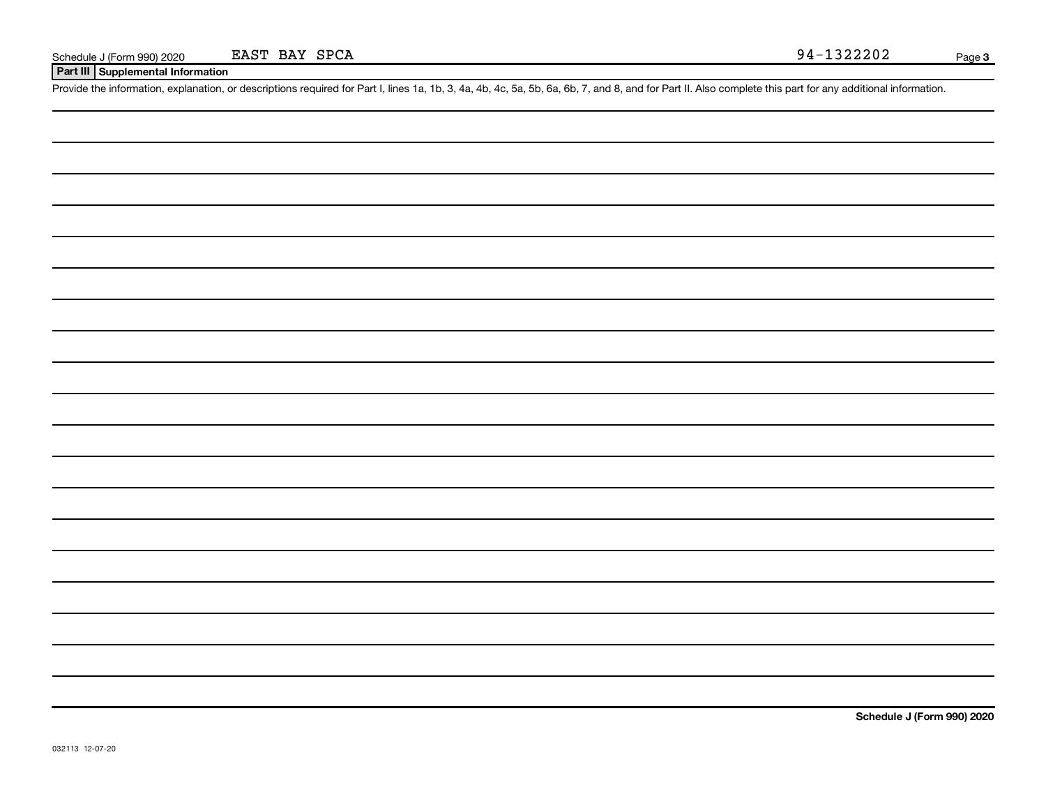**Part III Supplemental Information**

Provide the information, explanation, or descriptions required for Part I, lines 1a, 1b, 3, 4a, 4b, 4c, 5a, 5b, 6a, 6b, 7, and 8, and for Part II. Also complete this part for any additional information.

**Schedule J (Form 990) 2020**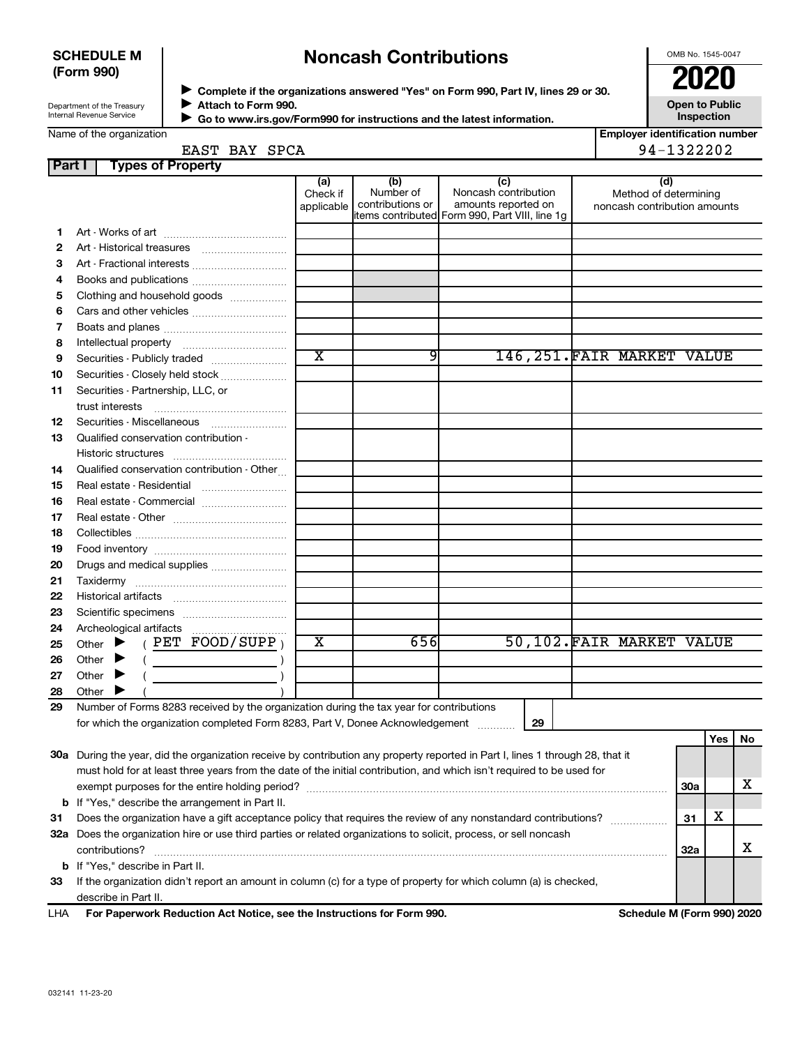#### **SCHEDULE M (Form 990)**

### **Noncash Contributions**

OMB No. 1545-0047

| Department of the Treasury |  |
|----------------------------|--|
| Internal Revenue Service   |  |

**Complete if the organizations answered "Yes" on Form 990, Part IV, lines 29 or 30. Attach to Form 990. Go to www.irs.gov/Form990 for instructions and the latest information.** →<br>**→** Complete if the organizations answered "Yes" on Form 990, Part IV, lines 29 or 30.<br>● Complete if the organizations answered "Yes" on Form 990, Part IV, lines 29 or 30.  $\blacktriangleright$ 

**Open to Public Inspection**

| Name of the organization |  |
|--------------------------|--|

 $\blacktriangleright$ 

| <b>Employer identification number</b> |
|---------------------------------------|
| 1.200000                              |

### EAST BAY SPCA 2001 2002

| <b>Part I</b> | <b>Types of Property</b>                                                                                                                                                                                                                                                                                                                                                                                                                                                                                                                                                                                          |                               |                                      |                                                                                                      |                                                              |            |     |    |
|---------------|-------------------------------------------------------------------------------------------------------------------------------------------------------------------------------------------------------------------------------------------------------------------------------------------------------------------------------------------------------------------------------------------------------------------------------------------------------------------------------------------------------------------------------------------------------------------------------------------------------------------|-------------------------------|--------------------------------------|------------------------------------------------------------------------------------------------------|--------------------------------------------------------------|------------|-----|----|
|               |                                                                                                                                                                                                                                                                                                                                                                                                                                                                                                                                                                                                                   | (a)<br>Check if<br>applicable | (b)<br>Number of<br>contributions or | (c)<br>Noncash contribution<br>amounts reported on<br>items contributed Form 990, Part VIII, line 1g | (d)<br>Method of determining<br>noncash contribution amounts |            |     |    |
| 1             |                                                                                                                                                                                                                                                                                                                                                                                                                                                                                                                                                                                                                   |                               |                                      |                                                                                                      |                                                              |            |     |    |
| 2             |                                                                                                                                                                                                                                                                                                                                                                                                                                                                                                                                                                                                                   |                               |                                      |                                                                                                      |                                                              |            |     |    |
| з             | Art - Fractional interests                                                                                                                                                                                                                                                                                                                                                                                                                                                                                                                                                                                        |                               |                                      |                                                                                                      |                                                              |            |     |    |
| 4             |                                                                                                                                                                                                                                                                                                                                                                                                                                                                                                                                                                                                                   |                               |                                      |                                                                                                      |                                                              |            |     |    |
| 5             | Clothing and household goods                                                                                                                                                                                                                                                                                                                                                                                                                                                                                                                                                                                      |                               |                                      |                                                                                                      |                                                              |            |     |    |
| 6             | Cars and other vehicles                                                                                                                                                                                                                                                                                                                                                                                                                                                                                                                                                                                           |                               |                                      |                                                                                                      |                                                              |            |     |    |
| 7             |                                                                                                                                                                                                                                                                                                                                                                                                                                                                                                                                                                                                                   |                               |                                      |                                                                                                      |                                                              |            |     |    |
| 8             |                                                                                                                                                                                                                                                                                                                                                                                                                                                                                                                                                                                                                   |                               |                                      |                                                                                                      |                                                              |            |     |    |
| 9             | Securities - Publicly traded                                                                                                                                                                                                                                                                                                                                                                                                                                                                                                                                                                                      | $\overline{\text{x}}$         | 9                                    |                                                                                                      | 146, 251. FAIR MARKET VALUE                                  |            |     |    |
| 10            | Securities - Closely held stock                                                                                                                                                                                                                                                                                                                                                                                                                                                                                                                                                                                   |                               |                                      |                                                                                                      |                                                              |            |     |    |
| 11            | Securities - Partnership, LLC, or<br>trust interests                                                                                                                                                                                                                                                                                                                                                                                                                                                                                                                                                              |                               |                                      |                                                                                                      |                                                              |            |     |    |
| 12            | Securities - Miscellaneous                                                                                                                                                                                                                                                                                                                                                                                                                                                                                                                                                                                        |                               |                                      |                                                                                                      |                                                              |            |     |    |
| 13            | Qualified conservation contribution -                                                                                                                                                                                                                                                                                                                                                                                                                                                                                                                                                                             |                               |                                      |                                                                                                      |                                                              |            |     |    |
|               |                                                                                                                                                                                                                                                                                                                                                                                                                                                                                                                                                                                                                   |                               |                                      |                                                                                                      |                                                              |            |     |    |
| 14            | Qualified conservation contribution - Other                                                                                                                                                                                                                                                                                                                                                                                                                                                                                                                                                                       |                               |                                      |                                                                                                      |                                                              |            |     |    |
| 15            | Real estate - Residential                                                                                                                                                                                                                                                                                                                                                                                                                                                                                                                                                                                         |                               |                                      |                                                                                                      |                                                              |            |     |    |
| 16            | Real estate - Commercial                                                                                                                                                                                                                                                                                                                                                                                                                                                                                                                                                                                          |                               |                                      |                                                                                                      |                                                              |            |     |    |
| 17            |                                                                                                                                                                                                                                                                                                                                                                                                                                                                                                                                                                                                                   |                               |                                      |                                                                                                      |                                                              |            |     |    |
| 18            |                                                                                                                                                                                                                                                                                                                                                                                                                                                                                                                                                                                                                   |                               |                                      |                                                                                                      |                                                              |            |     |    |
| 19            |                                                                                                                                                                                                                                                                                                                                                                                                                                                                                                                                                                                                                   |                               |                                      |                                                                                                      |                                                              |            |     |    |
| 20            | Drugs and medical supplies                                                                                                                                                                                                                                                                                                                                                                                                                                                                                                                                                                                        |                               |                                      |                                                                                                      |                                                              |            |     |    |
| 21            |                                                                                                                                                                                                                                                                                                                                                                                                                                                                                                                                                                                                                   |                               |                                      |                                                                                                      |                                                              |            |     |    |
| 22            |                                                                                                                                                                                                                                                                                                                                                                                                                                                                                                                                                                                                                   |                               |                                      |                                                                                                      |                                                              |            |     |    |
| 23            |                                                                                                                                                                                                                                                                                                                                                                                                                                                                                                                                                                                                                   |                               |                                      |                                                                                                      |                                                              |            |     |    |
| 24            |                                                                                                                                                                                                                                                                                                                                                                                                                                                                                                                                                                                                                   |                               |                                      |                                                                                                      |                                                              |            |     |    |
| 25            | ( PET FOOD/SUPP $_1$<br>Other $\blacktriangleright$                                                                                                                                                                                                                                                                                                                                                                                                                                                                                                                                                               | x                             | 656                                  |                                                                                                      | 50,102. FAIR MARKET VALUE                                    |            |     |    |
| 26            | Other $\blacktriangleright$<br>$\left(\begin{array}{ccc} \begin{array}{ccc} \end{array} & \begin{array}{ccc} \end{array} & \begin{array}{ccc} \end{array} & \begin{array}{ccc} \end{array} & \begin{array}{ccc} \end{array} & \begin{array}{ccc} \end{array} & \begin{array}{ccc} \end{array} & \begin{array}{ccc} \end{array} & \begin{array}{ccc} \end{array} & \begin{array}{ccc} \end{array} & \begin{array}{ccc} \end{array} & \begin{array}{ccc} \end{array} & \begin{array}{ccc} \end{array} & \begin{array}{ccc} \end{array} & \begin{array}{ccc} \end{array} & \begin{array}{ccc} \end{array} & \begin{$ |                               |                                      |                                                                                                      |                                                              |            |     |    |
| 27            | Other<br>▸                                                                                                                                                                                                                                                                                                                                                                                                                                                                                                                                                                                                        |                               |                                      |                                                                                                      |                                                              |            |     |    |
| 28            | Other $\blacktriangleright$                                                                                                                                                                                                                                                                                                                                                                                                                                                                                                                                                                                       |                               |                                      |                                                                                                      |                                                              |            |     |    |
| 29            | Number of Forms 8283 received by the organization during the tax year for contributions                                                                                                                                                                                                                                                                                                                                                                                                                                                                                                                           |                               |                                      |                                                                                                      |                                                              |            |     |    |
|               | for which the organization completed Form 8283, Part V, Donee Acknowledgement                                                                                                                                                                                                                                                                                                                                                                                                                                                                                                                                     |                               |                                      | 29                                                                                                   |                                                              |            |     |    |
|               |                                                                                                                                                                                                                                                                                                                                                                                                                                                                                                                                                                                                                   |                               |                                      |                                                                                                      |                                                              |            | Yes | No |
|               | 30a During the year, did the organization receive by contribution any property reported in Part I, lines 1 through 28, that it                                                                                                                                                                                                                                                                                                                                                                                                                                                                                    |                               |                                      |                                                                                                      |                                                              |            |     |    |
|               | must hold for at least three years from the date of the initial contribution, and which isn't required to be used for                                                                                                                                                                                                                                                                                                                                                                                                                                                                                             |                               |                                      |                                                                                                      |                                                              |            |     |    |
|               |                                                                                                                                                                                                                                                                                                                                                                                                                                                                                                                                                                                                                   |                               |                                      |                                                                                                      |                                                              | 30a        |     | х  |
|               | <b>b</b> If "Yes," describe the arrangement in Part II.                                                                                                                                                                                                                                                                                                                                                                                                                                                                                                                                                           |                               |                                      |                                                                                                      |                                                              |            |     |    |
| 31            | Does the organization have a gift acceptance policy that requires the review of any nonstandard contributions?                                                                                                                                                                                                                                                                                                                                                                                                                                                                                                    |                               |                                      |                                                                                                      |                                                              | 31         | х   |    |
|               | 32a Does the organization hire or use third parties or related organizations to solicit, process, or sell noncash                                                                                                                                                                                                                                                                                                                                                                                                                                                                                                 |                               |                                      |                                                                                                      |                                                              |            |     |    |
|               | contributions?                                                                                                                                                                                                                                                                                                                                                                                                                                                                                                                                                                                                    |                               |                                      |                                                                                                      |                                                              | <b>32a</b> |     | х  |
|               | <b>b</b> If "Yes," describe in Part II.                                                                                                                                                                                                                                                                                                                                                                                                                                                                                                                                                                           |                               |                                      |                                                                                                      |                                                              |            |     |    |
| 33            | If the organization didn't report an amount in column (c) for a type of property for which column (a) is checked,                                                                                                                                                                                                                                                                                                                                                                                                                                                                                                 |                               |                                      |                                                                                                      |                                                              |            |     |    |

describe in Part II.

For Paperwork Reduction Act Notice, see the Instructions for Form 990. Schedule M (Form 990) 2020 LHA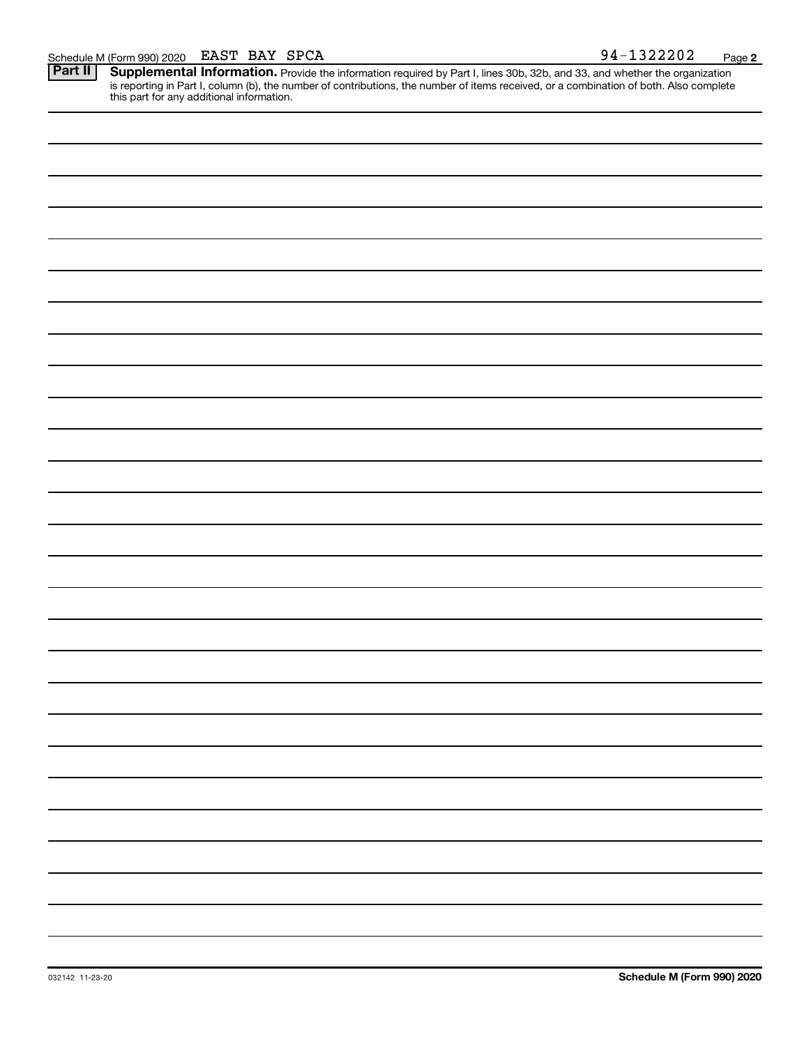Schedule M (Form 990) 2020 EAST BAY SPCA<br>**Part II** Supplemental Information. Provide the information required by Part I. lines 30b. 32b. and 33. and whether the orgar Provide the information required by Part I, lines 30b, 32b, and 33, and whether the organization is reporting in Part I, column (b), the number of contributions, the number of items received, or a combination of both. Also complete this part for any additional information. **Part II Supplemental Information.**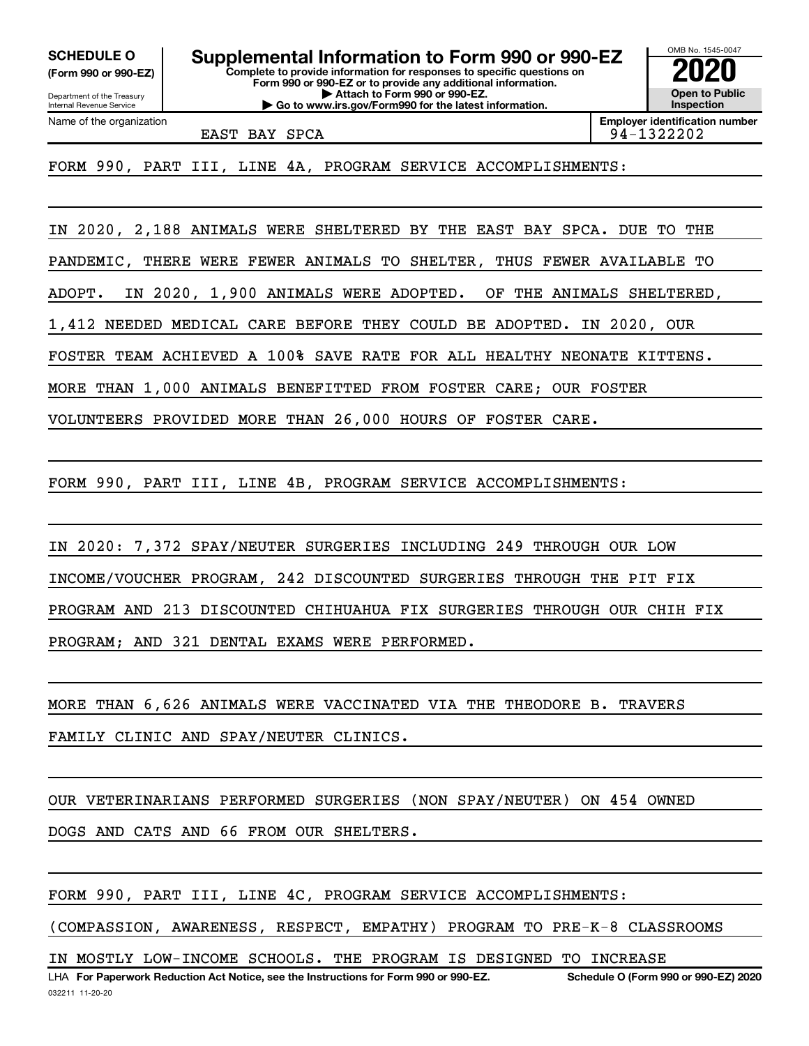**(Form 990 or 990-EZ)**

Department of the Treasury Internal Revenue Service Name of the organization

**Complete to provide information for responses to specific questions on Form 990 or 990-EZ or to provide any additional information. | Attach to Form 990 or 990-EZ. | Go to www.irs.gov/Form990 for the latest information. SCHEDULE O Supplemental Information to Form 990 or 990-EZ 2020**<br>(Form 990 or 990-EZ) Complete to provide information for responses to specific questions on

OMB No. 1545-0047 **Open to Public Inspection**

EAST BAY SPCA 88 (1994-1322202)

**Employer identification number**

FORM 990, PART III, LINE 4A, PROGRAM SERVICE ACCOMPLISHMENTS:

IN 2020, 2,188 ANIMALS WERE SHELTERED BY THE EAST BAY SPCA. DUE TO THE

PANDEMIC, THERE WERE FEWER ANIMALS TO SHELTER, THUS FEWER AVAILABLE TO

ADOPT. IN 2020, 1,900 ANIMALS WERE ADOPTED. OF THE ANIMALS SHELTERED,

1,412 NEEDED MEDICAL CARE BEFORE THEY COULD BE ADOPTED. IN 2020, OUR

FOSTER TEAM ACHIEVED A 100% SAVE RATE FOR ALL HEALTHY NEONATE KITTENS.

MORE THAN 1,000 ANIMALS BENEFITTED FROM FOSTER CARE; OUR FOSTER

VOLUNTEERS PROVIDED MORE THAN 26,000 HOURS OF FOSTER CARE.

FORM 990, PART III, LINE 4B, PROGRAM SERVICE ACCOMPLISHMENTS:

IN 2020: 7,372 SPAY/NEUTER SURGERIES INCLUDING 249 THROUGH OUR LOW INCOME/VOUCHER PROGRAM, 242 DISCOUNTED SURGERIES THROUGH THE PIT FIX PROGRAM AND 213 DISCOUNTED CHIHUAHUA FIX SURGERIES THROUGH OUR CHIH FIX PROGRAM; AND 321 DENTAL EXAMS WERE PERFORMED.

MORE THAN 6,626 ANIMALS WERE VACCINATED VIA THE THEODORE B. TRAVERS FAMILY CLINIC AND SPAY/NEUTER CLINICS.

OUR VETERINARIANS PERFORMED SURGERIES (NON SPAY/NEUTER) ON 454 OWNED

DOGS AND CATS AND 66 FROM OUR SHELTERS.

FORM 990, PART III, LINE 4C, PROGRAM SERVICE ACCOMPLISHMENTS:

(COMPASSION, AWARENESS, RESPECT, EMPATHY) PROGRAM TO PRE-K-8 CLASSROOMS

IN MOSTLY LOW-INCOME SCHOOLS. THE PROGRAM IS DESIGNED TO INCREASE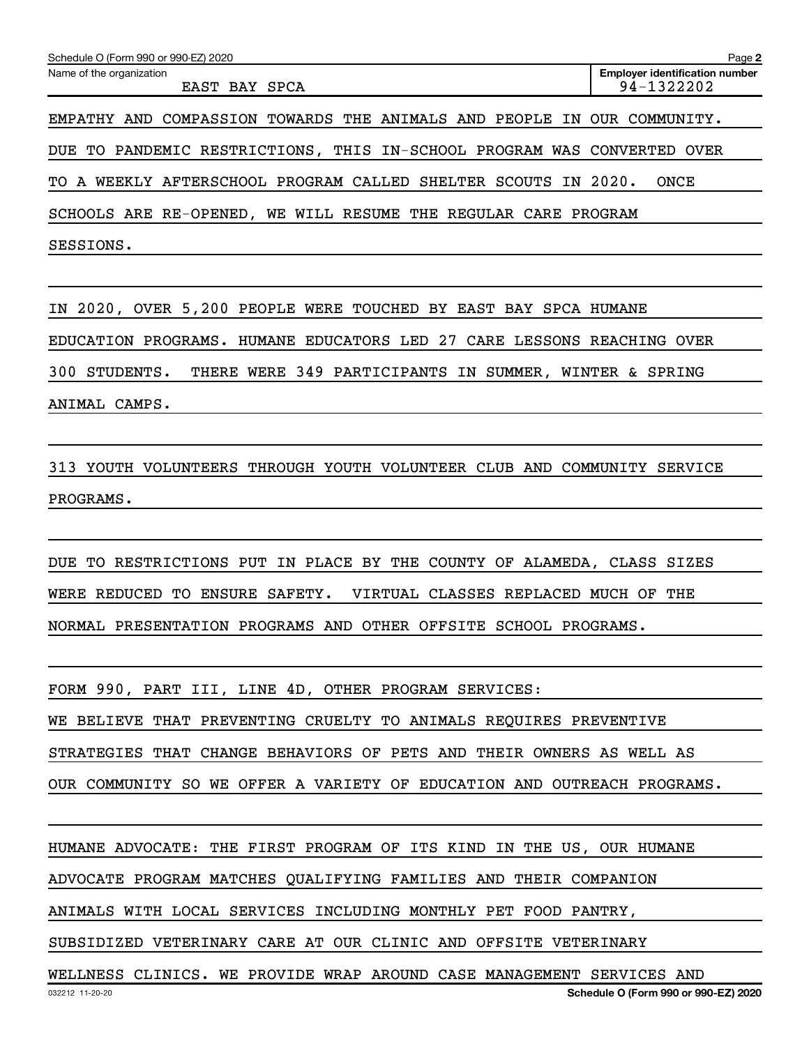| Schedule O (Form 990 or 990-EZ) 2020                                    | Page 2                                              |
|-------------------------------------------------------------------------|-----------------------------------------------------|
| Name of the organization<br>EAST BAY SPCA                               | <b>Employer identification number</b><br>94-1322202 |
| EMPATHY AND COMPASSION TOWARDS THE ANIMALS AND PEOPLE IN OUR COMMUNITY. |                                                     |
| DUE TO PANDEMIC RESTRICTIONS, THIS IN-SCHOOL PROGRAM WAS CONVERTED      | OVER                                                |
| A WEEKLY AFTERSCHOOL PROGRAM CALLED SHELTER SCOUTS<br>TO.<br>IN         | 2020.<br>ONCE                                       |
| SCHOOLS ARE RE-OPENED, WE WILL RESUME THE REGULAR CARE PROGRAM          |                                                     |
| SESSIONS.                                                               |                                                     |

IN 2020, OVER 5,200 PEOPLE WERE TOUCHED BY EAST BAY SPCA HUMANE EDUCATION PROGRAMS. HUMANE EDUCATORS LED 27 CARE LESSONS REACHING OVER 300 STUDENTS. THERE WERE 349 PARTICIPANTS IN SUMMER, WINTER & SPRING ANIMAL CAMPS.

313 YOUTH VOLUNTEERS THROUGH YOUTH VOLUNTEER CLUB AND COMMUNITY SERVICE PROGRAMS.

DUE TO RESTRICTIONS PUT IN PLACE BY THE COUNTY OF ALAMEDA, CLASS SIZES WERE REDUCED TO ENSURE SAFETY. VIRTUAL CLASSES REPLACED MUCH OF THE NORMAL PRESENTATION PROGRAMS AND OTHER OFFSITE SCHOOL PROGRAMS.

FORM 990, PART III, LINE 4D, OTHER PROGRAM SERVICES: WE BELIEVE THAT PREVENTING CRUELTY TO ANIMALS REQUIRES PREVENTIVE STRATEGIES THAT CHANGE BEHAVIORS OF PETS AND THEIR OWNERS AS WELL AS OUR COMMUNITY SO WE OFFER A VARIETY OF EDUCATION AND OUTREACH PROGRAMS.

HUMANE ADVOCATE: THE FIRST PROGRAM OF ITS KIND IN THE US, OUR HUMANE

ADVOCATE PROGRAM MATCHES QUALIFYING FAMILIES AND THEIR COMPANION

ANIMALS WITH LOCAL SERVICES INCLUDING MONTHLY PET FOOD PANTRY,

SUBSIDIZED VETERINARY CARE AT OUR CLINIC AND OFFSITE VETERINARY

WELLNESS CLINICS. WE PROVIDE WRAP AROUND CASE MANAGEMENT SERVICES AND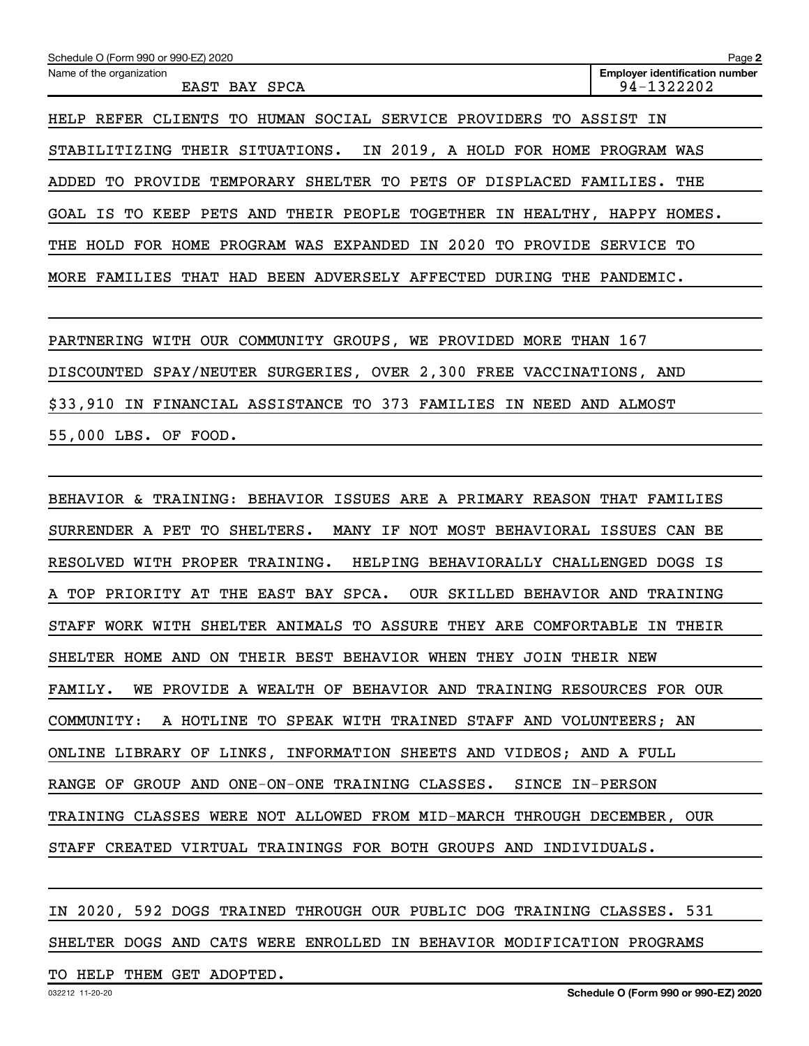| Schedule O (Form 990 or 990-EZ) 2020                                         | Page 2                                              |
|------------------------------------------------------------------------------|-----------------------------------------------------|
| Name of the organization<br>EAST BAY SPCA                                    | <b>Employer identification number</b><br>94-1322202 |
| HELP REFER CLIENTS TO HUMAN SOCIAL SERVICE PROVIDERS TO ASSIST IN            |                                                     |
| THEIR SITUATIONS. IN 2019, A HOLD FOR HOME PROGRAM WAS<br>STABILITIZING      |                                                     |
| PROVIDE TEMPORARY SHELTER TO<br>PETS OF<br>DISPLACED<br>ADDED<br>TO.         | THE<br>FAMILIES.                                    |
| PETS AND<br>THEIR PEOPLE<br>TOGETHER<br>IN<br>GOAL IS TO<br>KEEP<br>HEALTHY, | HOMES.<br>HAPPY                                     |
| THE HOLD FOR HOME PROGRAM WAS EXPANDED IN 2020 TO PROVIDE                    | SERVICE TO                                          |
| MORE FAMILIES THAT HAD BEEN ADVERSELY AFFECTED<br>DURING<br>THE              | PANDEMIC.                                           |

PARTNERING WITH OUR COMMUNITY GROUPS, WE PROVIDED MORE THAN 167 DISCOUNTED SPAY/NEUTER SURGERIES, OVER 2,300 FREE VACCINATIONS, AND \$33,910 IN FINANCIAL ASSISTANCE TO 373 FAMILIES IN NEED AND ALMOST 55,000 LBS. OF FOOD.

BEHAVIOR & TRAINING: BEHAVIOR ISSUES ARE A PRIMARY REASON THAT FAMILIES SURRENDER A PET TO SHELTERS. MANY IF NOT MOST BEHAVIORAL ISSUES CAN BE RESOLVED WITH PROPER TRAINING. HELPING BEHAVIORALLY CHALLENGED DOGS IS A TOP PRIORITY AT THE EAST BAY SPCA. OUR SKILLED BEHAVIOR AND TRAINING STAFF WORK WITH SHELTER ANIMALS TO ASSURE THEY ARE COMFORTABLE IN THEIR SHELTER HOME AND ON THEIR BEST BEHAVIOR WHEN THEY JOIN THEIR NEW FAMILY. WE PROVIDE A WEALTH OF BEHAVIOR AND TRAINING RESOURCES FOR OUR COMMUNITY: A HOTLINE TO SPEAK WITH TRAINED STAFF AND VOLUNTEERS; AN ONLINE LIBRARY OF LINKS, INFORMATION SHEETS AND VIDEOS; AND A FULL RANGE OF GROUP AND ONE-ON-ONE TRAINING CLASSES. SINCE IN-PERSON TRAINING CLASSES WERE NOT ALLOWED FROM MID-MARCH THROUGH DECEMBER, OUR STAFF CREATED VIRTUAL TRAININGS FOR BOTH GROUPS AND INDIVIDUALS.

## IN 2020, 592 DOGS TRAINED THROUGH OUR PUBLIC DOG TRAINING CLASSES. 531 SHELTER DOGS AND CATS WERE ENROLLED IN BEHAVIOR MODIFICATION PROGRAMS

TO HELP THEM GET ADOPTED.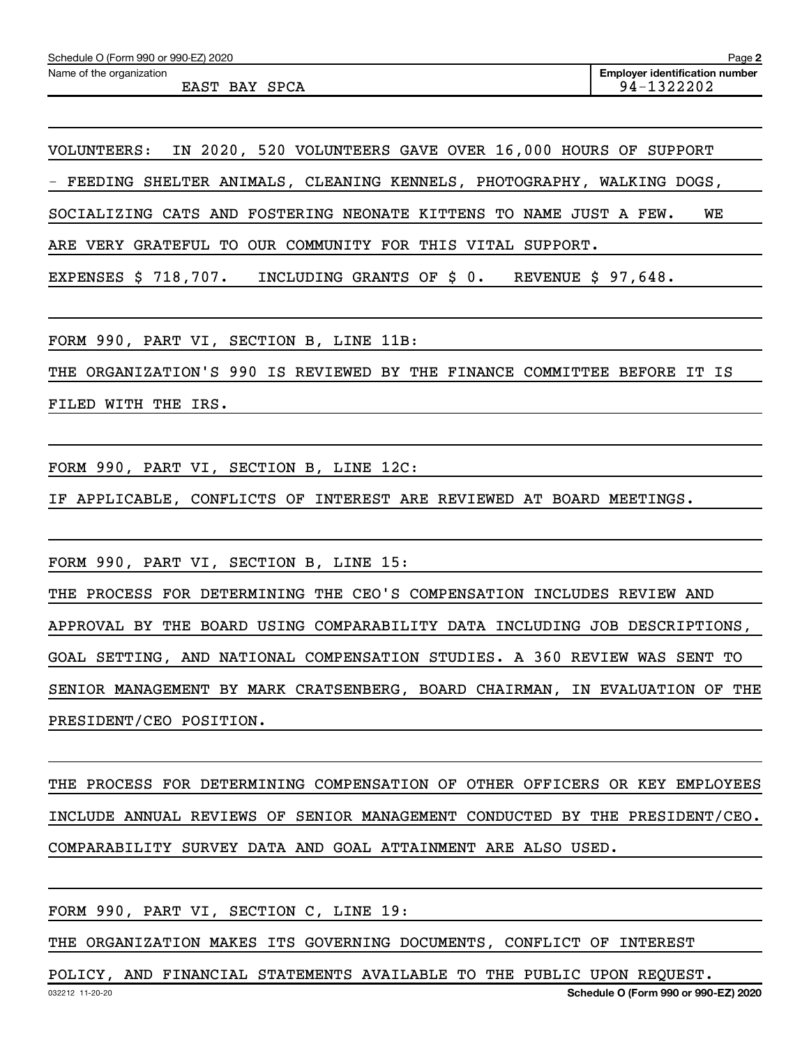| Schedule O (Form 990 or 990-EZ) 2020 | Page 2                                |
|--------------------------------------|---------------------------------------|
| Name of the organization             | <b>Emplover identification number</b> |
| EAST BAY SPCA                        | 94-1322202                            |

VOLUNTEERS: IN 2020, 520 VOLUNTEERS GAVE OVER 16,000 HOURS OF SUPPORT

- FEEDING SHELTER ANIMALS, CLEANING KENNELS, PHOTOGRAPHY, WALKING DOGS,

SOCIALIZING CATS AND FOSTERING NEONATE KITTENS TO NAME JUST A FEW. WE

ARE VERY GRATEFUL TO OUR COMMUNITY FOR THIS VITAL SUPPORT.

EXPENSES \$ 718,707. INCLUDING GRANTS OF \$ 0. REVENUE \$ 97,648.

FORM 990, PART VI, SECTION B, LINE 11B:

THE ORGANIZATION'S 990 IS REVIEWED BY THE FINANCE COMMITTEE BEFORE IT IS FILED WITH THE IRS.

FORM 990, PART VI, SECTION B, LINE 12C:

IF APPLICABLE, CONFLICTS OF INTEREST ARE REVIEWED AT BOARD MEETINGS.

FORM 990, PART VI, SECTION B, LINE 15:

THE PROCESS FOR DETERMINING THE CEO'S COMPENSATION INCLUDES REVIEW AND APPROVAL BY THE BOARD USING COMPARABILITY DATA INCLUDING JOB DESCRIPTIONS, GOAL SETTING, AND NATIONAL COMPENSATION STUDIES. A 360 REVIEW WAS SENT TO SENIOR MANAGEMENT BY MARK CRATSENBERG, BOARD CHAIRMAN, IN EVALUATION OF THE PRESIDENT/CEO POSITION.

THE PROCESS FOR DETERMINING COMPENSATION OF OTHER OFFICERS OR KEY EMPLOYEES INCLUDE ANNUAL REVIEWS OF SENIOR MANAGEMENT CONDUCTED BY THE PRESIDENT/CEO. COMPARABILITY SURVEY DATA AND GOAL ATTAINMENT ARE ALSO USED.

FORM 990, PART VI, SECTION C, LINE 19:

THE ORGANIZATION MAKES ITS GOVERNING DOCUMENTS, CONFLICT OF INTEREST

032212 11-20-20 **Schedule O (Form 990 or 990-EZ) 2020** POLICY, AND FINANCIAL STATEMENTS AVAILABLE TO THE PUBLIC UPON REQUEST.